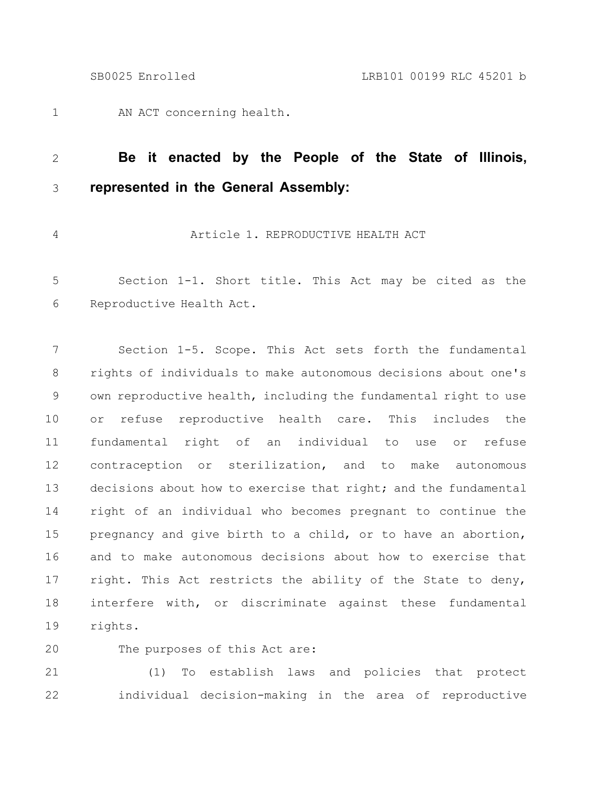1

AN ACT concerning health.

### **Be it enacted by the People of the State of Illinois, represented in the General Assembly:** 2 3

4

# Article 1. REPRODUCTIVE HEALTH ACT

Section 1-1. Short title. This Act may be cited as the Reproductive Health Act. 5 6

Section 1-5. Scope. This Act sets forth the fundamental rights of individuals to make autonomous decisions about one's own reproductive health, including the fundamental right to use or refuse reproductive health care. This includes the fundamental right of an individual to use or refuse contraception or sterilization, and to make autonomous decisions about how to exercise that right; and the fundamental right of an individual who becomes pregnant to continue the pregnancy and give birth to a child, or to have an abortion, and to make autonomous decisions about how to exercise that right. This Act restricts the ability of the State to deny, interfere with, or discriminate against these fundamental rights. 7 8 9 10 11 12 13 14 15 16 17 18 19

#### The purposes of this Act are: 20

(1) To establish laws and policies that protect individual decision-making in the area of reproductive 21 22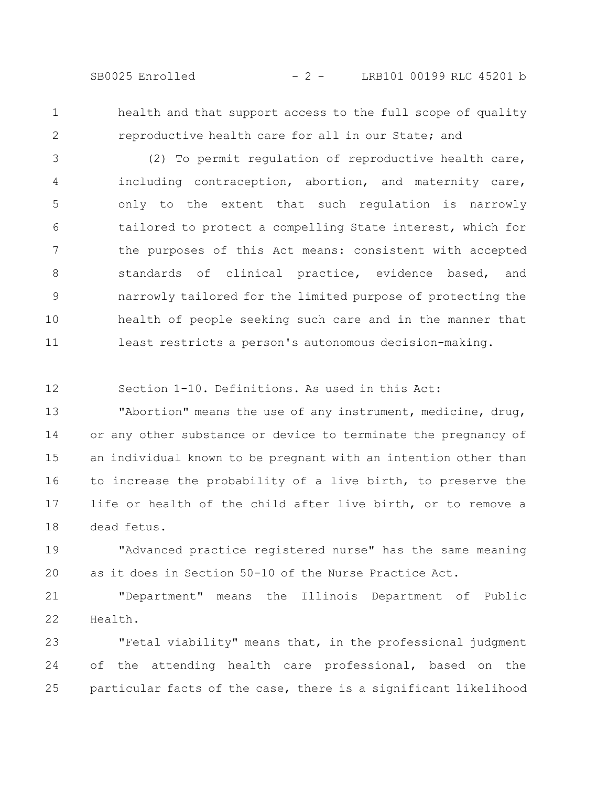SB0025 Enrolled - 2 - LRB101 00199 RLC 45201 b

1

2

health and that support access to the full scope of quality reproductive health care for all in our State; and

(2) To permit regulation of reproductive health care, including contraception, abortion, and maternity care, only to the extent that such regulation is narrowly tailored to protect a compelling State interest, which for the purposes of this Act means: consistent with accepted standards of clinical practice, evidence based, and narrowly tailored for the limited purpose of protecting the health of people seeking such care and in the manner that least restricts a person's autonomous decision-making. 3 4 5 6 7 8 9 10 11

Section 1-10. Definitions. As used in this Act: 12

"Abortion" means the use of any instrument, medicine, drug, or any other substance or device to terminate the pregnancy of an individual known to be pregnant with an intention other than to increase the probability of a live birth, to preserve the life or health of the child after live birth, or to remove a dead fetus. 13 14 15 16 17 18

"Advanced practice registered nurse" has the same meaning as it does in Section 50-10 of the Nurse Practice Act. 19 20

"Department" means the Illinois Department of Public Health. 21 22

"Fetal viability" means that, in the professional judgment of the attending health care professional, based on the particular facts of the case, there is a significant likelihood 23 24 25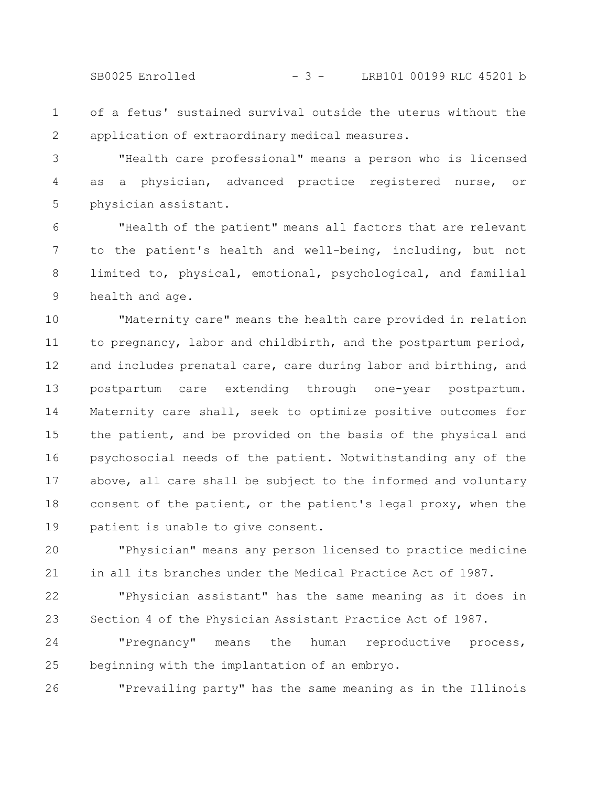SB0025 Enrolled - 3 - LRB101 00199 RLC 45201 b

of a fetus' sustained survival outside the uterus without the application of extraordinary medical measures. 1 2

"Health care professional" means a person who is licensed as a physician, advanced practice registered nurse, or physician assistant. 3 4 5

"Health of the patient" means all factors that are relevant to the patient's health and well-being, including, but not limited to, physical, emotional, psychological, and familial health and age. 6 7 8 9

"Maternity care" means the health care provided in relation to pregnancy, labor and childbirth, and the postpartum period, and includes prenatal care, care during labor and birthing, and postpartum care extending through one-year postpartum. Maternity care shall, seek to optimize positive outcomes for the patient, and be provided on the basis of the physical and psychosocial needs of the patient. Notwithstanding any of the above, all care shall be subject to the informed and voluntary consent of the patient, or the patient's legal proxy, when the patient is unable to give consent. 10 11 12 13 14 15 16 17 18 19

"Physician" means any person licensed to practice medicine in all its branches under the Medical Practice Act of 1987. 20 21

"Physician assistant" has the same meaning as it does in Section 4 of the Physician Assistant Practice Act of 1987. 22 23

"Pregnancy" means the human reproductive process, beginning with the implantation of an embryo. 24 25

"Prevailing party" has the same meaning as in the Illinois 26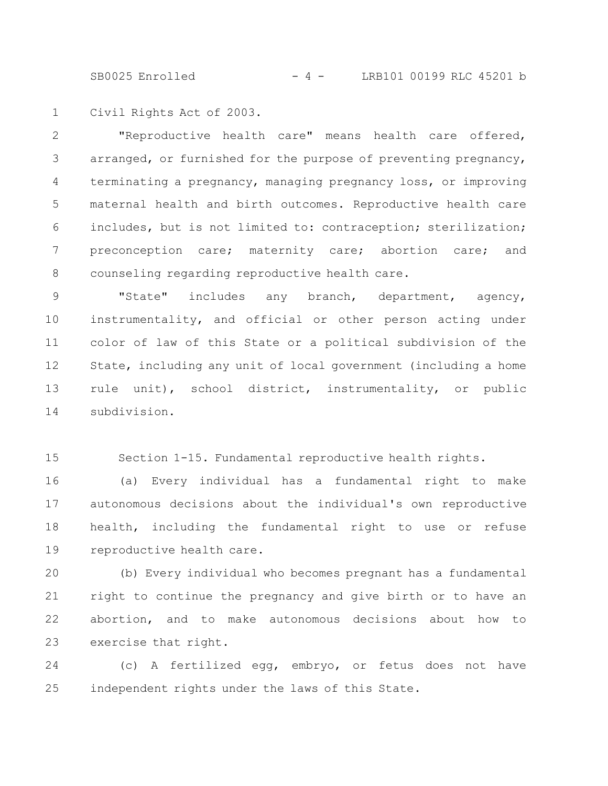SB0025 Enrolled - 4 - LRB101 00199 RLC 45201 b

Civil Rights Act of 2003. 1

"Reproductive health care" means health care offered, arranged, or furnished for the purpose of preventing pregnancy, terminating a pregnancy, managing pregnancy loss, or improving maternal health and birth outcomes. Reproductive health care includes, but is not limited to: contraception; sterilization; preconception care; maternity care; abortion care; and counseling regarding reproductive health care. 2 3 4 5 6 7 8

"State" includes any branch, department, agency, instrumentality, and official or other person acting under color of law of this State or a political subdivision of the State, including any unit of local government (including a home rule unit), school district, instrumentality, or public subdivision. 9 10 11 12 13 14

Section 1-15. Fundamental reproductive health rights. 15

(a) Every individual has a fundamental right to make autonomous decisions about the individual's own reproductive health, including the fundamental right to use or refuse reproductive health care. 16 17 18 19

(b) Every individual who becomes pregnant has a fundamental right to continue the pregnancy and give birth or to have an abortion, and to make autonomous decisions about how to exercise that right. 20 21 22 23

(c) A fertilized egg, embryo, or fetus does not have independent rights under the laws of this State. 24 25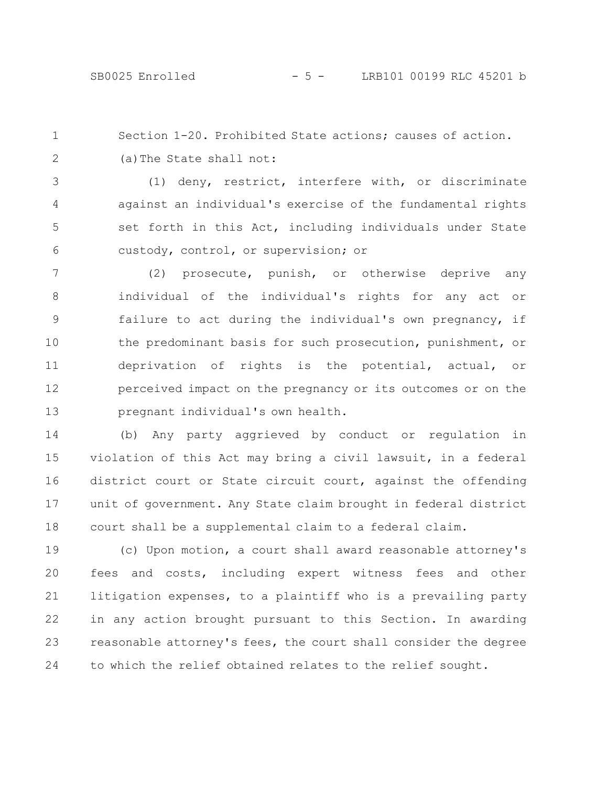Section 1-20. Prohibited State actions; causes of action. (a)The State shall not: 1 2

(1) deny, restrict, interfere with, or discriminate against an individual's exercise of the fundamental rights set forth in this Act, including individuals under State custody, control, or supervision; or 3 4 5 6

(2) prosecute, punish, or otherwise deprive any individual of the individual's rights for any act or failure to act during the individual's own pregnancy, if the predominant basis for such prosecution, punishment, or deprivation of rights is the potential, actual, or perceived impact on the pregnancy or its outcomes or on the pregnant individual's own health. 7 8 9 10 11 12 13

(b) Any party aggrieved by conduct or regulation in violation of this Act may bring a civil lawsuit, in a federal district court or State circuit court, against the offending unit of government. Any State claim brought in federal district court shall be a supplemental claim to a federal claim. 14 15 16 17 18

(c) Upon motion, a court shall award reasonable attorney's fees and costs, including expert witness fees and other litigation expenses, to a plaintiff who is a prevailing party in any action brought pursuant to this Section. In awarding reasonable attorney's fees, the court shall consider the degree to which the relief obtained relates to the relief sought. 19 20 21 22 23 24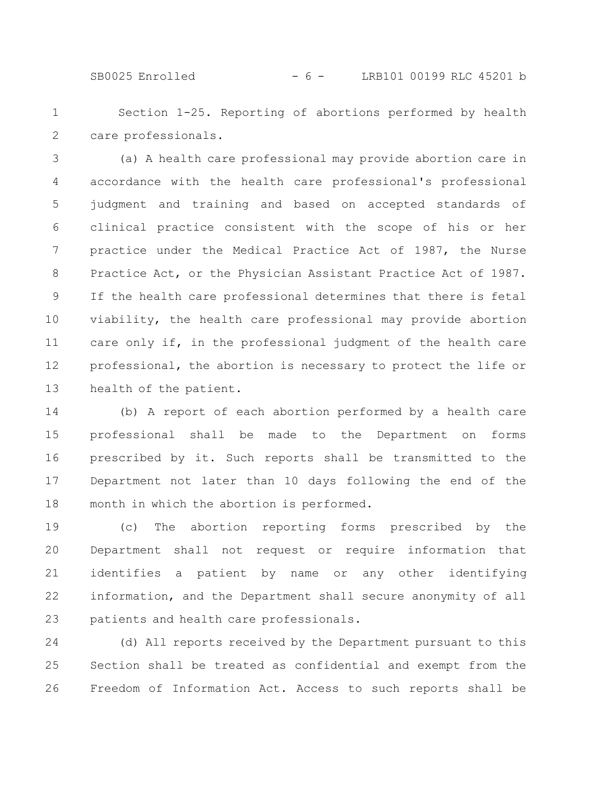SB0025 Enrolled - 6 - LRB101 00199 RLC 45201 b

Section 1-25. Reporting of abortions performed by health care professionals. 1 2

(a) A health care professional may provide abortion care in accordance with the health care professional's professional judgment and training and based on accepted standards of clinical practice consistent with the scope of his or her practice under the Medical Practice Act of 1987, the Nurse Practice Act, or the Physician Assistant Practice Act of 1987. If the health care professional determines that there is fetal viability, the health care professional may provide abortion care only if, in the professional judgment of the health care professional, the abortion is necessary to protect the life or health of the patient. 3 4 5 6 7 8 9 10 11 12 13

(b) A report of each abortion performed by a health care professional shall be made to the Department on forms prescribed by it. Such reports shall be transmitted to the Department not later than 10 days following the end of the month in which the abortion is performed. 14 15 16 17 18

(c) The abortion reporting forms prescribed by the Department shall not request or require information that identifies a patient by name or any other identifying information, and the Department shall secure anonymity of all patients and health care professionals. 19 20 21 22 23

(d) All reports received by the Department pursuant to this Section shall be treated as confidential and exempt from the Freedom of Information Act. Access to such reports shall be 24 25 26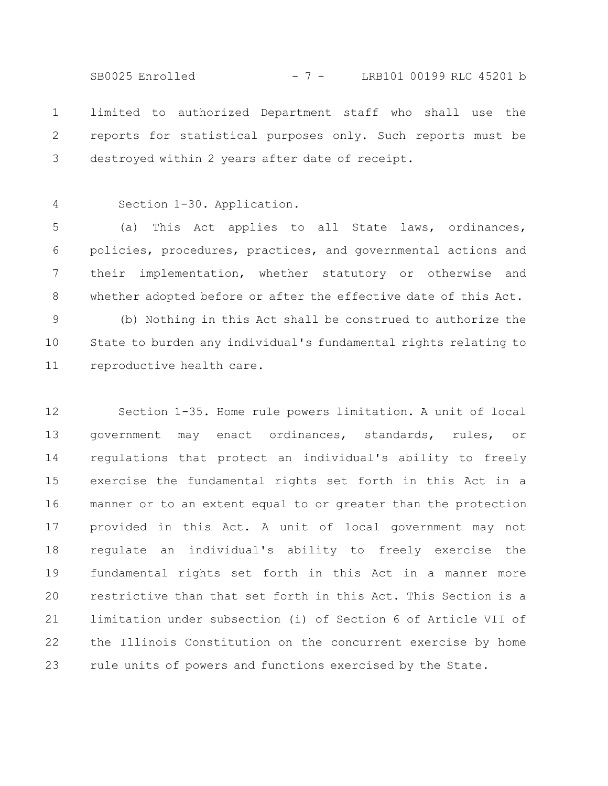limited to authorized Department staff who shall use the reports for statistical purposes only. Such reports must be destroyed within 2 years after date of receipt. 1 2 3 SB0025 Enrolled - 7 - LRB101 00199 RLC 45201 b

Section 1-30. Application. 4

(a) This Act applies to all State laws, ordinances, policies, procedures, practices, and governmental actions and their implementation, whether statutory or otherwise and whether adopted before or after the effective date of this Act. 5 6 7 8

(b) Nothing in this Act shall be construed to authorize the State to burden any individual's fundamental rights relating to reproductive health care. 9 10 11

Section 1-35. Home rule powers limitation. A unit of local government may enact ordinances, standards, rules, or regulations that protect an individual's ability to freely exercise the fundamental rights set forth in this Act in a manner or to an extent equal to or greater than the protection provided in this Act. A unit of local government may not regulate an individual's ability to freely exercise the fundamental rights set forth in this Act in a manner more restrictive than that set forth in this Act. This Section is a limitation under subsection (i) of Section 6 of Article VII of the Illinois Constitution on the concurrent exercise by home rule units of powers and functions exercised by the State. 12 13 14 15 16 17 18 19 20 21 22 23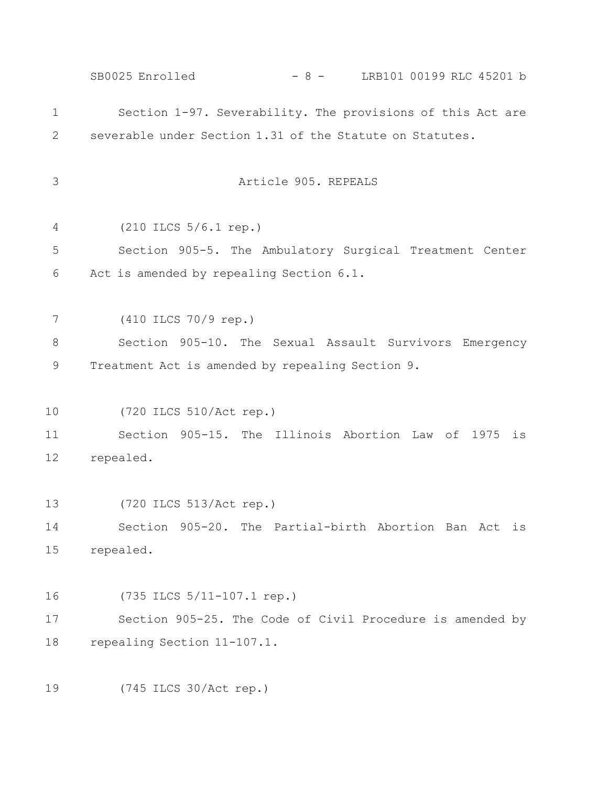Section 1-97. Severability. The provisions of this Act are severable under Section 1.31 of the Statute on Statutes. Article 905. REPEALS (210 ILCS 5/6.1 rep.) Section 905-5. The Ambulatory Surgical Treatment Center Act is amended by repealing Section 6.1. (410 ILCS 70/9 rep.) Section 905-10. The Sexual Assault Survivors Emergency Treatment Act is amended by repealing Section 9. (720 ILCS 510/Act rep.) Section 905-15. The Illinois Abortion Law of 1975 is repealed. (720 ILCS 513/Act rep.) Section 905-20. The Partial-birth Abortion Ban Act is repealed. (735 ILCS 5/11-107.1 rep.) Section 905-25. The Code of Civil Procedure is amended by repealing Section 11-107.1. (745 ILCS 30/Act rep.) 1 2 3 4 5 6 7 8 9 10 11 12 13 14 15 16 17 18 19 SB0025 Enrolled - 8 - LRB101 00199 RLC 45201 b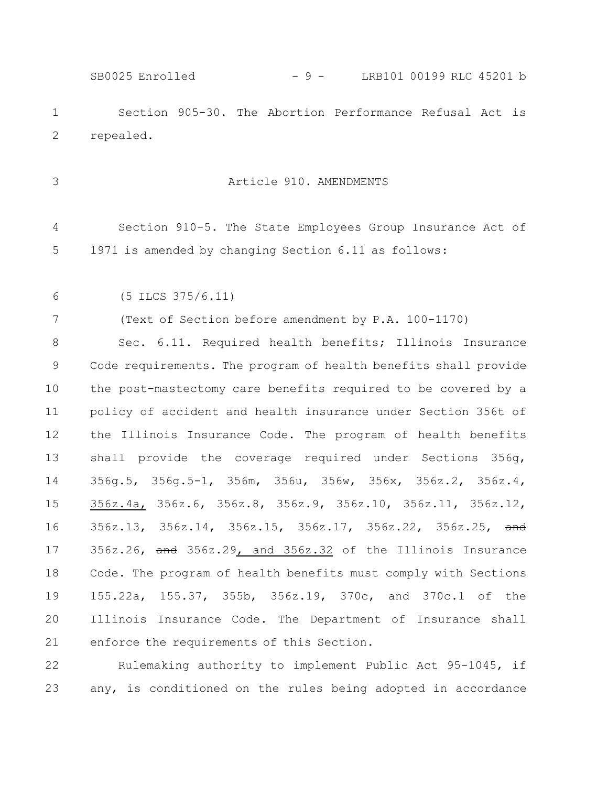Section 905-30. The Abortion Performance Refusal Act is repealed. 1 2 SB0025 Enrolled - 9 - LRB101 00199 RLC 45201 b

3

## Article 910. AMENDMENTS

Section 910-5. The State Employees Group Insurance Act of 1971 is amended by changing Section 6.11 as follows: 4 5

(5 ILCS 375/6.11) 6

(Text of Section before amendment by P.A. 100-1170) 7

Sec. 6.11. Required health benefits; Illinois Insurance Code requirements. The program of health benefits shall provide the post-mastectomy care benefits required to be covered by a policy of accident and health insurance under Section 356t of the Illinois Insurance Code. The program of health benefits shall provide the coverage required under Sections 356g, 356g.5, 356g.5-1, 356m, 356u, 356w, 356x, 356z.2, 356z.4, 356z.4a, 356z.6, 356z.8, 356z.9, 356z.10, 356z.11, 356z.12, 356z.13, 356z.14, 356z.15, 356z.17, 356z.22, 356z.25, and 356z.26, and 356z.29, and 356z.32 of the Illinois Insurance Code. The program of health benefits must comply with Sections 155.22a, 155.37, 355b, 356z.19, 370c, and 370c.1 of the Illinois Insurance Code. The Department of Insurance shall enforce the requirements of this Section. 8 9 10 11 12 13 14 15 16 17 18 19 20 21

Rulemaking authority to implement Public Act 95-1045, if any, is conditioned on the rules being adopted in accordance 22 23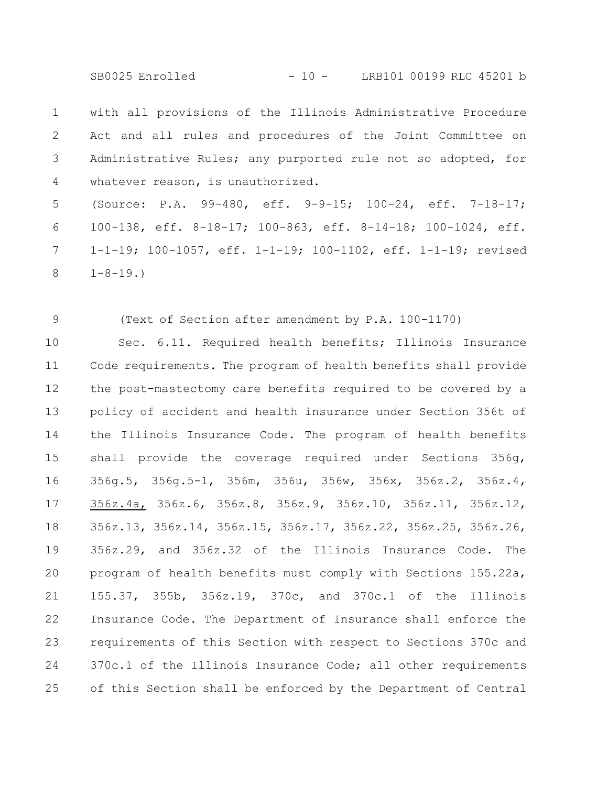SB0025 Enrolled - 10 - LRB101 00199 RLC 45201 b

with all provisions of the Illinois Administrative Procedure Act and all rules and procedures of the Joint Committee on Administrative Rules; any purported rule not so adopted, for whatever reason, is unauthorized. 1 2 3 4

(Source: P.A. 99-480, eff. 9-9-15; 100-24, eff. 7-18-17; 100-138, eff. 8-18-17; 100-863, eff. 8-14-18; 100-1024, eff. 1-1-19; 100-1057, eff. 1-1-19; 100-1102, eff. 1-1-19; revised  $1-8-19.$ 5 6 7 8

(Text of Section after amendment by P.A. 100-1170)

9

Sec. 6.11. Required health benefits; Illinois Insurance Code requirements. The program of health benefits shall provide the post-mastectomy care benefits required to be covered by a policy of accident and health insurance under Section 356t of the Illinois Insurance Code. The program of health benefits shall provide the coverage required under Sections 356g, 356g.5, 356g.5-1, 356m, 356u, 356w, 356x, 356z.2, 356z.4, 356z.4a, 356z.6, 356z.8, 356z.9, 356z.10, 356z.11, 356z.12, 356z.13, 356z.14, 356z.15, 356z.17, 356z.22, 356z.25, 356z.26, 356z.29, and 356z.32 of the Illinois Insurance Code. The program of health benefits must comply with Sections 155.22a, 155.37, 355b, 356z.19, 370c, and 370c.1 of the Illinois Insurance Code. The Department of Insurance shall enforce the requirements of this Section with respect to Sections 370c and 370c.1 of the Illinois Insurance Code; all other requirements of this Section shall be enforced by the Department of Central 10 11 12 13 14 15 16 17 18 19 20 21 22 23 24 25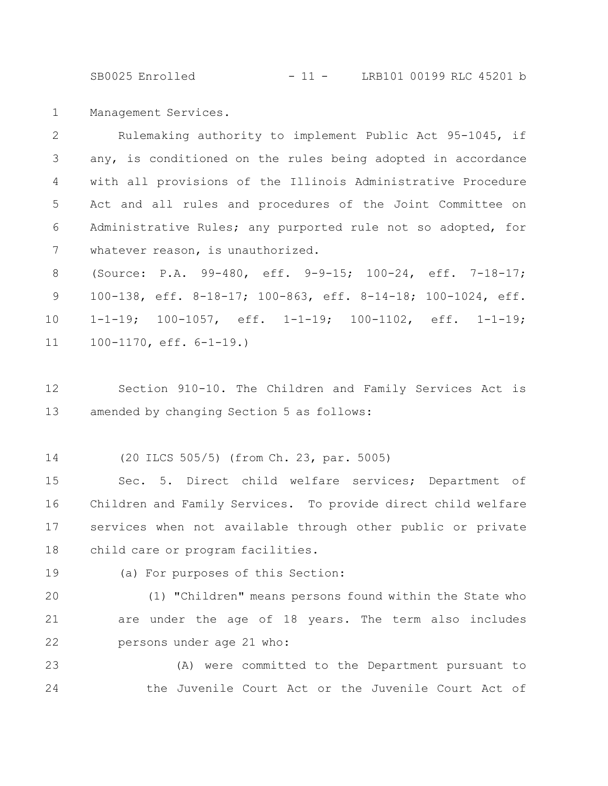SB0025 Enrolled - 11 - LRB101 00199 RLC 45201 b

Management Services. 1

Rulemaking authority to implement Public Act 95-1045, if any, is conditioned on the rules being adopted in accordance with all provisions of the Illinois Administrative Procedure Act and all rules and procedures of the Joint Committee on Administrative Rules; any purported rule not so adopted, for whatever reason, is unauthorized. 2 3 4 5 6 7

(Source: P.A. 99-480, eff. 9-9-15; 100-24, eff. 7-18-17; 100-138, eff. 8-18-17; 100-863, eff. 8-14-18; 100-1024, eff. 1-1-19; 100-1057, eff. 1-1-19; 100-1102, eff. 1-1-19; 100-1170, eff. 6-1-19.) 8 9 10 11

- Section 910-10. The Children and Family Services Act is amended by changing Section 5 as follows: 12 13
- (20 ILCS 505/5) (from Ch. 23, par. 5005) 14

Sec. 5. Direct child welfare services; Department of Children and Family Services. To provide direct child welfare services when not available through other public or private child care or program facilities. 15 16 17 18

19

(a) For purposes of this Section:

(1) "Children" means persons found within the State who are under the age of 18 years. The term also includes persons under age 21 who: 20 21 22

(A) were committed to the Department pursuant to the Juvenile Court Act or the Juvenile Court Act of 23 24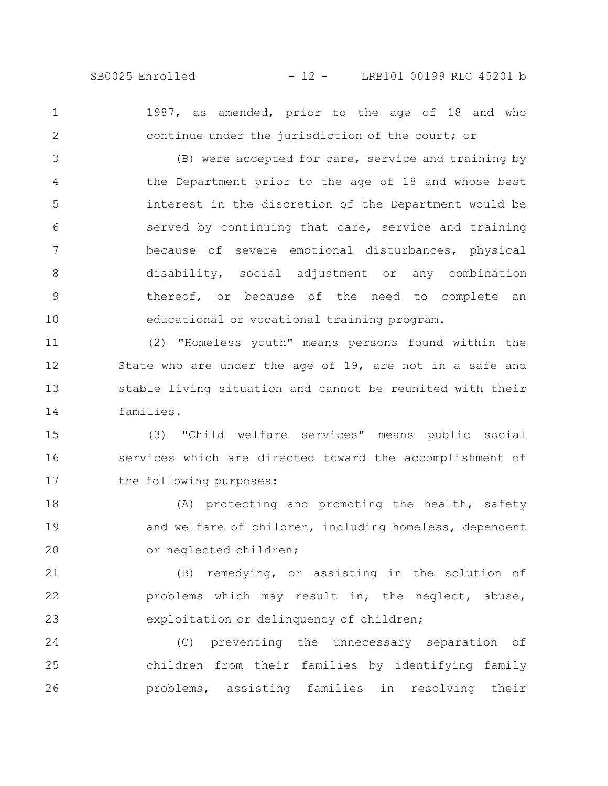2

1

1987, as amended, prior to the age of 18 and who continue under the jurisdiction of the court; or

(B) were accepted for care, service and training by the Department prior to the age of 18 and whose best interest in the discretion of the Department would be served by continuing that care, service and training because of severe emotional disturbances, physical disability, social adjustment or any combination thereof, or because of the need to complete an educational or vocational training program. 3 4 5 6 7 8 9 10

(2) "Homeless youth" means persons found within the State who are under the age of 19, are not in a safe and stable living situation and cannot be reunited with their families. 11 12 13 14

(3) "Child welfare services" means public social services which are directed toward the accomplishment of the following purposes: 15 16 17

(A) protecting and promoting the health, safety and welfare of children, including homeless, dependent or neglected children; 18 19 20

(B) remedying, or assisting in the solution of problems which may result in, the neglect, abuse, exploitation or delinquency of children; 21 22 23

(C) preventing the unnecessary separation of children from their families by identifying family problems, assisting families in resolving their 24 25 26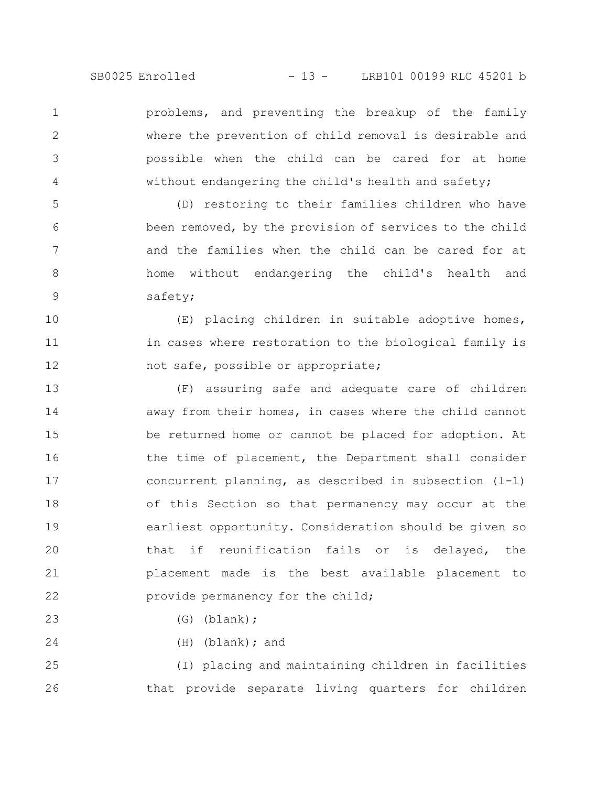problems, and preventing the breakup of the family where the prevention of child removal is desirable and possible when the child can be cared for at home without endangering the child's health and safety; 1 2 3 4

(D) restoring to their families children who have been removed, by the provision of services to the child and the families when the child can be cared for at home without endangering the child's health and safety; 5 6 7 8

(E) placing children in suitable adoptive homes, in cases where restoration to the biological family is not safe, possible or appropriate; 10 11 12

(F) assuring safe and adequate care of children away from their homes, in cases where the child cannot be returned home or cannot be placed for adoption. At the time of placement, the Department shall consider concurrent planning, as described in subsection  $(1-1)$ of this Section so that permanency may occur at the earliest opportunity. Consideration should be given so that if reunification fails or is delayed, the placement made is the best available placement to provide permanency for the child; 13 14 15 16 17 18 19 20 21 22

(G) (blank);

9

23

24

(H) (blank); and

(I) placing and maintaining children in facilities that provide separate living quarters for children 25 26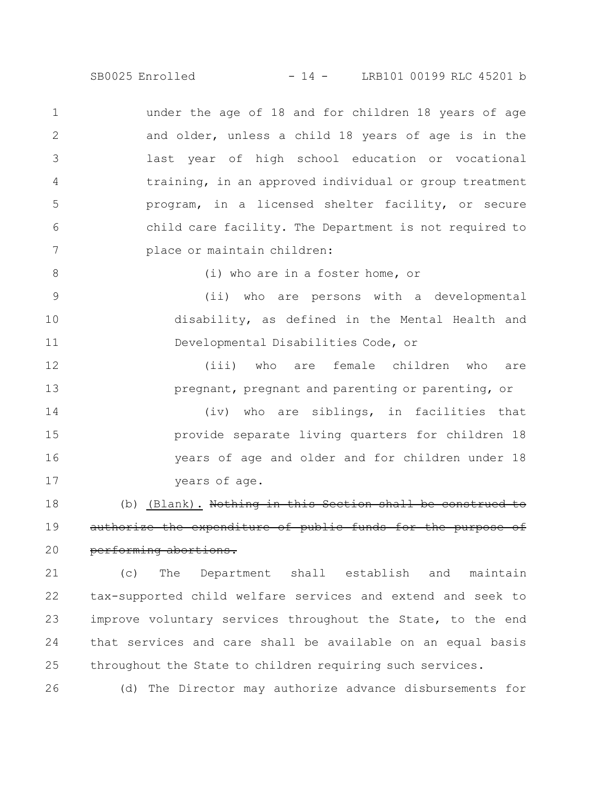SB0025 Enrolled - 14 - LRB101 00199 RLC 45201 b

under the age of 18 and for children 18 years of age and older, unless a child 18 years of age is in the last year of high school education or vocational training, in an approved individual or group treatment program, in a licensed shelter facility, or secure child care facility. The Department is not required to place or maintain children: 1 2 3 4 5 6 7

8

(i) who are in a foster home, or

(ii) who are persons with a developmental disability, as defined in the Mental Health and Developmental Disabilities Code, or 9 10 11

(iii) who are female children who are pregnant, pregnant and parenting or parenting, or 12 13

(iv) who are siblings, in facilities that provide separate living quarters for children 18 years of age and older and for children under 18 years of age. 14 15 16 17

(b) (Blank). Nothing in this Section shall authorize the expenditure of public funds for the purpose of performing abortions. 18 19 20

(c) The Department shall establish and maintain tax-supported child welfare services and extend and seek to improve voluntary services throughout the State, to the end that services and care shall be available on an equal basis throughout the State to children requiring such services. 21 22 23 24 25

(d) The Director may authorize advance disbursements for 26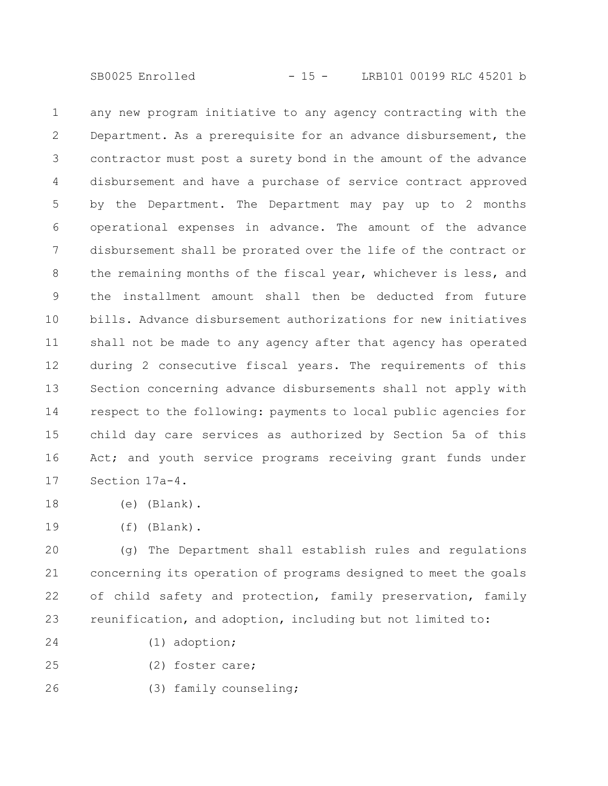any new program initiative to any agency contracting with the Department. As a prerequisite for an advance disbursement, the contractor must post a surety bond in the amount of the advance disbursement and have a purchase of service contract approved by the Department. The Department may pay up to 2 months operational expenses in advance. The amount of the advance disbursement shall be prorated over the life of the contract or the remaining months of the fiscal year, whichever is less, and the installment amount shall then be deducted from future bills. Advance disbursement authorizations for new initiatives shall not be made to any agency after that agency has operated during 2 consecutive fiscal years. The requirements of this Section concerning advance disbursements shall not apply with respect to the following: payments to local public agencies for child day care services as authorized by Section 5a of this Act; and youth service programs receiving grant funds under Section 17a-4. 1 2 3 4 5 6 7 8 9 10 11 12 13 14 15 16 17

- (e) (Blank). 18
- (f) (Blank). 19

(g) The Department shall establish rules and regulations concerning its operation of programs designed to meet the goals of child safety and protection, family preservation, family reunification, and adoption, including but not limited to: 20 21 22 23

- (1) adoption; 24
- (2) foster care; 25
- (3) family counseling; 26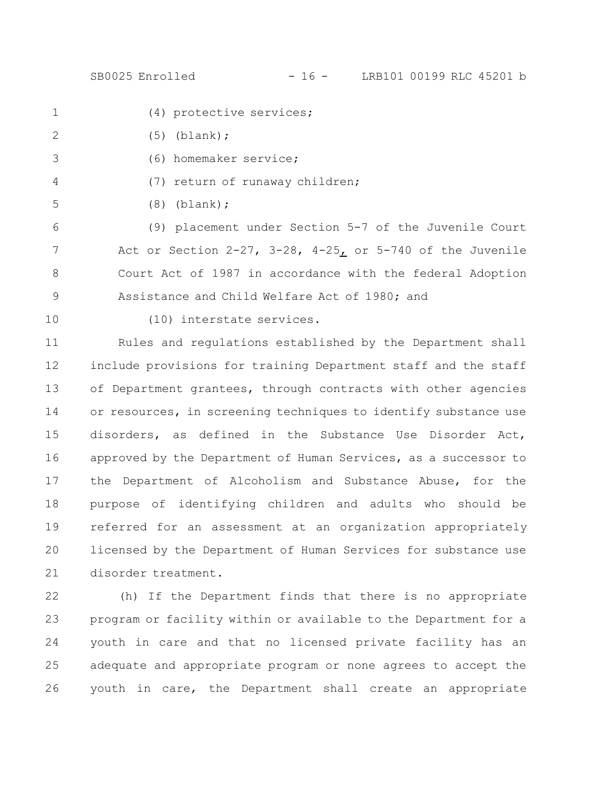SB0025 Enrolled - 16 - LRB101 00199 RLC 45201 b

- 1
	- (4) protective services;
- (5) (blank); 2
	- (6) homemaker service;
		- (7) return of runaway children;
	-
- (8) (blank);

(9) placement under Section 5-7 of the Juvenile Court Act or Section  $2-27$ ,  $3-28$ ,  $4-25$  or  $5-740$  of the Juvenile Court Act of 1987 in accordance with the federal Adoption Assistance and Child Welfare Act of 1980; and 6 7 8 9

10

3

4

5

(10) interstate services.

Rules and regulations established by the Department shall include provisions for training Department staff and the staff of Department grantees, through contracts with other agencies or resources, in screening techniques to identify substance use disorders, as defined in the Substance Use Disorder Act, approved by the Department of Human Services, as a successor to the Department of Alcoholism and Substance Abuse, for the purpose of identifying children and adults who should be referred for an assessment at an organization appropriately licensed by the Department of Human Services for substance use disorder treatment. 11 12 13 14 15 16 17 18 19 20 21

(h) If the Department finds that there is no appropriate program or facility within or available to the Department for a youth in care and that no licensed private facility has an adequate and appropriate program or none agrees to accept the youth in care, the Department shall create an appropriate 22 23 24 25 26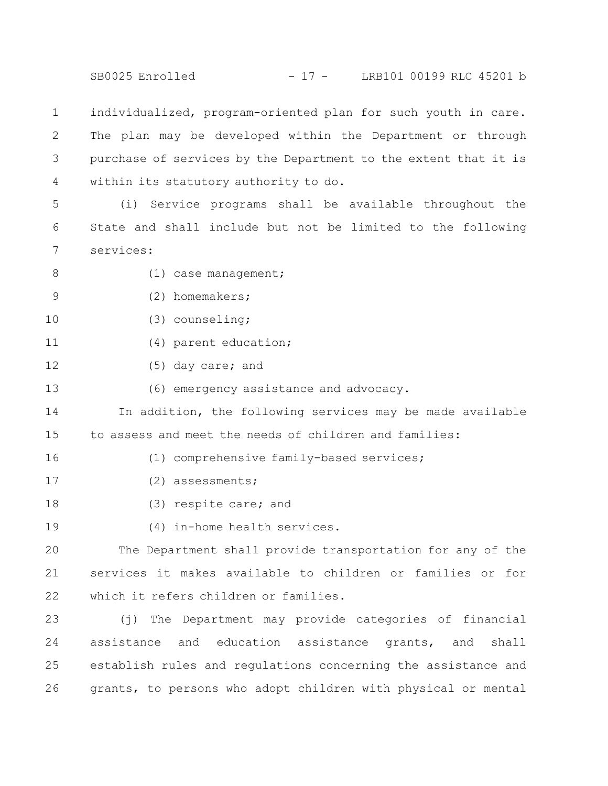SB0025 Enrolled - 17 - LRB101 00199 RLC 45201 b

individualized, program-oriented plan for such youth in care. The plan may be developed within the Department or through purchase of services by the Department to the extent that it is within its statutory authority to do. 1 2 3 4

(i) Service programs shall be available throughout the State and shall include but not be limited to the following services: 5 6 7

8

(1) case management;

- (2) homemakers; 9
- (3) counseling; 10
- (4) parent education; 11
- (5) day care; and 12

(6) emergency assistance and advocacy. 13

In addition, the following services may be made available to assess and meet the needs of children and families: 14 15

(1) comprehensive family-based services;

16

17

- (2) assessments;
- (3) respite care; and 18
- (4) in-home health services. 19

The Department shall provide transportation for any of the services it makes available to children or families or for which it refers children or families. 20 21 22

(j) The Department may provide categories of financial assistance and education assistance grants, and shall establish rules and regulations concerning the assistance and grants, to persons who adopt children with physical or mental 23 24 25 26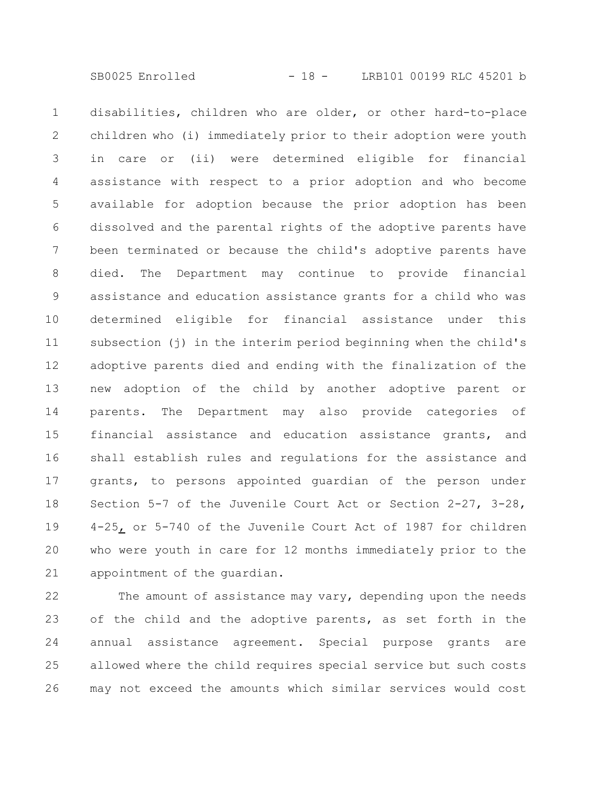disabilities, children who are older, or other hard-to-place children who (i) immediately prior to their adoption were youth in care or (ii) were determined eligible for financial assistance with respect to a prior adoption and who become available for adoption because the prior adoption has been dissolved and the parental rights of the adoptive parents have been terminated or because the child's adoptive parents have died. The Department may continue to provide financial assistance and education assistance grants for a child who was determined eligible for financial assistance under this subsection (j) in the interim period beginning when the child's adoptive parents died and ending with the finalization of the new adoption of the child by another adoptive parent or parents. The Department may also provide categories of financial assistance and education assistance grants, and shall establish rules and regulations for the assistance and grants, to persons appointed guardian of the person under Section 5-7 of the Juvenile Court Act or Section 2-27, 3-28, 4-25, or 5-740 of the Juvenile Court Act of 1987 for children who were youth in care for 12 months immediately prior to the appointment of the guardian. 1 2 3 4 5 6 7 8 9 10 11 12 13 14 15 16 17 18 19 20 21

The amount of assistance may vary, depending upon the needs of the child and the adoptive parents, as set forth in the annual assistance agreement. Special purpose grants are allowed where the child requires special service but such costs may not exceed the amounts which similar services would cost 22 23 24 25 26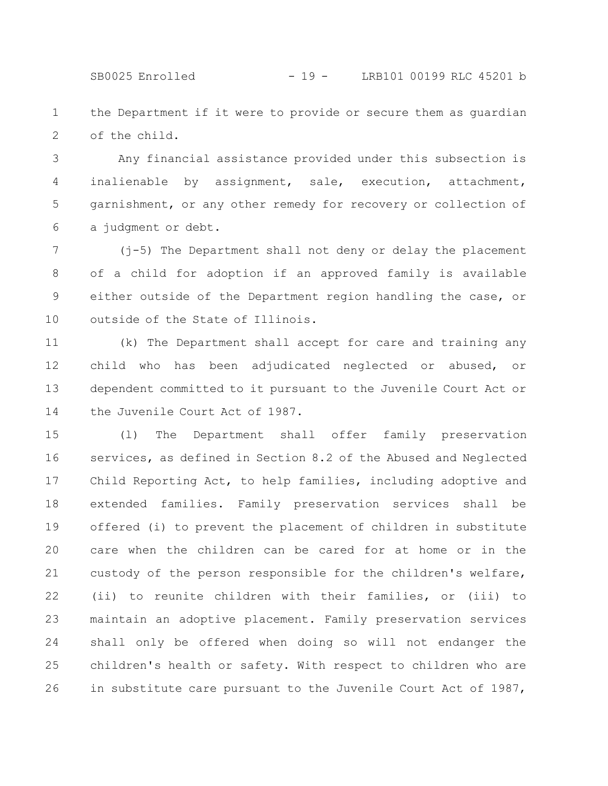SB0025 Enrolled - 19 - LRB101 00199 RLC 45201 b

the Department if it were to provide or secure them as guardian of the child. 1 2

Any financial assistance provided under this subsection is inalienable by assignment, sale, execution, attachment, garnishment, or any other remedy for recovery or collection of a judgment or debt. 3 4 5 6

(j-5) The Department shall not deny or delay the placement of a child for adoption if an approved family is available either outside of the Department region handling the case, or outside of the State of Illinois. 7 8 9 10

(k) The Department shall accept for care and training any child who has been adjudicated neglected or abused, or dependent committed to it pursuant to the Juvenile Court Act or the Juvenile Court Act of 1987. 11 12 13 14

(l) The Department shall offer family preservation services, as defined in Section 8.2 of the Abused and Neglected Child Reporting Act, to help families, including adoptive and extended families. Family preservation services shall be offered (i) to prevent the placement of children in substitute care when the children can be cared for at home or in the custody of the person responsible for the children's welfare, (ii) to reunite children with their families, or (iii) to maintain an adoptive placement. Family preservation services shall only be offered when doing so will not endanger the children's health or safety. With respect to children who are in substitute care pursuant to the Juvenile Court Act of 1987, 15 16 17 18 19 20 21 22 23 24 25 26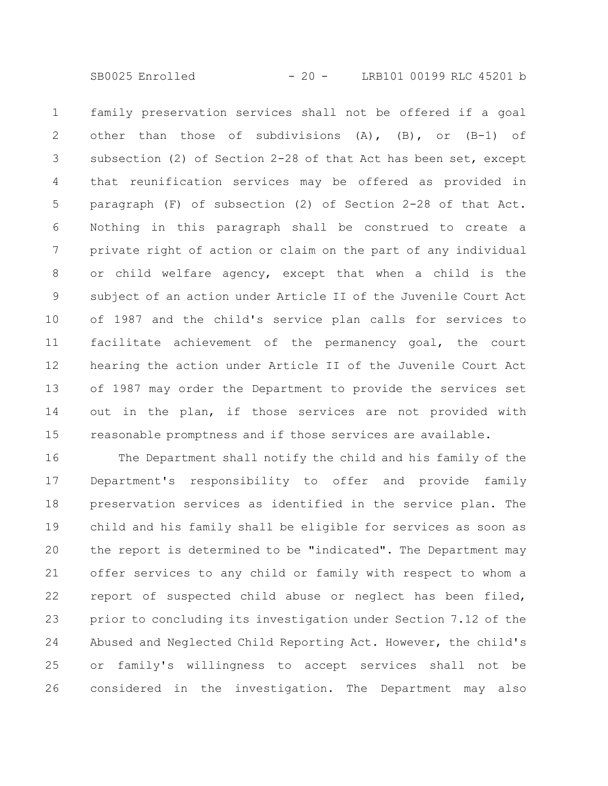SB0025 Enrolled - 20 - LRB101 00199 RLC 45201 b

family preservation services shall not be offered if a goal other than those of subdivisions (A), (B), or (B-1) of subsection (2) of Section 2-28 of that Act has been set, except that reunification services may be offered as provided in paragraph (F) of subsection (2) of Section 2-28 of that Act. Nothing in this paragraph shall be construed to create a private right of action or claim on the part of any individual or child welfare agency, except that when a child is the subject of an action under Article II of the Juvenile Court Act of 1987 and the child's service plan calls for services to facilitate achievement of the permanency goal, the court hearing the action under Article II of the Juvenile Court Act of 1987 may order the Department to provide the services set out in the plan, if those services are not provided with reasonable promptness and if those services are available. 1 2 3 4 5 6 7 8 9 10 11 12 13 14 15

The Department shall notify the child and his family of the Department's responsibility to offer and provide family preservation services as identified in the service plan. The child and his family shall be eligible for services as soon as the report is determined to be "indicated". The Department may offer services to any child or family with respect to whom a report of suspected child abuse or neglect has been filed, prior to concluding its investigation under Section 7.12 of the Abused and Neglected Child Reporting Act. However, the child's or family's willingness to accept services shall not be considered in the investigation. The Department may also 16 17 18 19 20 21 22 23 24 25 26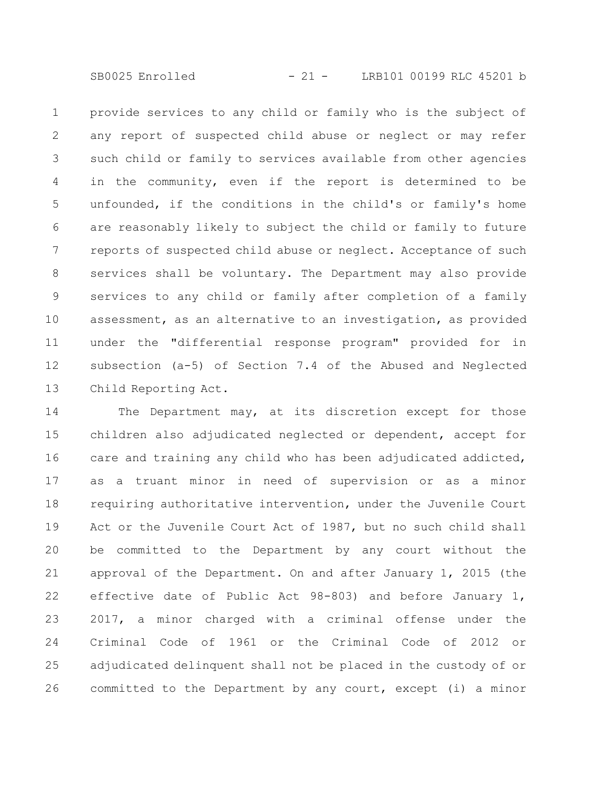SB0025 Enrolled - 21 - LRB101 00199 RLC 45201 b

provide services to any child or family who is the subject of any report of suspected child abuse or neglect or may refer such child or family to services available from other agencies in the community, even if the report is determined to be unfounded, if the conditions in the child's or family's home are reasonably likely to subject the child or family to future reports of suspected child abuse or neglect. Acceptance of such services shall be voluntary. The Department may also provide services to any child or family after completion of a family assessment, as an alternative to an investigation, as provided under the "differential response program" provided for in subsection (a-5) of Section 7.4 of the Abused and Neglected Child Reporting Act. 1 2 3 4 5 6 7 8 9 10 11 12 13

The Department may, at its discretion except for those children also adjudicated neglected or dependent, accept for care and training any child who has been adjudicated addicted, as a truant minor in need of supervision or as a minor requiring authoritative intervention, under the Juvenile Court Act or the Juvenile Court Act of 1987, but no such child shall be committed to the Department by any court without the approval of the Department. On and after January 1, 2015 (the effective date of Public Act 98-803) and before January 1, 2017, a minor charged with a criminal offense under the Criminal Code of 1961 or the Criminal Code of 2012 or adjudicated delinquent shall not be placed in the custody of or committed to the Department by any court, except (i) a minor 14 15 16 17 18 19 20 21 22 23 24 25 26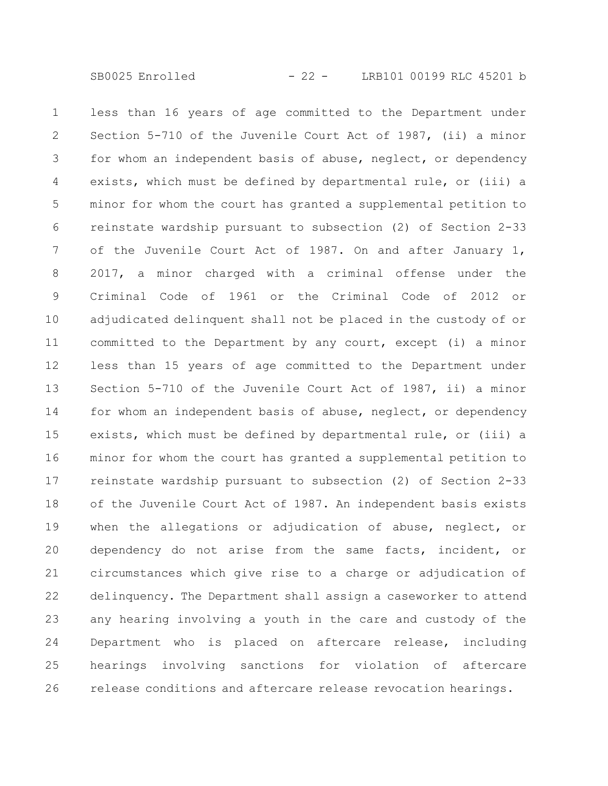less than 16 years of age committed to the Department under Section 5-710 of the Juvenile Court Act of 1987, (ii) a minor for whom an independent basis of abuse, neglect, or dependency exists, which must be defined by departmental rule, or (iii) a minor for whom the court has granted a supplemental petition to reinstate wardship pursuant to subsection (2) of Section 2-33 of the Juvenile Court Act of 1987. On and after January 1, 2017, a minor charged with a criminal offense under the Criminal Code of 1961 or the Criminal Code of 2012 or adjudicated delinquent shall not be placed in the custody of or committed to the Department by any court, except (i) a minor less than 15 years of age committed to the Department under Section 5-710 of the Juvenile Court Act of 1987, ii) a minor for whom an independent basis of abuse, neglect, or dependency exists, which must be defined by departmental rule, or (iii) a minor for whom the court has granted a supplemental petition to reinstate wardship pursuant to subsection (2) of Section 2-33 of the Juvenile Court Act of 1987. An independent basis exists when the allegations or adjudication of abuse, neglect, or dependency do not arise from the same facts, incident, or circumstances which give rise to a charge or adjudication of delinquency. The Department shall assign a caseworker to attend any hearing involving a youth in the care and custody of the Department who is placed on aftercare release, including hearings involving sanctions for violation of aftercare release conditions and aftercare release revocation hearings. 1 2 3 4 5 6 7 8 9 10 11 12 13 14 15 16 17 18 19 20 21 22 23 24 25 26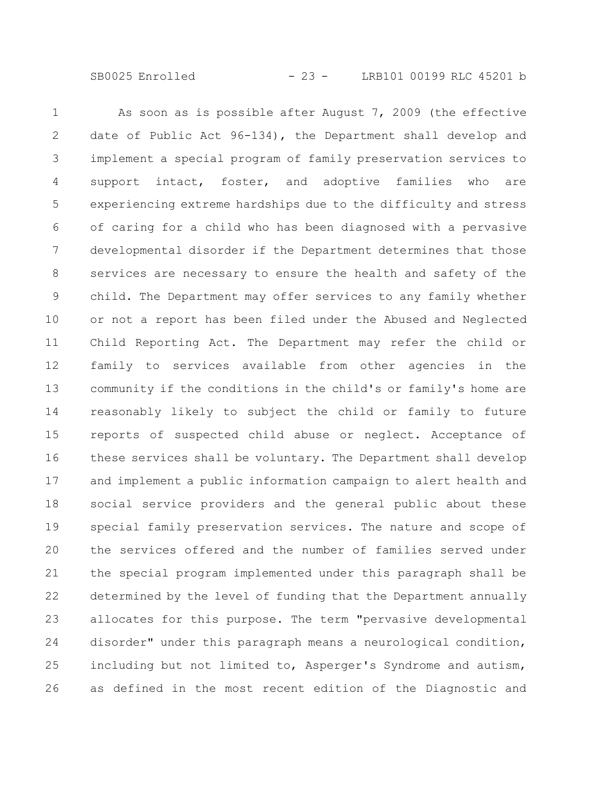SB0025 Enrolled - 23 - LRB101 00199 RLC 45201 b

As soon as is possible after August 7, 2009 (the effective date of Public Act 96-134), the Department shall develop and implement a special program of family preservation services to support intact, foster, and adoptive families who are experiencing extreme hardships due to the difficulty and stress of caring for a child who has been diagnosed with a pervasive developmental disorder if the Department determines that those services are necessary to ensure the health and safety of the child. The Department may offer services to any family whether or not a report has been filed under the Abused and Neglected Child Reporting Act. The Department may refer the child or family to services available from other agencies in the community if the conditions in the child's or family's home are reasonably likely to subject the child or family to future reports of suspected child abuse or neglect. Acceptance of these services shall be voluntary. The Department shall develop and implement a public information campaign to alert health and social service providers and the general public about these special family preservation services. The nature and scope of the services offered and the number of families served under the special program implemented under this paragraph shall be determined by the level of funding that the Department annually allocates for this purpose. The term "pervasive developmental disorder" under this paragraph means a neurological condition, including but not limited to, Asperger's Syndrome and autism, as defined in the most recent edition of the Diagnostic and 1 2 3 4 5 6 7 8 9 10 11 12 13 14 15 16 17 18 19 20 21 22 23 24 25 26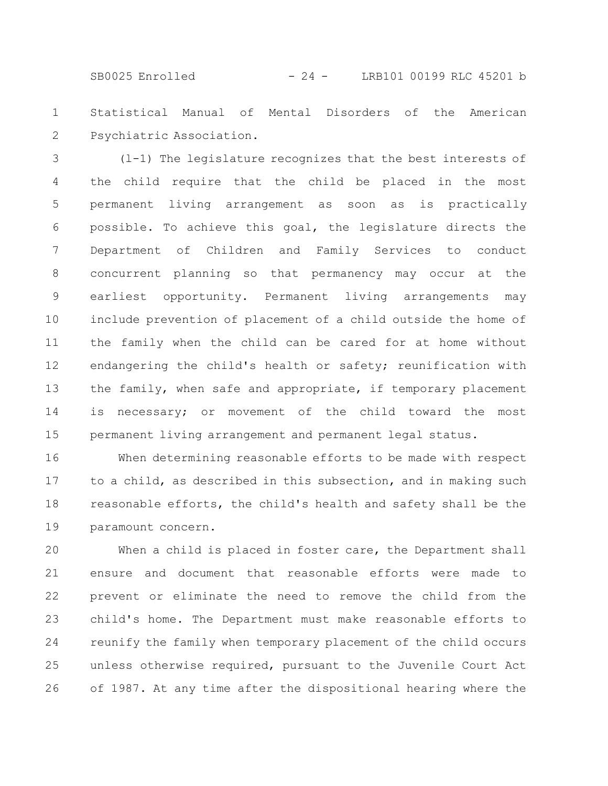SB0025 Enrolled - 24 - LRB101 00199 RLC 45201 b

Statistical Manual of Mental Disorders of the American Psychiatric Association. 1 2

(l-1) The legislature recognizes that the best interests of the child require that the child be placed in the most permanent living arrangement as soon as is practically possible. To achieve this goal, the legislature directs the Department of Children and Family Services to conduct concurrent planning so that permanency may occur at the earliest opportunity. Permanent living arrangements may include prevention of placement of a child outside the home of the family when the child can be cared for at home without endangering the child's health or safety; reunification with the family, when safe and appropriate, if temporary placement is necessary; or movement of the child toward the most permanent living arrangement and permanent legal status. 3 4 5 6 7 8 9 10 11 12 13 14 15

When determining reasonable efforts to be made with respect to a child, as described in this subsection, and in making such reasonable efforts, the child's health and safety shall be the paramount concern. 16 17 18 19

When a child is placed in foster care, the Department shall ensure and document that reasonable efforts were made to prevent or eliminate the need to remove the child from the child's home. The Department must make reasonable efforts to reunify the family when temporary placement of the child occurs unless otherwise required, pursuant to the Juvenile Court Act of 1987. At any time after the dispositional hearing where the 20 21 22 23 24 25 26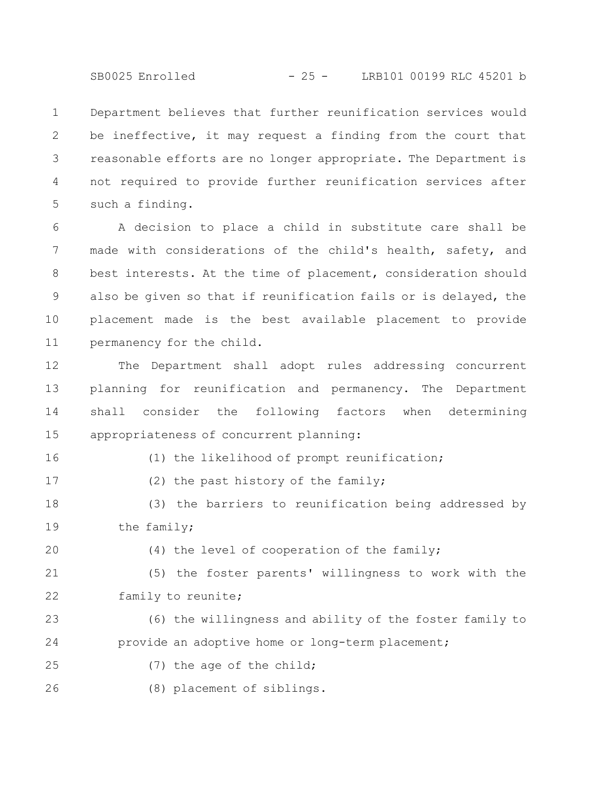SB0025 Enrolled - 25 - LRB101 00199 RLC 45201 b

Department believes that further reunification services would be ineffective, it may request a finding from the court that reasonable efforts are no longer appropriate. The Department is not required to provide further reunification services after such a finding. 1 2 3 4 5

A decision to place a child in substitute care shall be made with considerations of the child's health, safety, and best interests. At the time of placement, consideration should also be given so that if reunification fails or is delayed, the placement made is the best available placement to provide permanency for the child. 6 7 8 9 10 11

The Department shall adopt rules addressing concurrent planning for reunification and permanency. The Department shall consider the following factors when determining appropriateness of concurrent planning: 12 13 14 15

16

(1) the likelihood of prompt reunification;

17

(2) the past history of the family;

(3) the barriers to reunification being addressed by the family; 18 19

20

(4) the level of cooperation of the family;

(5) the foster parents' willingness to work with the family to reunite; 21 22

(6) the willingness and ability of the foster family to provide an adoptive home or long-term placement; 23 24

(7) the age of the child; 25

(8) placement of siblings. 26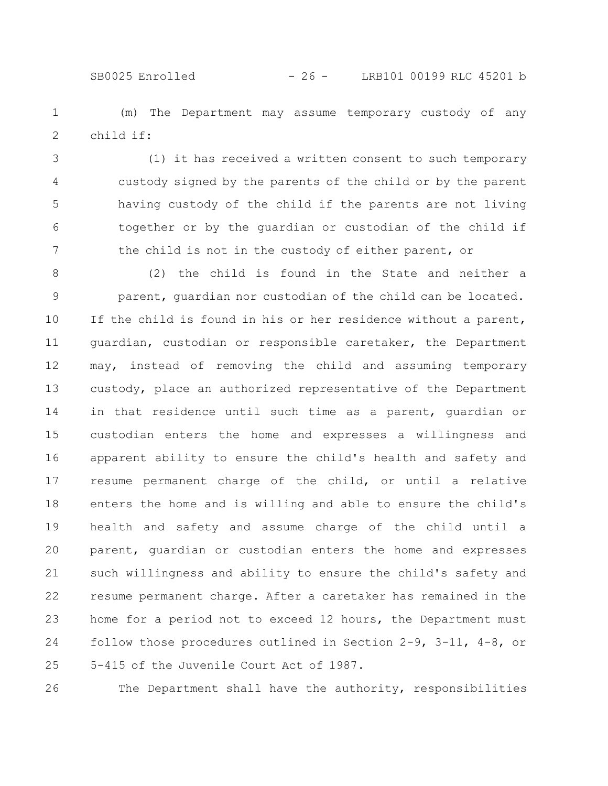### SB0025 Enrolled - 26 - LRB101 00199 RLC 45201 b

(m) The Department may assume temporary custody of any child if: 1 2

(1) it has received a written consent to such temporary custody signed by the parents of the child or by the parent having custody of the child if the parents are not living together or by the guardian or custodian of the child if the child is not in the custody of either parent, or 3 4 5 6 7

(2) the child is found in the State and neither a parent, guardian nor custodian of the child can be located. If the child is found in his or her residence without a parent, guardian, custodian or responsible caretaker, the Department may, instead of removing the child and assuming temporary custody, place an authorized representative of the Department in that residence until such time as a parent, guardian or custodian enters the home and expresses a willingness and apparent ability to ensure the child's health and safety and resume permanent charge of the child, or until a relative enters the home and is willing and able to ensure the child's health and safety and assume charge of the child until a parent, guardian or custodian enters the home and expresses such willingness and ability to ensure the child's safety and resume permanent charge. After a caretaker has remained in the home for a period not to exceed 12 hours, the Department must follow those procedures outlined in Section 2-9, 3-11, 4-8, or 5-415 of the Juvenile Court Act of 1987. 8 9 10 11 12 13 14 15 16 17 18 19 20 21 22 23 24 25

The Department shall have the authority, responsibilities 26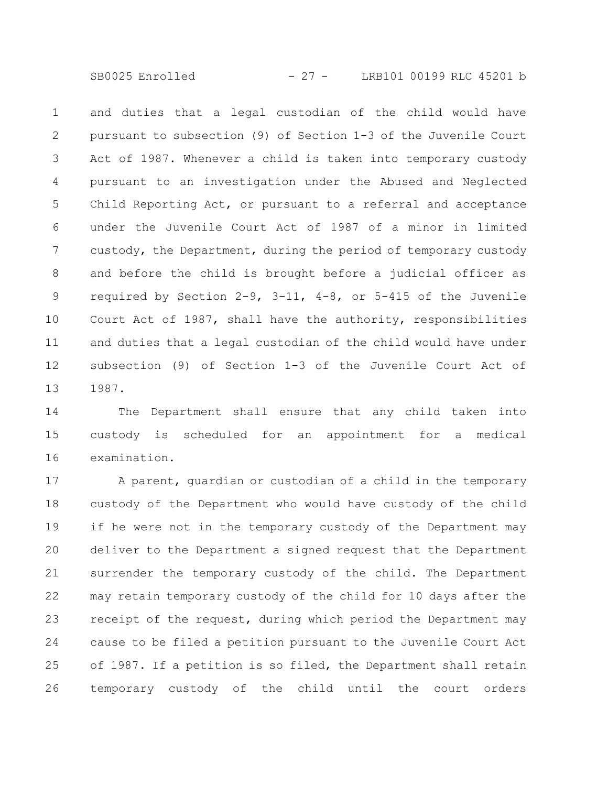SB0025 Enrolled - 27 - LRB101 00199 RLC 45201 b

and duties that a legal custodian of the child would have pursuant to subsection (9) of Section 1-3 of the Juvenile Court Act of 1987. Whenever a child is taken into temporary custody pursuant to an investigation under the Abused and Neglected Child Reporting Act, or pursuant to a referral and acceptance under the Juvenile Court Act of 1987 of a minor in limited custody, the Department, during the period of temporary custody and before the child is brought before a judicial officer as required by Section 2-9, 3-11, 4-8, or 5-415 of the Juvenile Court Act of 1987, shall have the authority, responsibilities and duties that a legal custodian of the child would have under subsection (9) of Section 1-3 of the Juvenile Court Act of 1987. 1 2 3 4 5 6 7 8 9 10 11 12 13

The Department shall ensure that any child taken into custody is scheduled for an appointment for a medical examination. 14 15 16

A parent, guardian or custodian of a child in the temporary custody of the Department who would have custody of the child if he were not in the temporary custody of the Department may deliver to the Department a signed request that the Department surrender the temporary custody of the child. The Department may retain temporary custody of the child for 10 days after the receipt of the request, during which period the Department may cause to be filed a petition pursuant to the Juvenile Court Act of 1987. If a petition is so filed, the Department shall retain temporary custody of the child until the court orders 17 18 19 20 21 22 23 24 25 26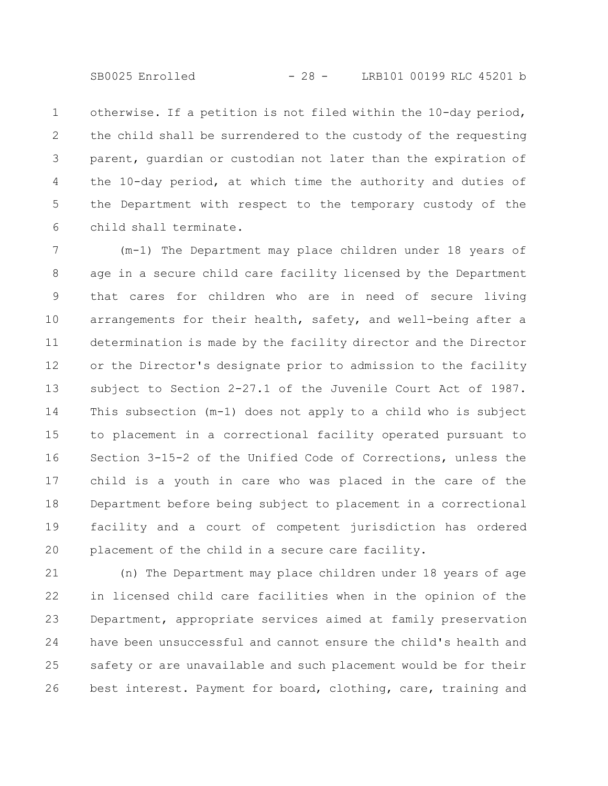SB0025 Enrolled - 28 - LRB101 00199 RLC 45201 b

otherwise. If a petition is not filed within the 10-day period, the child shall be surrendered to the custody of the requesting parent, guardian or custodian not later than the expiration of the 10-day period, at which time the authority and duties of the Department with respect to the temporary custody of the child shall terminate. 1 2 3 4 5 6

(m-1) The Department may place children under 18 years of age in a secure child care facility licensed by the Department that cares for children who are in need of secure living arrangements for their health, safety, and well-being after a determination is made by the facility director and the Director or the Director's designate prior to admission to the facility subject to Section 2-27.1 of the Juvenile Court Act of 1987. This subsection (m-1) does not apply to a child who is subject to placement in a correctional facility operated pursuant to Section 3-15-2 of the Unified Code of Corrections, unless the child is a youth in care who was placed in the care of the Department before being subject to placement in a correctional facility and a court of competent jurisdiction has ordered placement of the child in a secure care facility. 7 8 9 10 11 12 13 14 15 16 17 18 19 20

(n) The Department may place children under 18 years of age in licensed child care facilities when in the opinion of the Department, appropriate services aimed at family preservation have been unsuccessful and cannot ensure the child's health and safety or are unavailable and such placement would be for their best interest. Payment for board, clothing, care, training and 21 22 23 24 25 26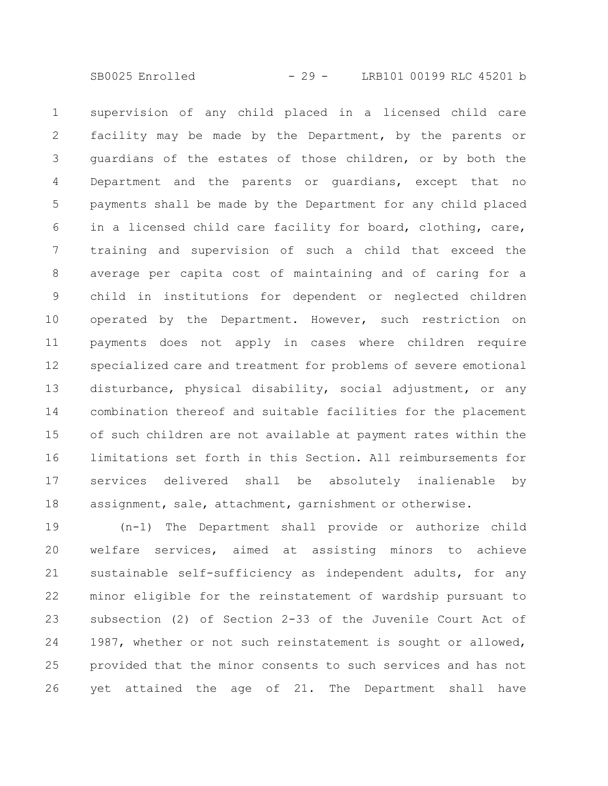supervision of any child placed in a licensed child care facility may be made by the Department, by the parents or guardians of the estates of those children, or by both the Department and the parents or guardians, except that no payments shall be made by the Department for any child placed in a licensed child care facility for board, clothing, care, training and supervision of such a child that exceed the average per capita cost of maintaining and of caring for a child in institutions for dependent or neglected children operated by the Department. However, such restriction on payments does not apply in cases where children require specialized care and treatment for problems of severe emotional disturbance, physical disability, social adjustment, or any combination thereof and suitable facilities for the placement of such children are not available at payment rates within the limitations set forth in this Section. All reimbursements for services delivered shall be absolutely inalienable by assignment, sale, attachment, garnishment or otherwise. 1 2 3 4 5 6 7 8 9 10 11 12 13 14 15 16 17 18

(n-1) The Department shall provide or authorize child welfare services, aimed at assisting minors to achieve sustainable self-sufficiency as independent adults, for any minor eligible for the reinstatement of wardship pursuant to subsection (2) of Section 2-33 of the Juvenile Court Act of 1987, whether or not such reinstatement is sought or allowed, provided that the minor consents to such services and has not yet attained the age of 21. The Department shall have 19 20 21 22 23 24 25 26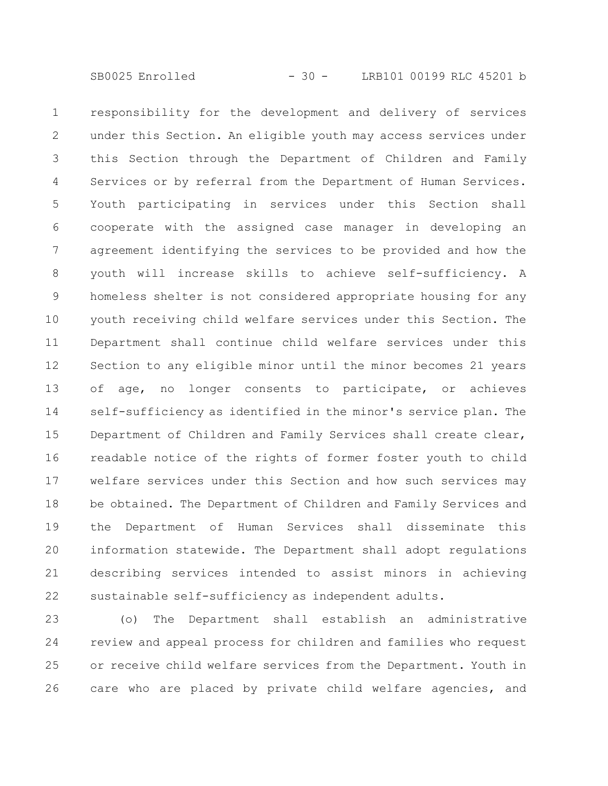responsibility for the development and delivery of services under this Section. An eligible youth may access services under this Section through the Department of Children and Family Services or by referral from the Department of Human Services. Youth participating in services under this Section shall cooperate with the assigned case manager in developing an agreement identifying the services to be provided and how the youth will increase skills to achieve self-sufficiency. A homeless shelter is not considered appropriate housing for any youth receiving child welfare services under this Section. The Department shall continue child welfare services under this Section to any eligible minor until the minor becomes 21 years of age, no longer consents to participate, or achieves self-sufficiency as identified in the minor's service plan. The Department of Children and Family Services shall create clear, readable notice of the rights of former foster youth to child welfare services under this Section and how such services may be obtained. The Department of Children and Family Services and the Department of Human Services shall disseminate this information statewide. The Department shall adopt regulations describing services intended to assist minors in achieving sustainable self-sufficiency as independent adults. 1 2 3 4 5 6 7 8 9 10 11 12 13 14 15 16 17 18 19 20 21 22

(o) The Department shall establish an administrative review and appeal process for children and families who request or receive child welfare services from the Department. Youth in care who are placed by private child welfare agencies, and 23 24 25 26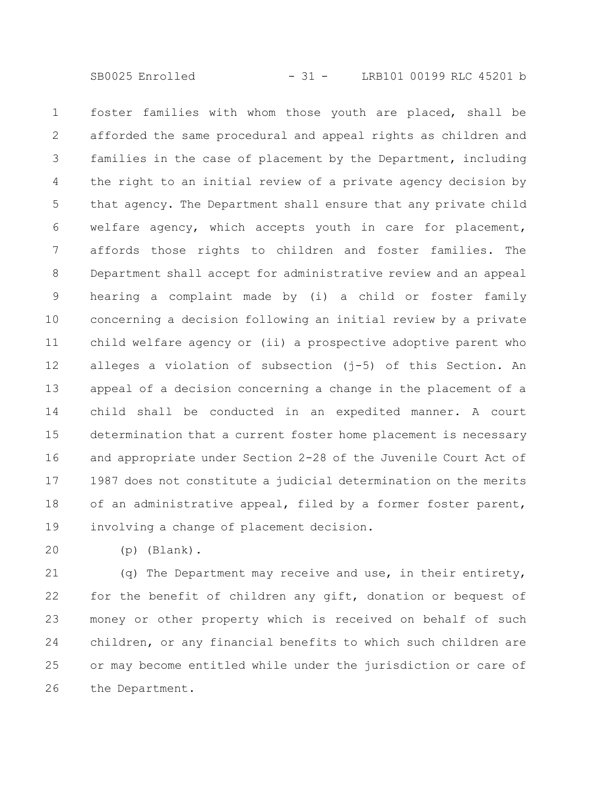foster families with whom those youth are placed, shall be afforded the same procedural and appeal rights as children and families in the case of placement by the Department, including the right to an initial review of a private agency decision by that agency. The Department shall ensure that any private child welfare agency, which accepts youth in care for placement, affords those rights to children and foster families. The Department shall accept for administrative review and an appeal hearing a complaint made by (i) a child or foster family concerning a decision following an initial review by a private child welfare agency or (ii) a prospective adoptive parent who alleges a violation of subsection (j-5) of this Section. An appeal of a decision concerning a change in the placement of a child shall be conducted in an expedited manner. A court determination that a current foster home placement is necessary and appropriate under Section 2-28 of the Juvenile Court Act of 1987 does not constitute a judicial determination on the merits of an administrative appeal, filed by a former foster parent, involving a change of placement decision. 1 2 3 4 5 6 7 8 9 10 11 12 13 14 15 16 17 18 19

20

(p) (Blank).

(q) The Department may receive and use, in their entirety, for the benefit of children any gift, donation or bequest of money or other property which is received on behalf of such children, or any financial benefits to which such children are or may become entitled while under the jurisdiction or care of the Department. 21 22 23 24 25 26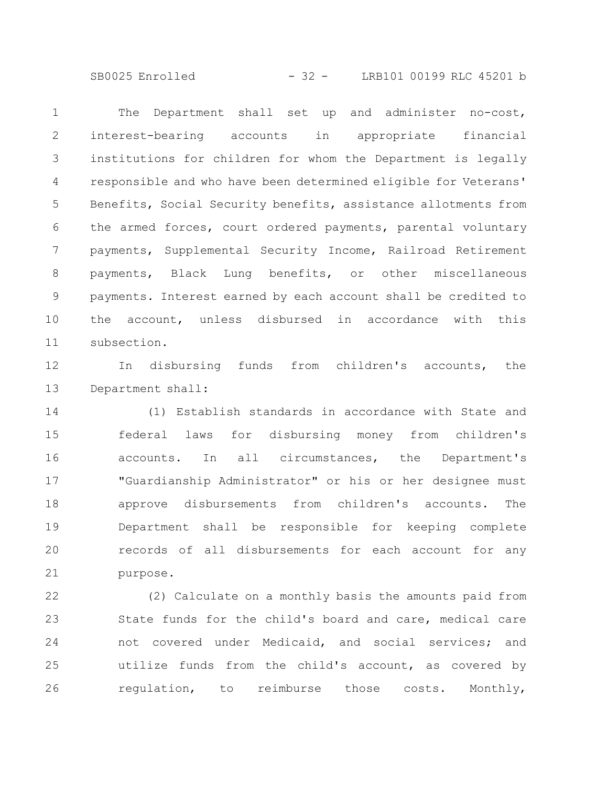SB0025 Enrolled - 32 - LRB101 00199 RLC 45201 b

The Department shall set up and administer no-cost, interest-bearing accounts in appropriate financial institutions for children for whom the Department is legally responsible and who have been determined eligible for Veterans' Benefits, Social Security benefits, assistance allotments from the armed forces, court ordered payments, parental voluntary payments, Supplemental Security Income, Railroad Retirement payments, Black Lung benefits, or other miscellaneous payments. Interest earned by each account shall be credited to the account, unless disbursed in accordance with this subsection. 1 2 3 4 5 6 7 8 9 10 11

In disbursing funds from children's accounts, the Department shall: 12 13

(1) Establish standards in accordance with State and federal laws for disbursing money from children's accounts. In all circumstances, the Department's "Guardianship Administrator" or his or her designee must approve disbursements from children's accounts. The Department shall be responsible for keeping complete records of all disbursements for each account for any purpose. 14 15 16 17 18 19 20 21

(2) Calculate on a monthly basis the amounts paid from State funds for the child's board and care, medical care not covered under Medicaid, and social services; and utilize funds from the child's account, as covered by regulation, to reimburse those costs. Monthly, 22 23 24 25 26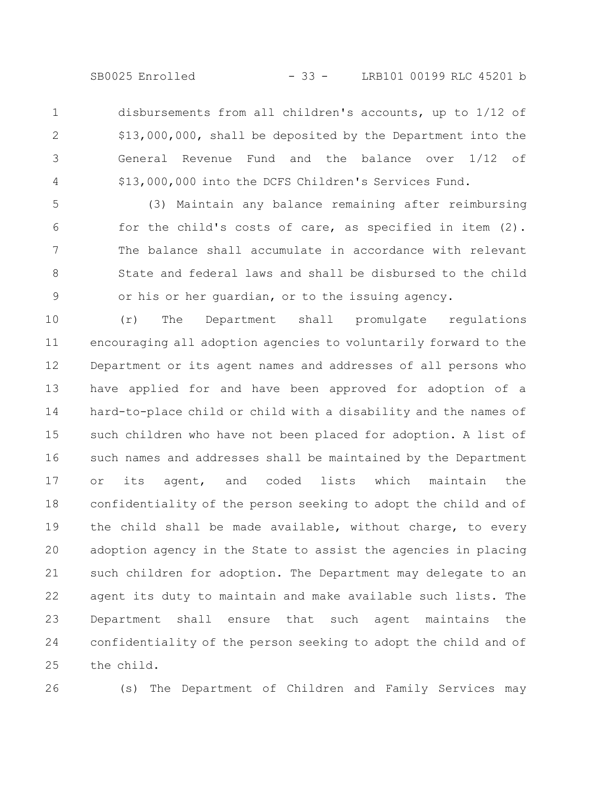SB0025 Enrolled - 33 - LRB101 00199 RLC 45201 b

disbursements from all children's accounts, up to 1/12 of \$13,000,000, shall be deposited by the Department into the General Revenue Fund and the balance over 1/12 of \$13,000,000 into the DCFS Children's Services Fund. 1 2 3 4

(3) Maintain any balance remaining after reimbursing for the child's costs of care, as specified in item (2). The balance shall accumulate in accordance with relevant State and federal laws and shall be disbursed to the child or his or her guardian, or to the issuing agency. 5 6 7 8 9

(r) The Department shall promulgate regulations encouraging all adoption agencies to voluntarily forward to the Department or its agent names and addresses of all persons who have applied for and have been approved for adoption of a hard-to-place child or child with a disability and the names of such children who have not been placed for adoption. A list of such names and addresses shall be maintained by the Department or its agent, and coded lists which maintain the confidentiality of the person seeking to adopt the child and of the child shall be made available, without charge, to every adoption agency in the State to assist the agencies in placing such children for adoption. The Department may delegate to an agent its duty to maintain and make available such lists. The Department shall ensure that such agent maintains the confidentiality of the person seeking to adopt the child and of the child. 10 11 12 13 14 15 16 17 18 19 20 21 22 23 24 25

26

(s) The Department of Children and Family Services may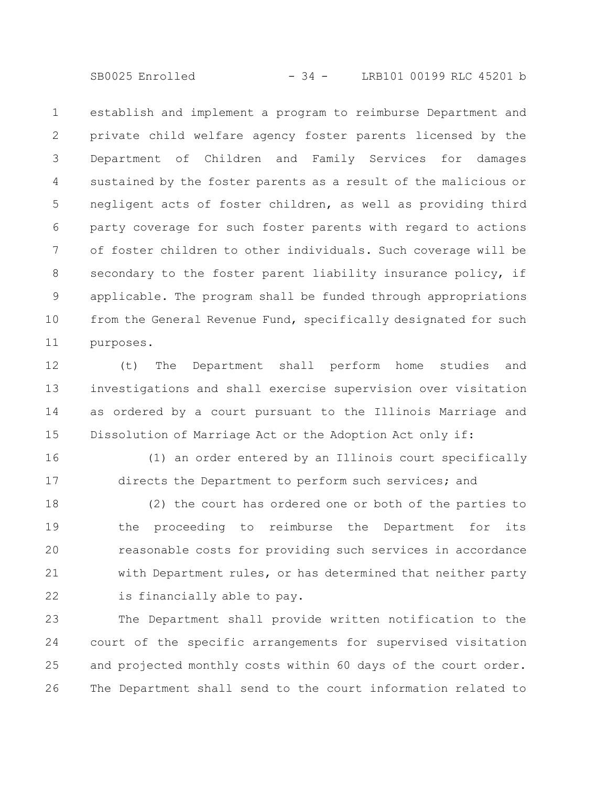SB0025 Enrolled - 34 - LRB101 00199 RLC 45201 b

establish and implement a program to reimburse Department and private child welfare agency foster parents licensed by the Department of Children and Family Services for damages sustained by the foster parents as a result of the malicious or negligent acts of foster children, as well as providing third party coverage for such foster parents with regard to actions of foster children to other individuals. Such coverage will be secondary to the foster parent liability insurance policy, if applicable. The program shall be funded through appropriations from the General Revenue Fund, specifically designated for such purposes. 1 2 3 4 5 6 7 8 9 10 11

(t) The Department shall perform home studies and investigations and shall exercise supervision over visitation as ordered by a court pursuant to the Illinois Marriage and Dissolution of Marriage Act or the Adoption Act only if: 12 13 14 15

16

17

(1) an order entered by an Illinois court specifically directs the Department to perform such services; and

(2) the court has ordered one or both of the parties to the proceeding to reimburse the Department for its reasonable costs for providing such services in accordance with Department rules, or has determined that neither party is financially able to pay. 18 19 20 21 22

The Department shall provide written notification to the court of the specific arrangements for supervised visitation and projected monthly costs within 60 days of the court order. The Department shall send to the court information related to 23 24 25 26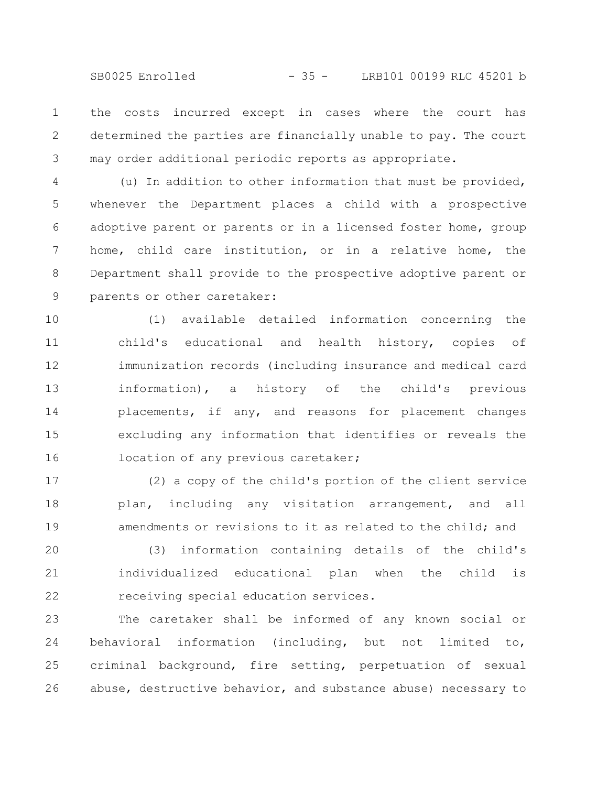the costs incurred except in cases where the court has determined the parties are financially unable to pay. The court may order additional periodic reports as appropriate. 1 2 3

(u) In addition to other information that must be provided, whenever the Department places a child with a prospective adoptive parent or parents or in a licensed foster home, group home, child care institution, or in a relative home, the Department shall provide to the prospective adoptive parent or parents or other caretaker: 4 5 6 7 8 9

(1) available detailed information concerning the child's educational and health history, copies of immunization records (including insurance and medical card information), a history of the child's previous placements, if any, and reasons for placement changes excluding any information that identifies or reveals the location of any previous caretaker; 10 11 12 13 14 15 16

(2) a copy of the child's portion of the client service plan, including any visitation arrangement, and all amendments or revisions to it as related to the child; and 17 18 19

(3) information containing details of the child's individualized educational plan when the child is receiving special education services. 20 21 22

The caretaker shall be informed of any known social or behavioral information (including, but not limited to, criminal background, fire setting, perpetuation of sexual abuse, destructive behavior, and substance abuse) necessary to 23 24 25 26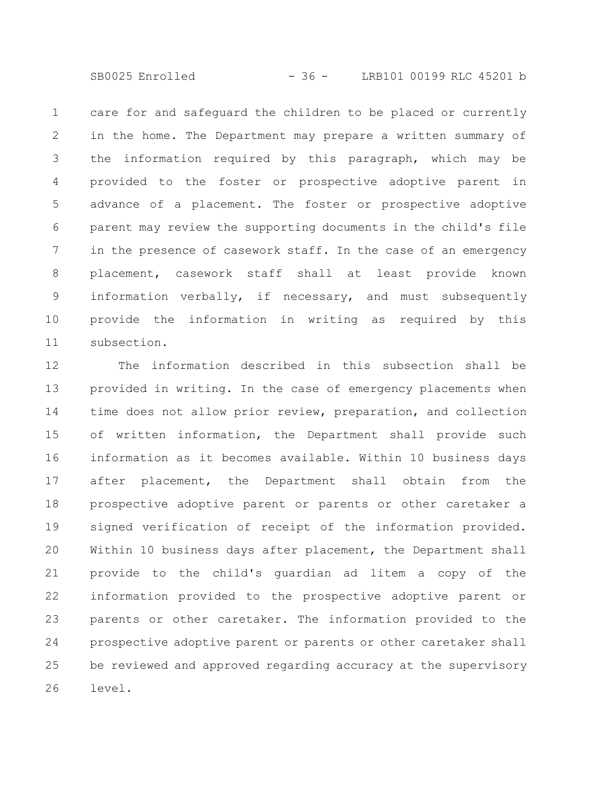SB0025 Enrolled - 36 - LRB101 00199 RLC 45201 b

care for and safeguard the children to be placed or currently in the home. The Department may prepare a written summary of the information required by this paragraph, which may be provided to the foster or prospective adoptive parent in advance of a placement. The foster or prospective adoptive parent may review the supporting documents in the child's file in the presence of casework staff. In the case of an emergency placement, casework staff shall at least provide known information verbally, if necessary, and must subsequently provide the information in writing as required by this subsection. 1 2 3 4 5 6 7 8 9 10 11

The information described in this subsection shall be provided in writing. In the case of emergency placements when time does not allow prior review, preparation, and collection of written information, the Department shall provide such information as it becomes available. Within 10 business days after placement, the Department shall obtain from the prospective adoptive parent or parents or other caretaker a signed verification of receipt of the information provided. Within 10 business days after placement, the Department shall provide to the child's guardian ad litem a copy of the information provided to the prospective adoptive parent or parents or other caretaker. The information provided to the prospective adoptive parent or parents or other caretaker shall be reviewed and approved regarding accuracy at the supervisory level. 12 13 14 15 16 17 18 19 20 21 22 23 24 25 26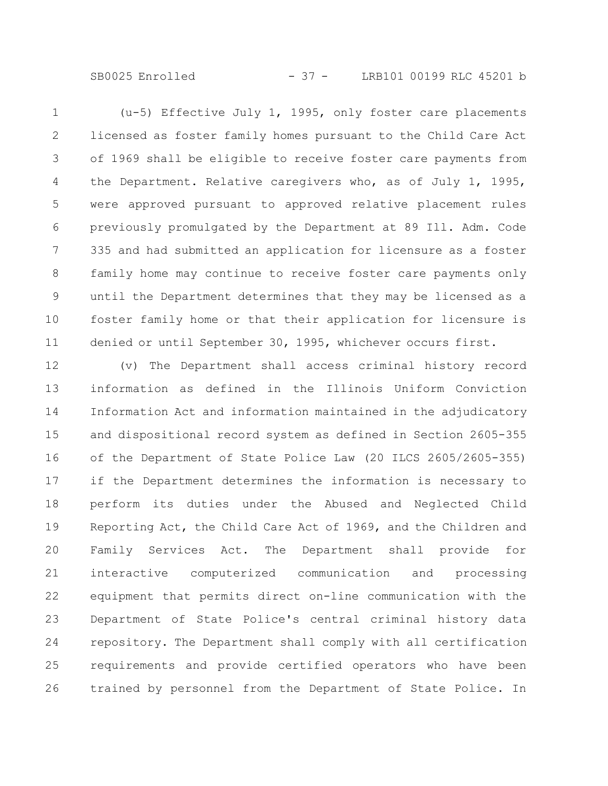SB0025 Enrolled - 37 - LRB101 00199 RLC 45201 b

(u-5) Effective July 1, 1995, only foster care placements licensed as foster family homes pursuant to the Child Care Act of 1969 shall be eligible to receive foster care payments from the Department. Relative caregivers who, as of July 1, 1995, were approved pursuant to approved relative placement rules previously promulgated by the Department at 89 Ill. Adm. Code 335 and had submitted an application for licensure as a foster family home may continue to receive foster care payments only until the Department determines that they may be licensed as a foster family home or that their application for licensure is denied or until September 30, 1995, whichever occurs first. 1 2 3 4 5 6 7 8 9 10 11

(v) The Department shall access criminal history record information as defined in the Illinois Uniform Conviction Information Act and information maintained in the adjudicatory and dispositional record system as defined in Section 2605-355 of the Department of State Police Law (20 ILCS 2605/2605-355) if the Department determines the information is necessary to perform its duties under the Abused and Neglected Child Reporting Act, the Child Care Act of 1969, and the Children and Family Services Act. The Department shall provide for interactive computerized communication and processing equipment that permits direct on-line communication with the Department of State Police's central criminal history data repository. The Department shall comply with all certification requirements and provide certified operators who have been trained by personnel from the Department of State Police. In 12 13 14 15 16 17 18 19 20 21 22 23 24 25 26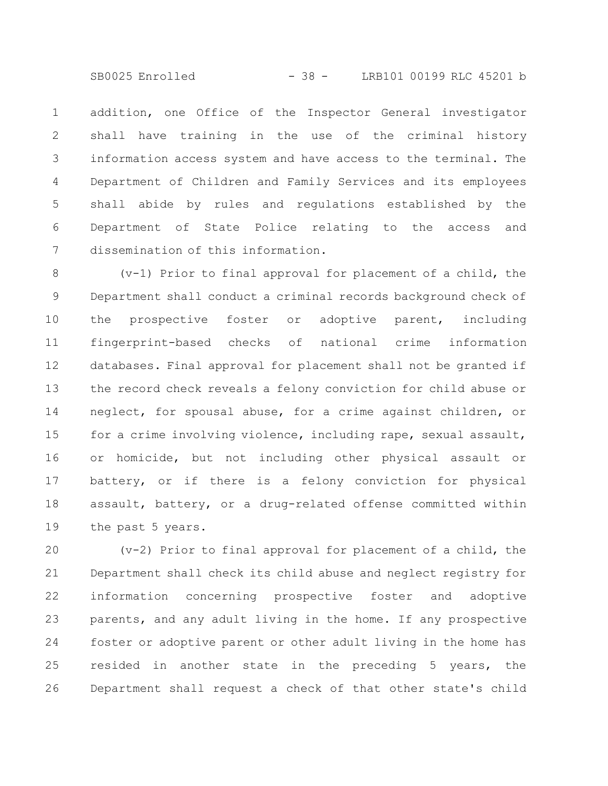SB0025 Enrolled - 38 - LRB101 00199 RLC 45201 b

addition, one Office of the Inspector General investigator shall have training in the use of the criminal history information access system and have access to the terminal. The Department of Children and Family Services and its employees shall abide by rules and regulations established by the Department of State Police relating to the access and dissemination of this information. 1 2 3 4 5 6 7

(v-1) Prior to final approval for placement of a child, the Department shall conduct a criminal records background check of the prospective foster or adoptive parent, including fingerprint-based checks of national crime information databases. Final approval for placement shall not be granted if the record check reveals a felony conviction for child abuse or neglect, for spousal abuse, for a crime against children, or for a crime involving violence, including rape, sexual assault, or homicide, but not including other physical assault or battery, or if there is a felony conviction for physical assault, battery, or a drug-related offense committed within the past 5 years. 8 9 10 11 12 13 14 15 16 17 18 19

(v-2) Prior to final approval for placement of a child, the Department shall check its child abuse and neglect registry for information concerning prospective foster and adoptive parents, and any adult living in the home. If any prospective foster or adoptive parent or other adult living in the home has resided in another state in the preceding 5 years, the Department shall request a check of that other state's child 20 21 22 23 24 25 26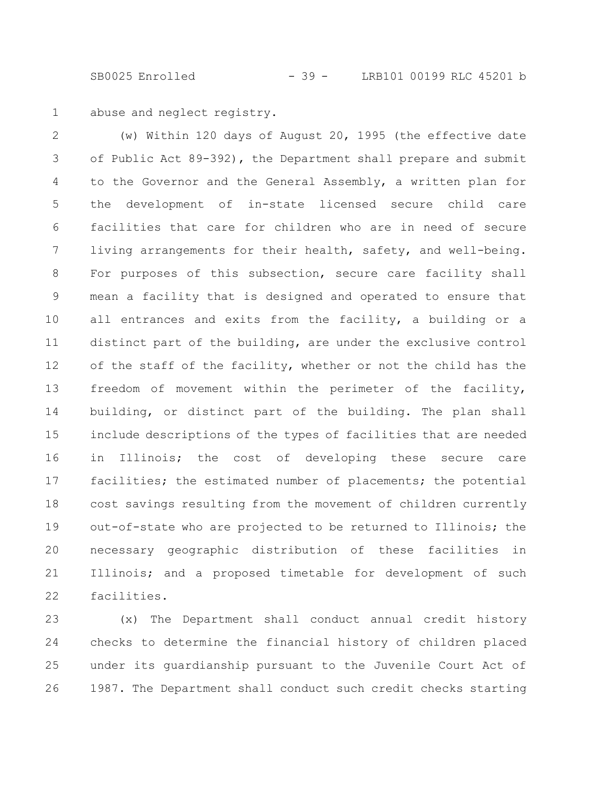SB0025 Enrolled - 39 - LRB101 00199 RLC 45201 b

abuse and neglect registry. 1

(w) Within 120 days of August 20, 1995 (the effective date of Public Act 89-392), the Department shall prepare and submit to the Governor and the General Assembly, a written plan for the development of in-state licensed secure child care facilities that care for children who are in need of secure living arrangements for their health, safety, and well-being. For purposes of this subsection, secure care facility shall mean a facility that is designed and operated to ensure that all entrances and exits from the facility, a building or a distinct part of the building, are under the exclusive control of the staff of the facility, whether or not the child has the freedom of movement within the perimeter of the facility, building, or distinct part of the building. The plan shall include descriptions of the types of facilities that are needed in Illinois; the cost of developing these secure care facilities; the estimated number of placements; the potential cost savings resulting from the movement of children currently out-of-state who are projected to be returned to Illinois; the necessary geographic distribution of these facilities in Illinois; and a proposed timetable for development of such facilities. 2 3 4 5 6 7 8 9 10 11 12 13 14 15 16 17 18 19 20 21 22

(x) The Department shall conduct annual credit history checks to determine the financial history of children placed under its guardianship pursuant to the Juvenile Court Act of 1987. The Department shall conduct such credit checks starting 23 24 25 26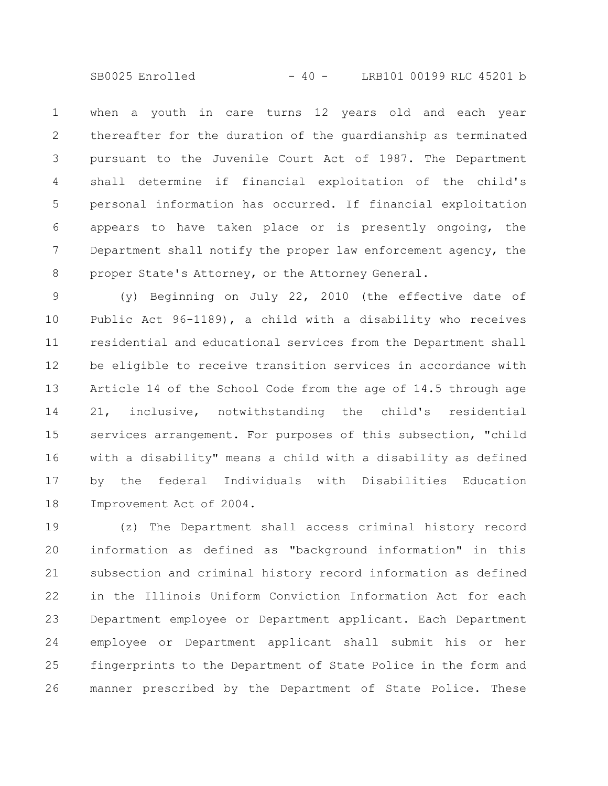SB0025 Enrolled - 40 - LRB101 00199 RLC 45201 b

when a youth in care turns 12 years old and each year thereafter for the duration of the guardianship as terminated pursuant to the Juvenile Court Act of 1987. The Department shall determine if financial exploitation of the child's personal information has occurred. If financial exploitation appears to have taken place or is presently ongoing, the Department shall notify the proper law enforcement agency, the proper State's Attorney, or the Attorney General. 1 2 3 4 5 6 7 8

(y) Beginning on July 22, 2010 (the effective date of Public Act 96-1189), a child with a disability who receives residential and educational services from the Department shall be eligible to receive transition services in accordance with Article 14 of the School Code from the age of 14.5 through age 21, inclusive, notwithstanding the child's residential services arrangement. For purposes of this subsection, "child with a disability" means a child with a disability as defined by the federal Individuals with Disabilities Education Improvement Act of 2004. 9 10 11 12 13 14 15 16 17 18

(z) The Department shall access criminal history record information as defined as "background information" in this subsection and criminal history record information as defined in the Illinois Uniform Conviction Information Act for each Department employee or Department applicant. Each Department employee or Department applicant shall submit his or her fingerprints to the Department of State Police in the form and manner prescribed by the Department of State Police. These 19 20 21 22 23 24 25 26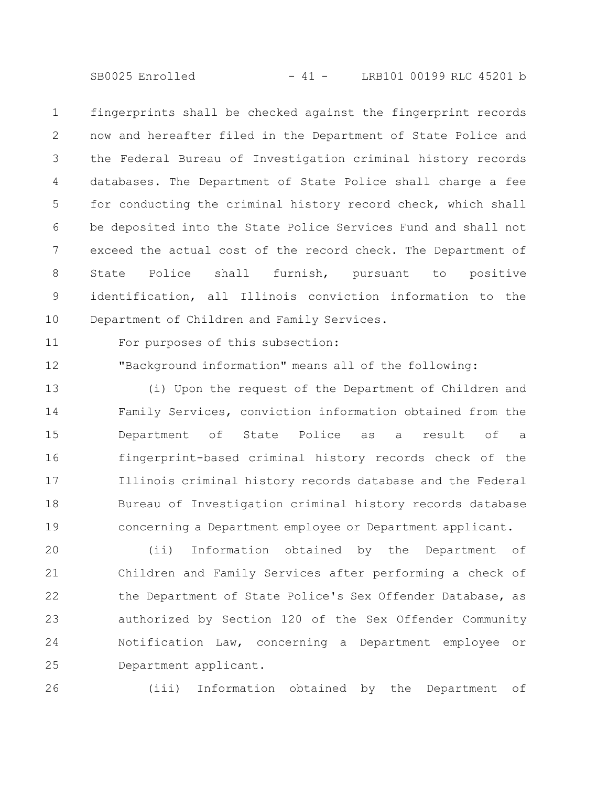SB0025 Enrolled - 41 - LRB101 00199 RLC 45201 b

fingerprints shall be checked against the fingerprint records now and hereafter filed in the Department of State Police and the Federal Bureau of Investigation criminal history records databases. The Department of State Police shall charge a fee for conducting the criminal history record check, which shall be deposited into the State Police Services Fund and shall not exceed the actual cost of the record check. The Department of State Police shall furnish, pursuant to positive identification, all Illinois conviction information to the Department of Children and Family Services. 1 2 3 4 5 6 7 8 9 10

For purposes of this subsection: 11

26

"Background information" means all of the following: 12

(i) Upon the request of the Department of Children and Family Services, conviction information obtained from the Department of State Police as a result of a fingerprint-based criminal history records check of the Illinois criminal history records database and the Federal Bureau of Investigation criminal history records database concerning a Department employee or Department applicant. 13 14 15 16 17 18 19

(ii) Information obtained by the Department of Children and Family Services after performing a check of the Department of State Police's Sex Offender Database, as authorized by Section 120 of the Sex Offender Community Notification Law, concerning a Department employee or Department applicant. 20 21 22 23 24 25

(iii) Information obtained by the Department of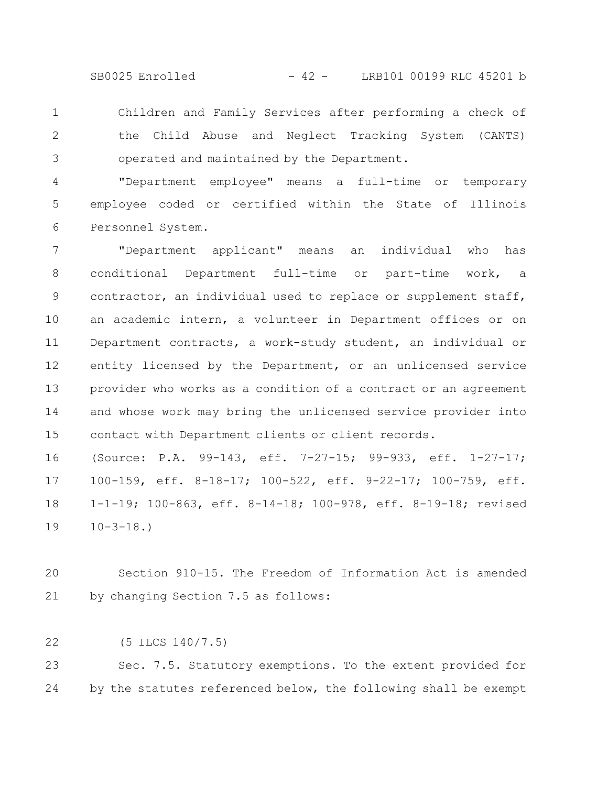SB0025 Enrolled - 42 - LRB101 00199 RLC 45201 b

Children and Family Services after performing a check of the Child Abuse and Neglect Tracking System (CANTS) operated and maintained by the Department. 1 2 3

"Department employee" means a full-time or temporary employee coded or certified within the State of Illinois Personnel System. 4 5 6

"Department applicant" means an individual who has conditional Department full-time or part-time work, a contractor, an individual used to replace or supplement staff, an academic intern, a volunteer in Department offices or on Department contracts, a work-study student, an individual or entity licensed by the Department, or an unlicensed service provider who works as a condition of a contract or an agreement and whose work may bring the unlicensed service provider into contact with Department clients or client records. 7 8 9 10 11 12 13 14 15

(Source: P.A. 99-143, eff. 7-27-15; 99-933, eff. 1-27-17; 100-159, eff. 8-18-17; 100-522, eff. 9-22-17; 100-759, eff. 1-1-19; 100-863, eff. 8-14-18; 100-978, eff. 8-19-18; revised  $10 - 3 - 18.$ 16 17 18 19

Section 910-15. The Freedom of Information Act is amended by changing Section 7.5 as follows: 20 21

(5 ILCS 140/7.5) 22

Sec. 7.5. Statutory exemptions. To the extent provided for by the statutes referenced below, the following shall be exempt 23 24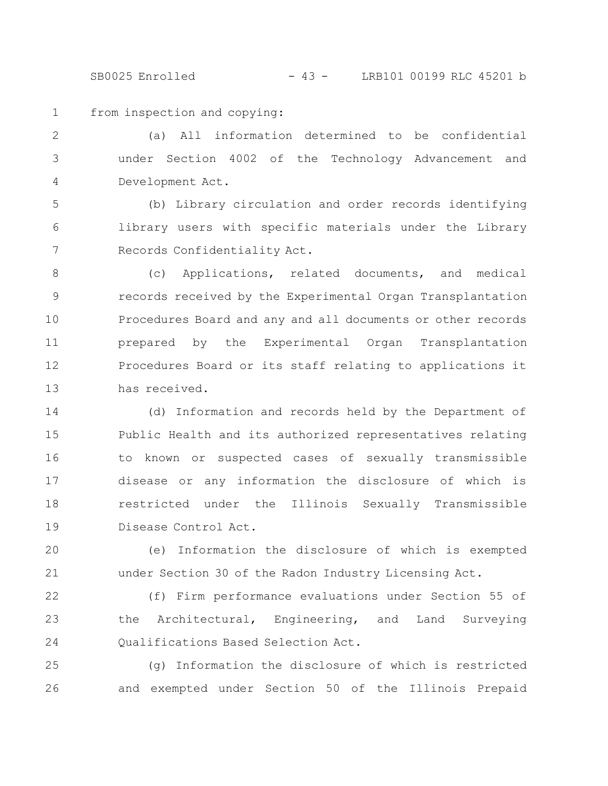SB0025 Enrolled - 43 - LRB101 00199 RLC 45201 b

from inspection and copying: 1

(a) All information determined to be confidential under Section 4002 of the Technology Advancement and Development Act. 2 3 4

(b) Library circulation and order records identifying library users with specific materials under the Library Records Confidentiality Act. 5 6 7

(c) Applications, related documents, and medical records received by the Experimental Organ Transplantation Procedures Board and any and all documents or other records prepared by the Experimental Organ Transplantation Procedures Board or its staff relating to applications it has received. 8 9 10 11 12 13

(d) Information and records held by the Department of Public Health and its authorized representatives relating to known or suspected cases of sexually transmissible disease or any information the disclosure of which is restricted under the Illinois Sexually Transmissible Disease Control Act. 14 15 16 17 18 19

(e) Information the disclosure of which is exempted under Section 30 of the Radon Industry Licensing Act. 20 21

(f) Firm performance evaluations under Section 55 of the Architectural, Engineering, and Land Surveying Qualifications Based Selection Act. 22 23 24

(g) Information the disclosure of which is restricted and exempted under Section 50 of the Illinois Prepaid 25 26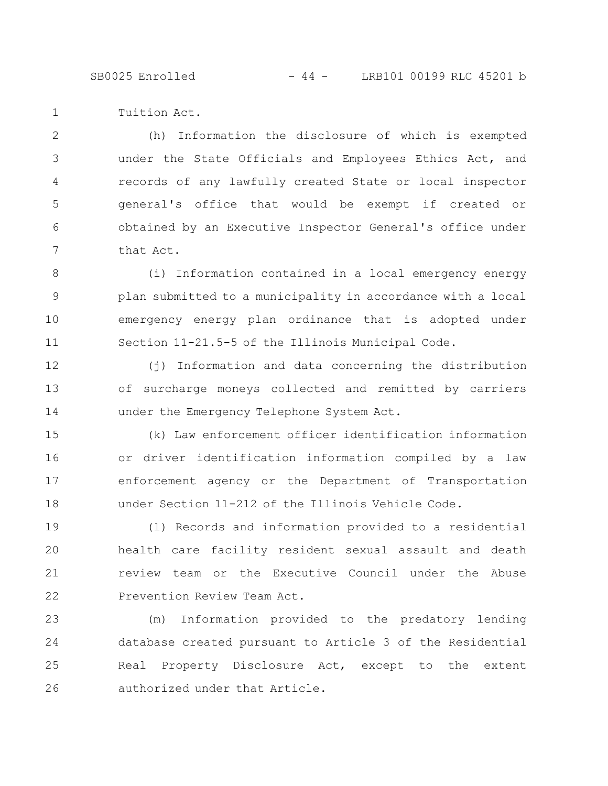SB0025 Enrolled - 44 - LRB101 00199 RLC 45201 b

Tuition Act. 1

(h) Information the disclosure of which is exempted under the State Officials and Employees Ethics Act, and records of any lawfully created State or local inspector general's office that would be exempt if created or obtained by an Executive Inspector General's office under that Act. 2 3 4 5 6 7

(i) Information contained in a local emergency energy plan submitted to a municipality in accordance with a local emergency energy plan ordinance that is adopted under Section 11-21.5-5 of the Illinois Municipal Code. 8 9 10 11

(j) Information and data concerning the distribution of surcharge moneys collected and remitted by carriers under the Emergency Telephone System Act. 12 13 14

(k) Law enforcement officer identification information or driver identification information compiled by a law enforcement agency or the Department of Transportation under Section 11-212 of the Illinois Vehicle Code. 15 16 17 18

(l) Records and information provided to a residential health care facility resident sexual assault and death review team or the Executive Council under the Abuse Prevention Review Team Act. 19 20 21 22

(m) Information provided to the predatory lending database created pursuant to Article 3 of the Residential Real Property Disclosure Act, except to the extent authorized under that Article. 23 24 25 26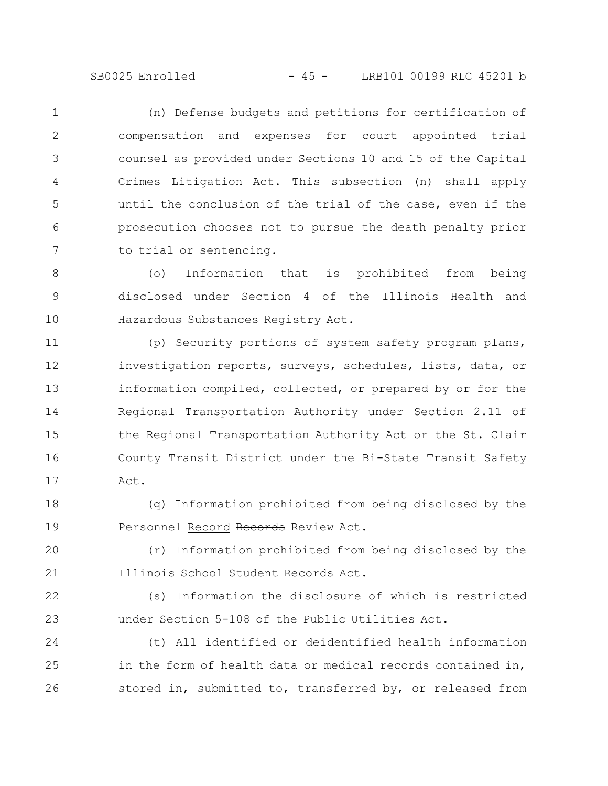SB0025 Enrolled - 45 - LRB101 00199 RLC 45201 b

(n) Defense budgets and petitions for certification of compensation and expenses for court appointed trial counsel as provided under Sections 10 and 15 of the Capital Crimes Litigation Act. This subsection (n) shall apply until the conclusion of the trial of the case, even if the prosecution chooses not to pursue the death penalty prior to trial or sentencing. 1 2 3 4 5 6 7

(o) Information that is prohibited from being disclosed under Section 4 of the Illinois Health and Hazardous Substances Registry Act. 8 9 10

(p) Security portions of system safety program plans, investigation reports, surveys, schedules, lists, data, or information compiled, collected, or prepared by or for the Regional Transportation Authority under Section 2.11 of the Regional Transportation Authority Act or the St. Clair County Transit District under the Bi-State Transit Safety Act. 11 12 13 14 15 16 17

(q) Information prohibited from being disclosed by the Personnel Record Records Review Act. 18 19

(r) Information prohibited from being disclosed by the Illinois School Student Records Act. 20 21

(s) Information the disclosure of which is restricted under Section 5-108 of the Public Utilities Act. 22 23

(t) All identified or deidentified health information in the form of health data or medical records contained in, stored in, submitted to, transferred by, or released from 24 25 26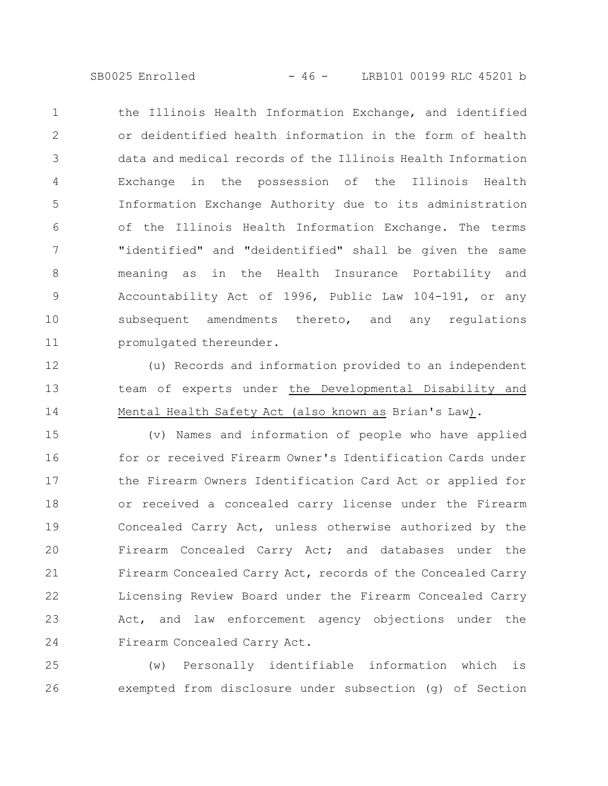SB0025 Enrolled - 46 - LRB101 00199 RLC 45201 b

the Illinois Health Information Exchange, and identified or deidentified health information in the form of health data and medical records of the Illinois Health Information Exchange in the possession of the Illinois Health Information Exchange Authority due to its administration of the Illinois Health Information Exchange. The terms "identified" and "deidentified" shall be given the same meaning as in the Health Insurance Portability and Accountability Act of 1996, Public Law 104-191, or any subsequent amendments thereto, and any regulations promulgated thereunder. 1 2 3 4 5 6 7 8 9 10 11

(u) Records and information provided to an independent team of experts under the Developmental Disability and Mental Health Safety Act (also known as Brian's Law). 12 13 14

(v) Names and information of people who have applied for or received Firearm Owner's Identification Cards under the Firearm Owners Identification Card Act or applied for or received a concealed carry license under the Firearm Concealed Carry Act, unless otherwise authorized by the Firearm Concealed Carry Act; and databases under the Firearm Concealed Carry Act, records of the Concealed Carry Licensing Review Board under the Firearm Concealed Carry Act, and law enforcement agency objections under the Firearm Concealed Carry Act. 15 16 17 18 19 20 21 22 23 24

(w) Personally identifiable information which is exempted from disclosure under subsection (g) of Section 25 26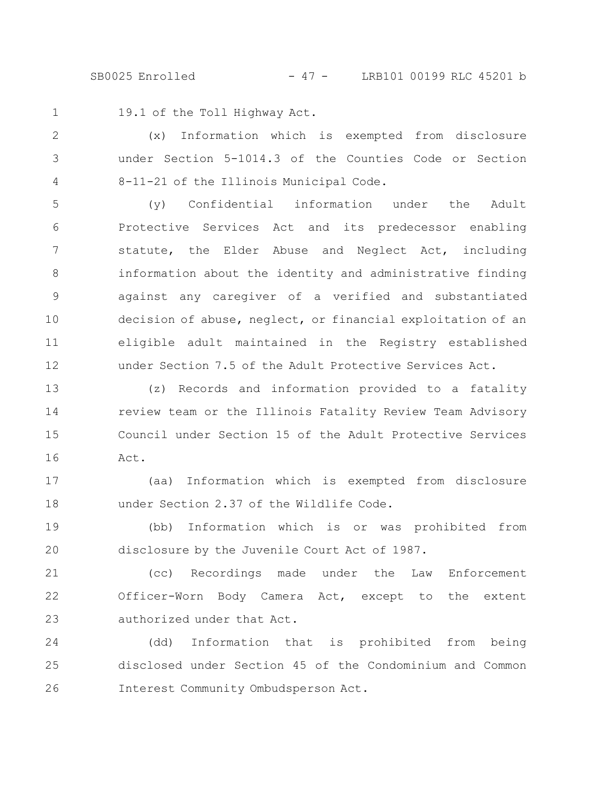SB0025 Enrolled - 47 - LRB101 00199 RLC 45201 b

1

19.1 of the Toll Highway Act.

(x) Information which is exempted from disclosure under Section 5-1014.3 of the Counties Code or Section 8-11-21 of the Illinois Municipal Code. 2 3 4

(y) Confidential information under the Adult Protective Services Act and its predecessor enabling statute, the Elder Abuse and Neglect Act, including information about the identity and administrative finding against any caregiver of a verified and substantiated decision of abuse, neglect, or financial exploitation of an eligible adult maintained in the Registry established under Section 7.5 of the Adult Protective Services Act. 5 6 7 8 9 10 11 12

(z) Records and information provided to a fatality review team or the Illinois Fatality Review Team Advisory Council under Section 15 of the Adult Protective Services Act. 13 14 15 16

(aa) Information which is exempted from disclosure under Section 2.37 of the Wildlife Code. 17 18

(bb) Information which is or was prohibited from disclosure by the Juvenile Court Act of 1987. 19 20

(cc) Recordings made under the Law Enforcement Officer-Worn Body Camera Act, except to the extent authorized under that Act. 21 22 23

(dd) Information that is prohibited from being disclosed under Section 45 of the Condominium and Common Interest Community Ombudsperson Act. 24 25 26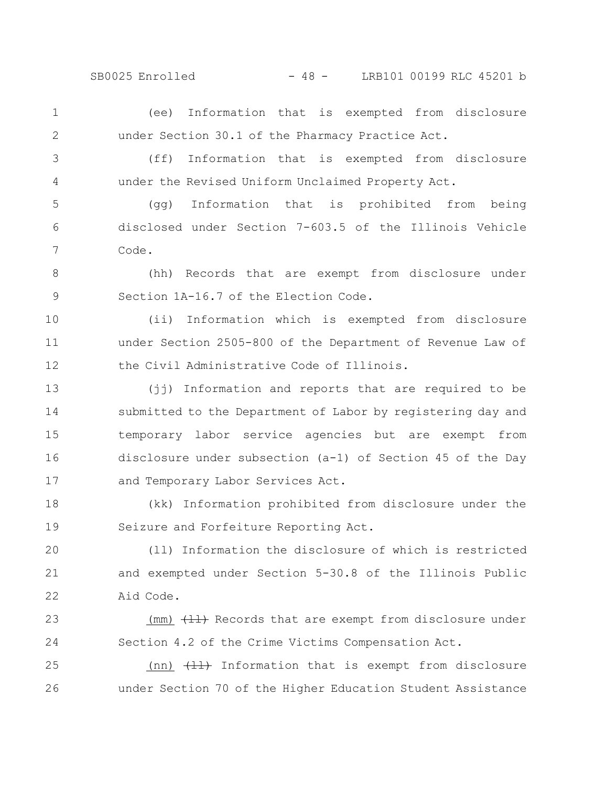SB0025 Enrolled - 48 - LRB101 00199 RLC 45201 b

(ee) Information that is exempted from disclosure under Section 30.1 of the Pharmacy Practice Act. 1 2

3 4

(ff) Information that is exempted from disclosure under the Revised Uniform Unclaimed Property Act.

(gg) Information that is prohibited from being disclosed under Section 7-603.5 of the Illinois Vehicle Code. 5 6 7

(hh) Records that are exempt from disclosure under Section 1A-16.7 of the Election Code. 8 9

(ii) Information which is exempted from disclosure under Section 2505-800 of the Department of Revenue Law of the Civil Administrative Code of Illinois. 10 11 12

(jj) Information and reports that are required to be submitted to the Department of Labor by registering day and temporary labor service agencies but are exempt from disclosure under subsection (a-1) of Section 45 of the Day and Temporary Labor Services Act. 13 14 15 16 17

(kk) Information prohibited from disclosure under the Seizure and Forfeiture Reporting Act. 18 19

(ll) Information the disclosure of which is restricted and exempted under Section 5-30.8 of the Illinois Public Aid Code. 20 21 22

(mm)  $\left\{\frac{\mu}{\sigma}\right\}$  Records that are exempt from disclosure under Section 4.2 of the Crime Victims Compensation Act. 23 24

(nn)  $\left(\frac{11}{11}\right)$  Information that is exempt from disclosure under Section 70 of the Higher Education Student Assistance 25 26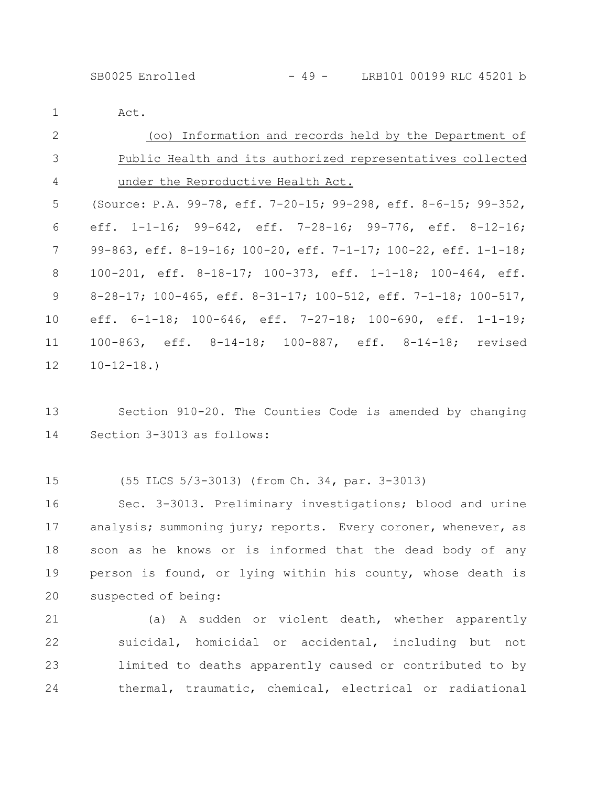Act.

1

| 2               | (oo) Information and records held by the Department of                  |
|-----------------|-------------------------------------------------------------------------|
| 3               | Public Health and its authorized representatives collected              |
| 4               | under the Reproductive Health Act.                                      |
| 5               | (Source: P.A. 99-78, eff. 7-20-15; 99-298, eff. 8-6-15; 99-352,         |
| 6               | eff. $1-1-16$ ; $99-642$ , eff. $7-28-16$ ; $99-776$ , eff. $8-12-16$ ; |
| 7               | 99-863, eff. 8-19-16; 100-20, eff. 7-1-17; 100-22, eff. 1-1-18;         |
| 8               | $100-201$ , eff. 8-18-17; 100-373, eff. 1-1-18; 100-464, eff.           |
| 9               | $8-28-17$ ; 100-465, eff. 8-31-17; 100-512, eff. 7-1-18; 100-517,       |
| 10              | eff. $6-1-18$ ; 100-646, eff. 7-27-18; 100-690, eff. 1-1-19;            |
| 11              | 100-863, eff. 8-14-18; 100-887, eff. 8-14-18; revised                   |
| 12 <sup>°</sup> | $10 - 12 - 18.$                                                         |

Section 910-20. The Counties Code is amended by changing Section 3-3013 as follows: 13 14

(55 ILCS 5/3-3013) (from Ch. 34, par. 3-3013) 15

Sec. 3-3013. Preliminary investigations; blood and urine analysis; summoning jury; reports. Every coroner, whenever, as soon as he knows or is informed that the dead body of any person is found, or lying within his county, whose death is suspected of being: 16 17 18 19 20

(a) A sudden or violent death, whether apparently suicidal, homicidal or accidental, including but not limited to deaths apparently caused or contributed to by thermal, traumatic, chemical, electrical or radiational 21 22 23 24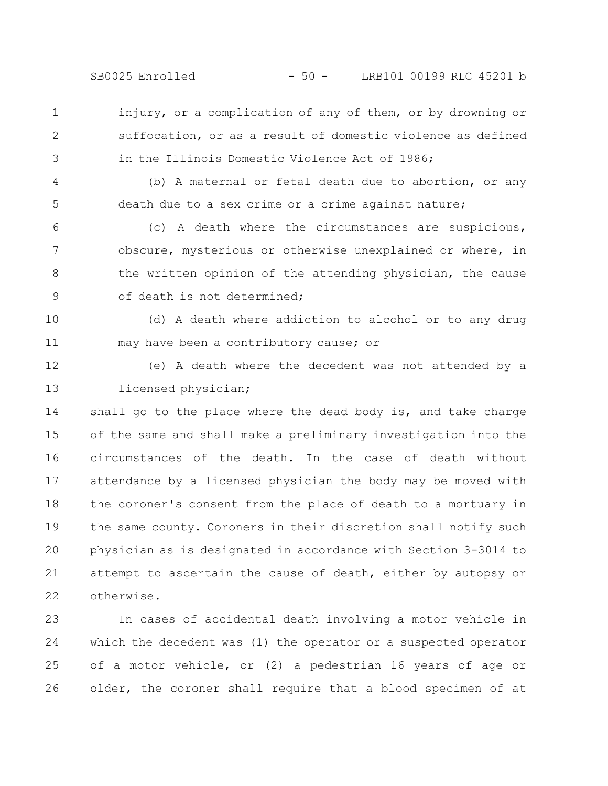injury, or a complication of any of them, or by drowning or suffocation, or as a result of domestic violence as defined in the Illinois Domestic Violence Act of 1986; 1 2 3

(b) A maternal or fetal death due to abortion, or any death due to a sex crime or a crime against nature;

(c) A death where the circumstances are suspicious, obscure, mysterious or otherwise unexplained or where, in the written opinion of the attending physician, the cause of death is not determined; 6 7 8 9

(d) A death where addiction to alcohol or to any drug may have been a contributory cause; or 10 11

12

13

4

5

(e) A death where the decedent was not attended by a licensed physician;

shall go to the place where the dead body is, and take charge of the same and shall make a preliminary investigation into the circumstances of the death. In the case of death without attendance by a licensed physician the body may be moved with the coroner's consent from the place of death to a mortuary in the same county. Coroners in their discretion shall notify such physician as is designated in accordance with Section 3-3014 to attempt to ascertain the cause of death, either by autopsy or otherwise. 14 15 16 17 18 19 20 21 22

In cases of accidental death involving a motor vehicle in which the decedent was (1) the operator or a suspected operator of a motor vehicle, or (2) a pedestrian 16 years of age or older, the coroner shall require that a blood specimen of at 23 24 25 26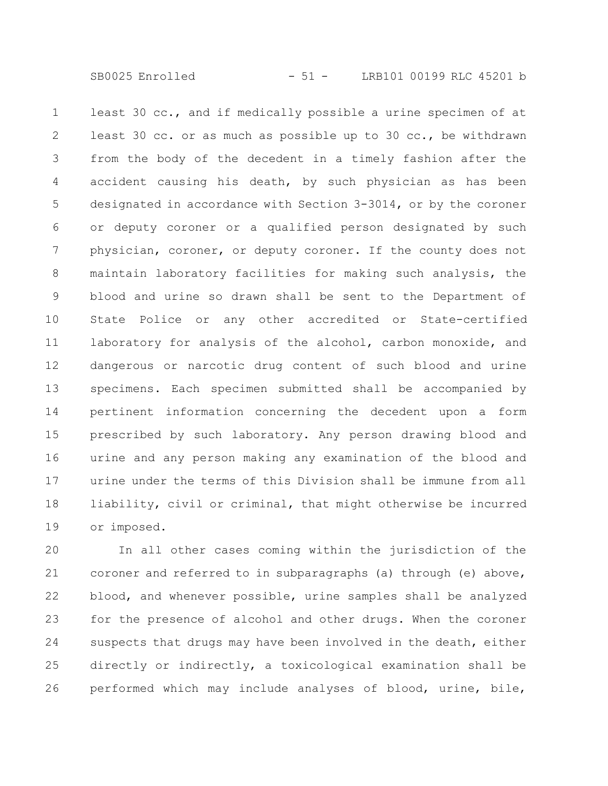least 30 cc., and if medically possible a urine specimen of at least 30 cc. or as much as possible up to 30 cc., be withdrawn from the body of the decedent in a timely fashion after the accident causing his death, by such physician as has been designated in accordance with Section 3-3014, or by the coroner or deputy coroner or a qualified person designated by such physician, coroner, or deputy coroner. If the county does not maintain laboratory facilities for making such analysis, the blood and urine so drawn shall be sent to the Department of State Police or any other accredited or State-certified laboratory for analysis of the alcohol, carbon monoxide, and dangerous or narcotic drug content of such blood and urine specimens. Each specimen submitted shall be accompanied by pertinent information concerning the decedent upon a form prescribed by such laboratory. Any person drawing blood and urine and any person making any examination of the blood and urine under the terms of this Division shall be immune from all liability, civil or criminal, that might otherwise be incurred or imposed. 1 2 3 4 5 6 7 8 9 10 11 12 13 14 15 16 17 18 19

In all other cases coming within the jurisdiction of the coroner and referred to in subparagraphs (a) through (e) above, blood, and whenever possible, urine samples shall be analyzed for the presence of alcohol and other drugs. When the coroner suspects that drugs may have been involved in the death, either directly or indirectly, a toxicological examination shall be performed which may include analyses of blood, urine, bile, 20 21 22 23 24 25 26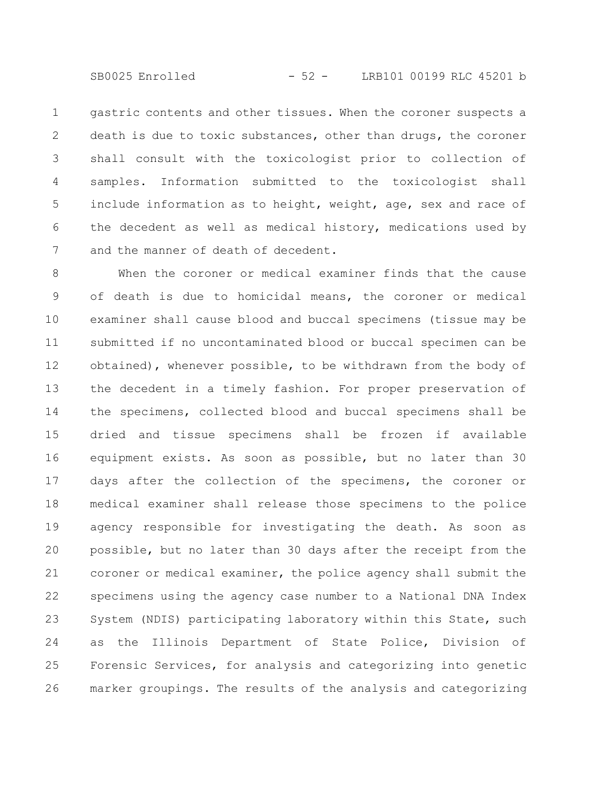SB0025 Enrolled - 52 - LRB101 00199 RLC 45201 b

gastric contents and other tissues. When the coroner suspects a death is due to toxic substances, other than drugs, the coroner shall consult with the toxicologist prior to collection of samples. Information submitted to the toxicologist shall include information as to height, weight, age, sex and race of the decedent as well as medical history, medications used by and the manner of death of decedent. 1 2 3 4 5 6 7

When the coroner or medical examiner finds that the cause of death is due to homicidal means, the coroner or medical examiner shall cause blood and buccal specimens (tissue may be submitted if no uncontaminated blood or buccal specimen can be obtained), whenever possible, to be withdrawn from the body of the decedent in a timely fashion. For proper preservation of the specimens, collected blood and buccal specimens shall be dried and tissue specimens shall be frozen if available equipment exists. As soon as possible, but no later than 30 days after the collection of the specimens, the coroner or medical examiner shall release those specimens to the police agency responsible for investigating the death. As soon as possible, but no later than 30 days after the receipt from the coroner or medical examiner, the police agency shall submit the specimens using the agency case number to a National DNA Index System (NDIS) participating laboratory within this State, such as the Illinois Department of State Police, Division of Forensic Services, for analysis and categorizing into genetic marker groupings. The results of the analysis and categorizing 8 9 10 11 12 13 14 15 16 17 18 19 20 21 22 23 24 25 26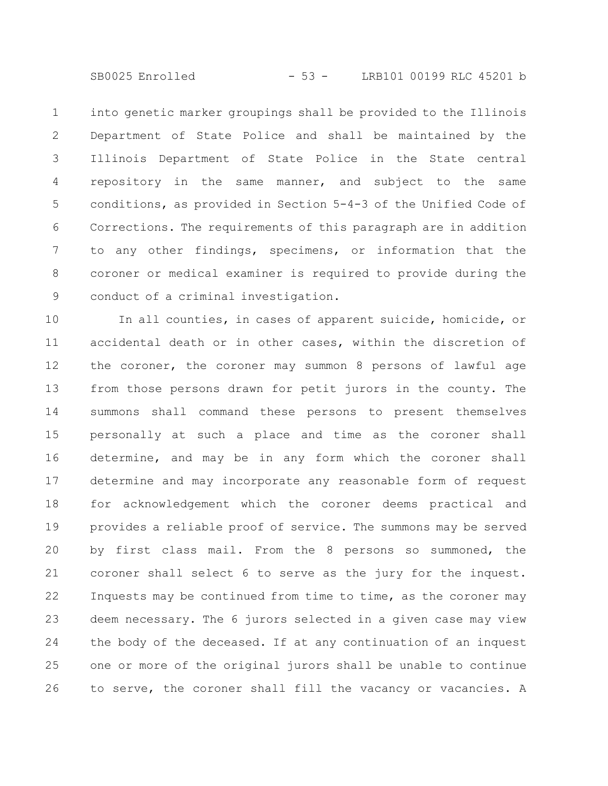SB0025 Enrolled - 53 - LRB101 00199 RLC 45201 b

into genetic marker groupings shall be provided to the Illinois Department of State Police and shall be maintained by the Illinois Department of State Police in the State central repository in the same manner, and subject to the same conditions, as provided in Section 5-4-3 of the Unified Code of Corrections. The requirements of this paragraph are in addition to any other findings, specimens, or information that the coroner or medical examiner is required to provide during the conduct of a criminal investigation. 1 2 3 4 5 6 7 8 9

In all counties, in cases of apparent suicide, homicide, or accidental death or in other cases, within the discretion of the coroner, the coroner may summon 8 persons of lawful age from those persons drawn for petit jurors in the county. The summons shall command these persons to present themselves personally at such a place and time as the coroner shall determine, and may be in any form which the coroner shall determine and may incorporate any reasonable form of request for acknowledgement which the coroner deems practical and provides a reliable proof of service. The summons may be served by first class mail. From the 8 persons so summoned, the coroner shall select 6 to serve as the jury for the inquest. Inquests may be continued from time to time, as the coroner may deem necessary. The 6 jurors selected in a given case may view the body of the deceased. If at any continuation of an inquest one or more of the original jurors shall be unable to continue to serve, the coroner shall fill the vacancy or vacancies. A 10 11 12 13 14 15 16 17 18 19 20 21 22 23 24 25 26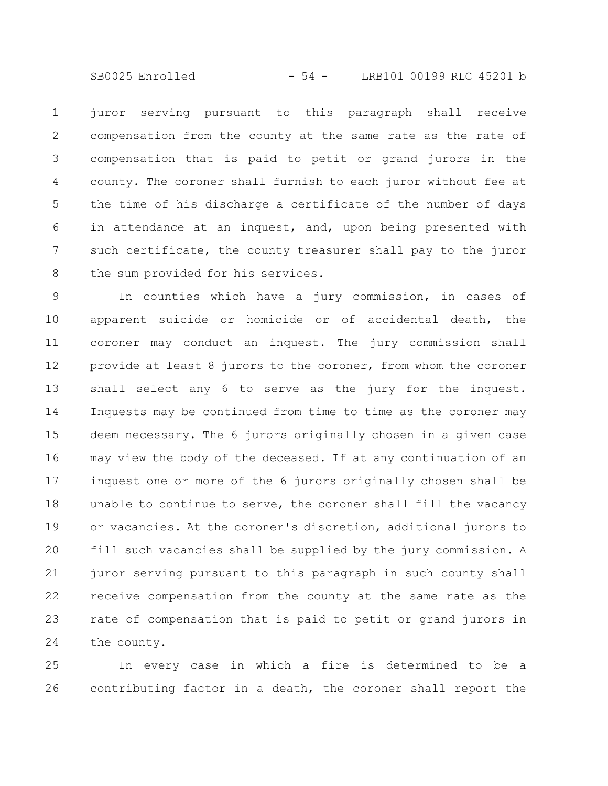SB0025 Enrolled - 54 - LRB101 00199 RLC 45201 b

juror serving pursuant to this paragraph shall receive compensation from the county at the same rate as the rate of compensation that is paid to petit or grand jurors in the county. The coroner shall furnish to each juror without fee at the time of his discharge a certificate of the number of days in attendance at an inquest, and, upon being presented with such certificate, the county treasurer shall pay to the juror the sum provided for his services. 1 2 3 4 5 6 7 8

In counties which have a jury commission, in cases of apparent suicide or homicide or of accidental death, the coroner may conduct an inquest. The jury commission shall provide at least 8 jurors to the coroner, from whom the coroner shall select any 6 to serve as the jury for the inquest. Inquests may be continued from time to time as the coroner may deem necessary. The 6 jurors originally chosen in a given case may view the body of the deceased. If at any continuation of an inquest one or more of the 6 jurors originally chosen shall be unable to continue to serve, the coroner shall fill the vacancy or vacancies. At the coroner's discretion, additional jurors to fill such vacancies shall be supplied by the jury commission. A juror serving pursuant to this paragraph in such county shall receive compensation from the county at the same rate as the rate of compensation that is paid to petit or grand jurors in the county. 9 10 11 12 13 14 15 16 17 18 19 20 21 22 23 24

In every case in which a fire is determined to be a contributing factor in a death, the coroner shall report the 25 26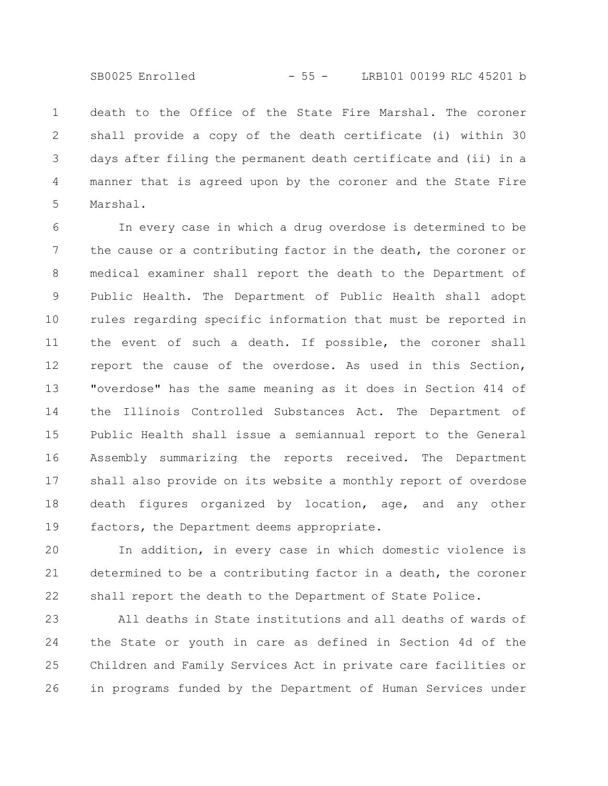death to the Office of the State Fire Marshal. The coroner shall provide a copy of the death certificate (i) within 30 days after filing the permanent death certificate and (ii) in a manner that is agreed upon by the coroner and the State Fire Marshal. 1 2 3 4 5

In every case in which a drug overdose is determined to be the cause or a contributing factor in the death, the coroner or medical examiner shall report the death to the Department of Public Health. The Department of Public Health shall adopt rules regarding specific information that must be reported in the event of such a death. If possible, the coroner shall report the cause of the overdose. As used in this Section, "overdose" has the same meaning as it does in Section 414 of the Illinois Controlled Substances Act. The Department of Public Health shall issue a semiannual report to the General Assembly summarizing the reports received. The Department shall also provide on its website a monthly report of overdose death figures organized by location, age, and any other factors, the Department deems appropriate. 6 7 8 9 10 11 12 13 14 15 16 17 18 19

In addition, in every case in which domestic violence is determined to be a contributing factor in a death, the coroner shall report the death to the Department of State Police. 20 21 22

All deaths in State institutions and all deaths of wards of the State or youth in care as defined in Section 4d of the Children and Family Services Act in private care facilities or in programs funded by the Department of Human Services under 23 24 25 26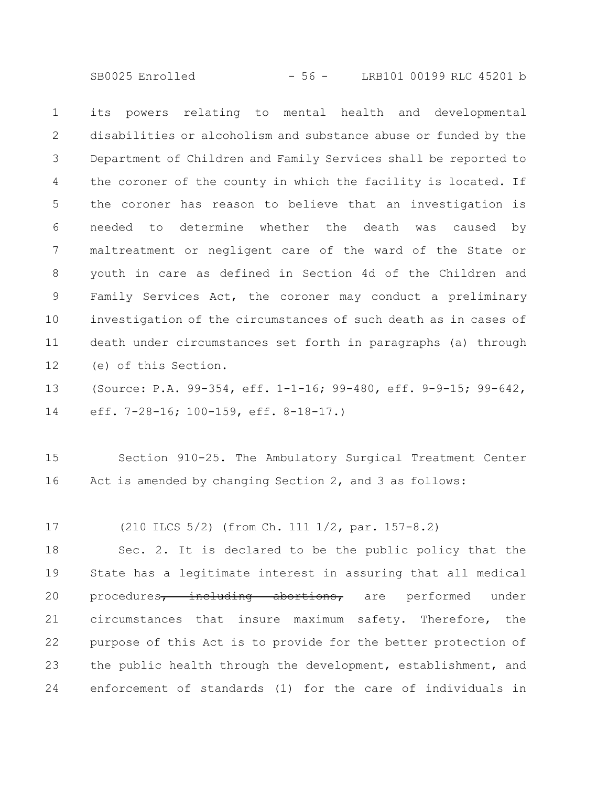SB0025 Enrolled - 56 - LRB101 00199 RLC 45201 b

its powers relating to mental health and developmental disabilities or alcoholism and substance abuse or funded by the Department of Children and Family Services shall be reported to the coroner of the county in which the facility is located. If the coroner has reason to believe that an investigation is needed to determine whether the death was caused by maltreatment or negligent care of the ward of the State or youth in care as defined in Section 4d of the Children and Family Services Act, the coroner may conduct a preliminary investigation of the circumstances of such death as in cases of death under circumstances set forth in paragraphs (a) through (e) of this Section. 1 2 3 4 5 6 7 8 9 10 11 12

(Source: P.A. 99-354, eff. 1-1-16; 99-480, eff. 9-9-15; 99-642, eff. 7-28-16; 100-159, eff. 8-18-17.) 13 14

Section 910-25. The Ambulatory Surgical Treatment Center Act is amended by changing Section 2, and 3 as follows: 15 16

(210 ILCS 5/2) (from Ch. 111 1/2, par. 157-8.2) 17

Sec. 2. It is declared to be the public policy that the State has a legitimate interest in assuring that all medical procedures, including abortions, are performed under circumstances that insure maximum safety. Therefore, the purpose of this Act is to provide for the better protection of the public health through the development, establishment, and enforcement of standards (1) for the care of individuals in 18 19 20 21 22 23 24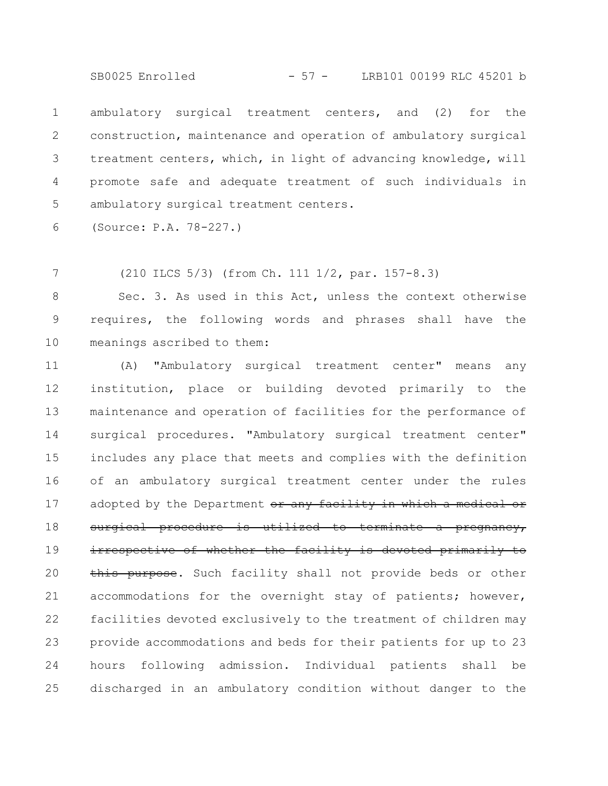SB0025 Enrolled - 57 - LRB101 00199 RLC 45201 b

ambulatory surgical treatment centers, and (2) for the construction, maintenance and operation of ambulatory surgical treatment centers, which, in light of advancing knowledge, will promote safe and adequate treatment of such individuals in ambulatory surgical treatment centers. 1 2 3 4 5

(Source: P.A. 78-227.) 6

(210 ILCS 5/3) (from Ch. 111 1/2, par. 157-8.3) 7

Sec. 3. As used in this Act, unless the context otherwise requires, the following words and phrases shall have the meanings ascribed to them: 8 9 10

(A) "Ambulatory surgical treatment center" means any institution, place or building devoted primarily to the maintenance and operation of facilities for the performance of surgical procedures. "Ambulatory surgical treatment center" includes any place that meets and complies with the definition of an ambulatory surgical treatment center under the rules adopted by the Department or any facility in which a medical or surgical procedure is utilized to terminate a pregnancy, irrespective of whether the facility is devoted primarily to this purpose. Such facility shall not provide beds or other accommodations for the overnight stay of patients; however, facilities devoted exclusively to the treatment of children may provide accommodations and beds for their patients for up to 23 hours following admission. Individual patients shall be discharged in an ambulatory condition without danger to the 11 12 13 14 15 16 17 18 19 20 21 22 23 24 25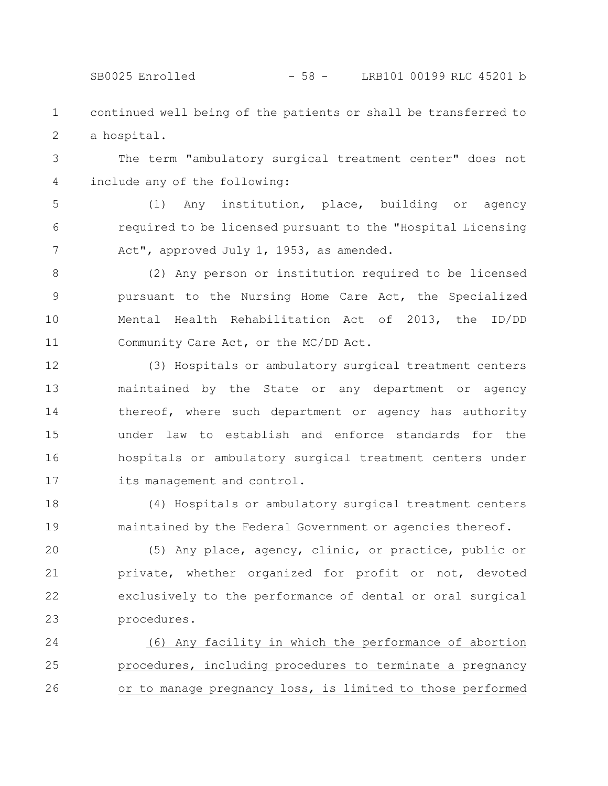SB0025 Enrolled - 58 - LRB101 00199 RLC 45201 b

continued well being of the patients or shall be transferred to a hospital. 1 2

The term "ambulatory surgical treatment center" does not include any of the following: 3 4

(1) Any institution, place, building or agency required to be licensed pursuant to the "Hospital Licensing Act", approved July 1, 1953, as amended. 5 6 7

(2) Any person or institution required to be licensed pursuant to the Nursing Home Care Act, the Specialized Mental Health Rehabilitation Act of 2013, the ID/DD Community Care Act, or the MC/DD Act. 8 9 10 11

(3) Hospitals or ambulatory surgical treatment centers maintained by the State or any department or agency thereof, where such department or agency has authority under law to establish and enforce standards for the hospitals or ambulatory surgical treatment centers under its management and control. 12 13 14 15 16 17

(4) Hospitals or ambulatory surgical treatment centers maintained by the Federal Government or agencies thereof. 18 19

(5) Any place, agency, clinic, or practice, public or private, whether organized for profit or not, devoted exclusively to the performance of dental or oral surgical procedures. 20 21 22 23

(6) Any facility in which the performance of abortion procedures, including procedures to terminate a pregnancy or to manage pregnancy loss, is limited to those performed 24 25 26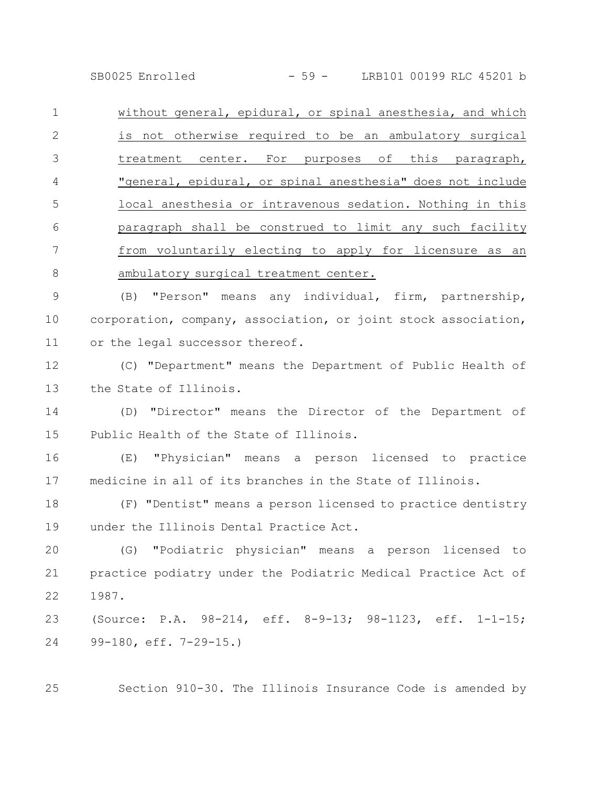SB0025 Enrolled - 59 - LRB101 00199 RLC 45201 b

without general, epidural, or spinal anesthesia, and which is not otherwise required to be an ambulatory surgical treatment center. For purposes of this paragraph, "general, epidural, or spinal anesthesia" does not include local anesthesia or intravenous sedation. Nothing in this paragraph shall be construed to limit any such facility from voluntarily electing to apply for licensure as an ambulatory surgical treatment center. 1 2 3 4 5 6 7 8

(B) "Person" means any individual, firm, partnership, corporation, company, association, or joint stock association, or the legal successor thereof. 9 10 11

(C) "Department" means the Department of Public Health of the State of Illinois. 12 13

(D) "Director" means the Director of the Department of Public Health of the State of Illinois. 14 15

(E) "Physician" means a person licensed to practice medicine in all of its branches in the State of Illinois. 16 17

(F) "Dentist" means a person licensed to practice dentistry under the Illinois Dental Practice Act. 18 19

(G) "Podiatric physician" means a person licensed to practice podiatry under the Podiatric Medical Practice Act of 1987. 20 21 22

(Source: P.A. 98-214, eff. 8-9-13; 98-1123, eff. 1-1-15; 99-180, eff. 7-29-15.) 23 24

Section 910-30. The Illinois Insurance Code is amended by

25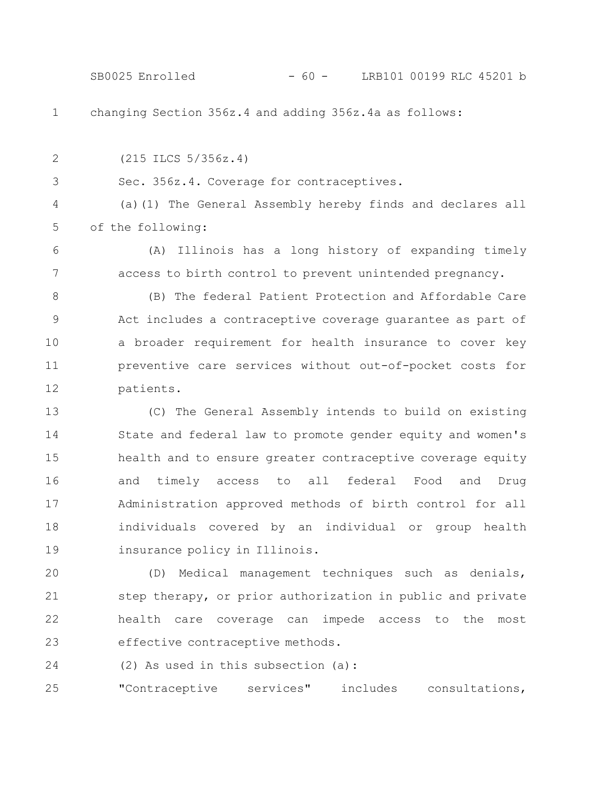changing Section 356z.4 and adding 356z.4a as follows: (215 ILCS 5/356z.4) Sec. 356z.4. Coverage for contraceptives. (a)(1) The General Assembly hereby finds and declares all of the following: (A) Illinois has a long history of expanding timely access to birth control to prevent unintended pregnancy. (B) The federal Patient Protection and Affordable Care Act includes a contraceptive coverage guarantee as part of a broader requirement for health insurance to cover key preventive care services without out-of-pocket costs for patients. (C) The General Assembly intends to build on existing State and federal law to promote gender equity and women's health and to ensure greater contraceptive coverage equity 1 2 3 4 5 6 7 8 9 10 11 12 13 14 15 SB0025 Enrolled - 60 - LRB101 00199 RLC 45201 b

and timely access to all federal Food and Drug Administration approved methods of birth control for all individuals covered by an individual or group health insurance policy in Illinois. 16 17 18 19

(D) Medical management techniques such as denials, step therapy, or prior authorization in public and private health care coverage can impede access to the most effective contraceptive methods. 20 21 22 23

(2) As used in this subsection (a): 24

"Contraceptive services" includes consultations, 25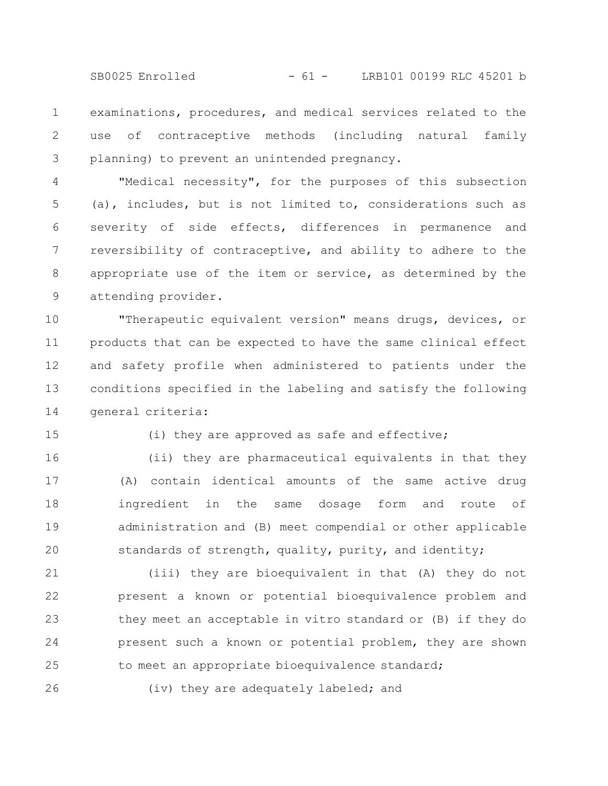SB0025 Enrolled - 61 - LRB101 00199 RLC 45201 b

examinations, procedures, and medical services related to the use of contraceptive methods (including natural family planning) to prevent an unintended pregnancy. 1 2 3

"Medical necessity", for the purposes of this subsection (a), includes, but is not limited to, considerations such as severity of side effects, differences in permanence and reversibility of contraceptive, and ability to adhere to the appropriate use of the item or service, as determined by the attending provider. 4 5 6 7 8 9

"Therapeutic equivalent version" means drugs, devices, or products that can be expected to have the same clinical effect and safety profile when administered to patients under the conditions specified in the labeling and satisfy the following general criteria: 10 11 12 13 14

15

(i) they are approved as safe and effective;

(ii) they are pharmaceutical equivalents in that they (A) contain identical amounts of the same active drug ingredient in the same dosage form and route of administration and (B) meet compendial or other applicable standards of strength, quality, purity, and identity; 16 17 18 19 20

(iii) they are bioequivalent in that (A) they do not present a known or potential bioequivalence problem and they meet an acceptable in vitro standard or (B) if they do present such a known or potential problem, they are shown to meet an appropriate bioequivalence standard; 21 22 23 24 25

26

(iv) they are adequately labeled; and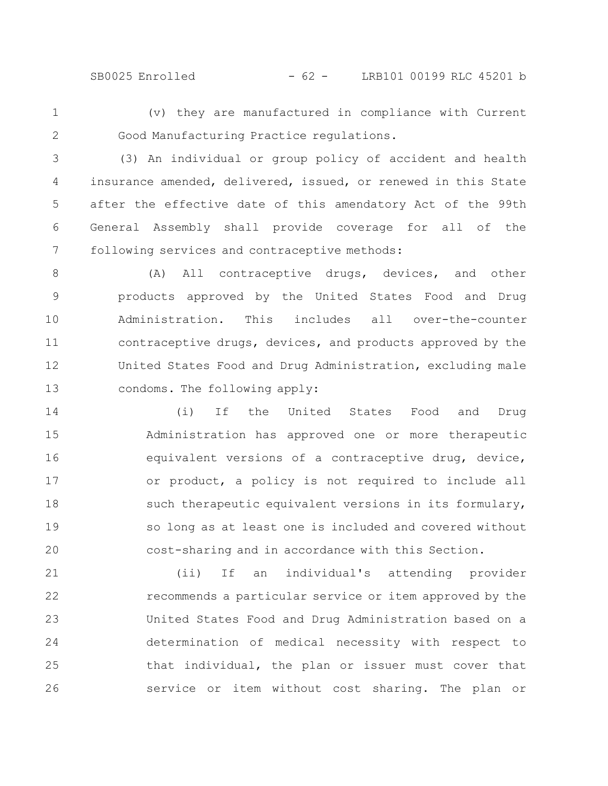SB0025 Enrolled - 62 - LRB101 00199 RLC 45201 b

(v) they are manufactured in compliance with Current Good Manufacturing Practice regulations.

1

2

(3) An individual or group policy of accident and health insurance amended, delivered, issued, or renewed in this State after the effective date of this amendatory Act of the 99th General Assembly shall provide coverage for all of the following services and contraceptive methods: 3 4 5 6 7

(A) All contraceptive drugs, devices, and other products approved by the United States Food and Drug Administration. This includes all over-the-counter contraceptive drugs, devices, and products approved by the United States Food and Drug Administration, excluding male condoms. The following apply: 8 9 10 11 12 13

(i) If the United States Food and Drug Administration has approved one or more therapeutic equivalent versions of a contraceptive drug, device, or product, a policy is not required to include all such therapeutic equivalent versions in its formulary, so long as at least one is included and covered without cost-sharing and in accordance with this Section. 14 15 16 17 18 19 20

(ii) If an individual's attending provider recommends a particular service or item approved by the United States Food and Drug Administration based on a determination of medical necessity with respect to that individual, the plan or issuer must cover that service or item without cost sharing. The plan or 21 22 23 24 25 26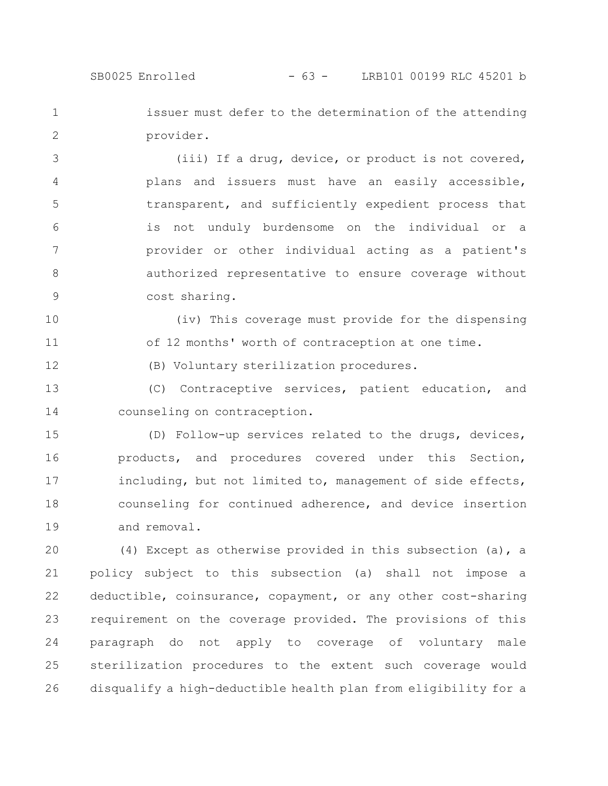12

issuer must defer to the determination of the attending provider. 1 2

(iii) If a drug, device, or product is not covered, plans and issuers must have an easily accessible, transparent, and sufficiently expedient process that is not unduly burdensome on the individual or a provider or other individual acting as a patient's authorized representative to ensure coverage without cost sharing. 3 4 5 6 7 8 9

(iv) This coverage must provide for the dispensing of 12 months' worth of contraception at one time. 10 11

(B) Voluntary sterilization procedures.

(C) Contraceptive services, patient education, and counseling on contraception. 13 14

(D) Follow-up services related to the drugs, devices, products, and procedures covered under this Section, including, but not limited to, management of side effects, counseling for continued adherence, and device insertion and removal. 15 16 17 18 19

(4) Except as otherwise provided in this subsection (a), a policy subject to this subsection (a) shall not impose a deductible, coinsurance, copayment, or any other cost-sharing requirement on the coverage provided. The provisions of this paragraph do not apply to coverage of voluntary male sterilization procedures to the extent such coverage would disqualify a high-deductible health plan from eligibility for a 20 21 22 23 24 25 26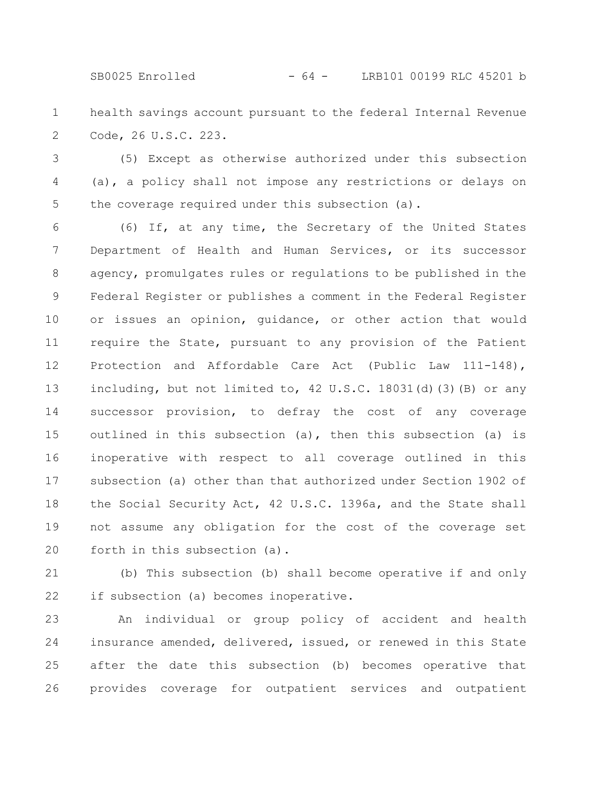SB0025 Enrolled - 64 - LRB101 00199 RLC 45201 b

health savings account pursuant to the federal Internal Revenue Code, 26 U.S.C. 223. 1 2

(5) Except as otherwise authorized under this subsection (a), a policy shall not impose any restrictions or delays on the coverage required under this subsection (a). 3 4 5

(6) If, at any time, the Secretary of the United States Department of Health and Human Services, or its successor agency, promulgates rules or regulations to be published in the Federal Register or publishes a comment in the Federal Register or issues an opinion, guidance, or other action that would require the State, pursuant to any provision of the Patient Protection and Affordable Care Act (Public Law 111-148), including, but not limited to, 42 U.S.C. 18031(d)(3)(B) or any successor provision, to defray the cost of any coverage outlined in this subsection (a), then this subsection (a) is inoperative with respect to all coverage outlined in this subsection (a) other than that authorized under Section 1902 of the Social Security Act, 42 U.S.C. 1396a, and the State shall not assume any obligation for the cost of the coverage set forth in this subsection (a). 6 7 8 9 10 11 12 13 14 15 16 17 18 19 20

(b) This subsection (b) shall become operative if and only if subsection (a) becomes inoperative. 21 22

An individual or group policy of accident and health insurance amended, delivered, issued, or renewed in this State after the date this subsection (b) becomes operative that provides coverage for outpatient services and outpatient 23 24 25 26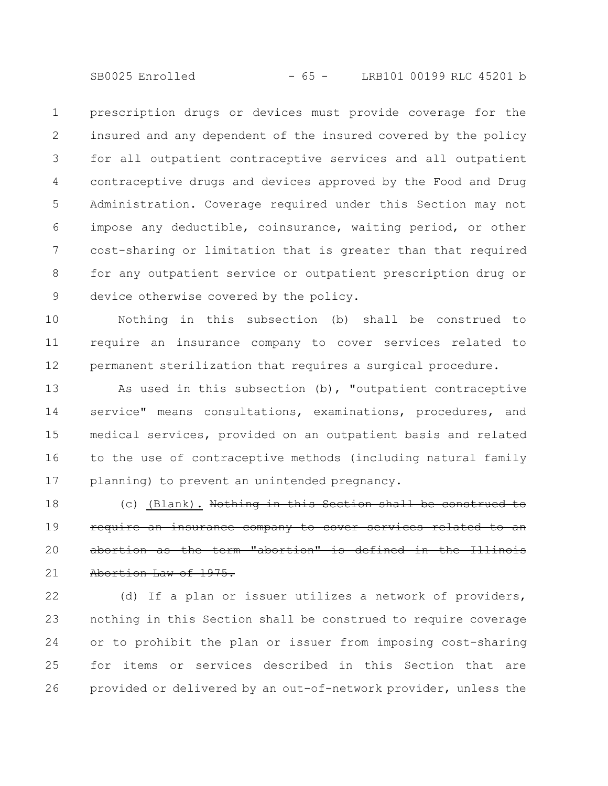SB0025 Enrolled - 65 - LRB101 00199 RLC 45201 b

prescription drugs or devices must provide coverage for the insured and any dependent of the insured covered by the policy for all outpatient contraceptive services and all outpatient contraceptive drugs and devices approved by the Food and Drug Administration. Coverage required under this Section may not impose any deductible, coinsurance, waiting period, or other cost-sharing or limitation that is greater than that required for any outpatient service or outpatient prescription drug or device otherwise covered by the policy. 1 2 3 4 5 6 7 8 9

Nothing in this subsection (b) shall be construed to require an insurance company to cover services related to permanent sterilization that requires a surgical procedure. 10 11 12

As used in this subsection (b), "outpatient contraceptive service" means consultations, examinations, procedures, and medical services, provided on an outpatient basis and related to the use of contraceptive methods (including natural family planning) to prevent an unintended pregnancy. 13 14 15 16 17

(c) (Blank). Nothing in this Section shall be construed require an insurance company to cover services related abortion as the term "abortion" is defined in the Abortion Law of 1975. 18 19 20 21

(d) If a plan or issuer utilizes a network of providers, nothing in this Section shall be construed to require coverage or to prohibit the plan or issuer from imposing cost-sharing for items or services described in this Section that are provided or delivered by an out-of-network provider, unless the 22 23 24 25 26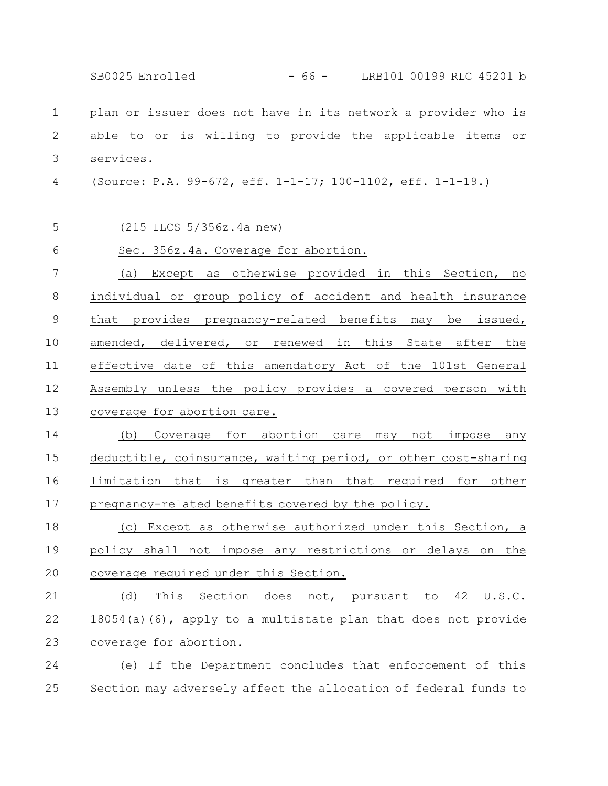plan or issuer does not have in its network a provider who is able to or is willing to provide the applicable items or services. (Source: P.A. 99-672, eff. 1-1-17; 100-1102, eff. 1-1-19.) (215 ILCS 5/356z.4a new) Sec. 356z.4a. Coverage for abortion. (a) Except as otherwise provided in this Section, no individual or group policy of accident and health insurance that provides pregnancy-related benefits may be issued, amended, delivered, or renewed in this State after the effective date of this amendatory Act of the 101st General Assembly unless the policy provides a covered person with coverage for abortion care. (b) Coverage for abortion care may not impose any deductible, coinsurance, waiting period, or other cost-sharing limitation that is greater than that required for other pregnancy-related benefits covered by the policy. (c) Except as otherwise authorized under this Section, a policy shall not impose any restrictions or delays on the coverage required under this Section. (d) This Section does not, pursuant to 42 U.S.C. 18054(a)(6), apply to a multistate plan that does not provide coverage for abortion. (e) If the Department concludes that enforcement of this Section may adversely affect the allocation of federal funds to 1 2 3 4 5 6 7 8 9 10 11 12 13 14 15 16 17 18 19 20 21 22 23 24 25 SB0025 Enrolled - 66 - LRB101 00199 RLC 45201 b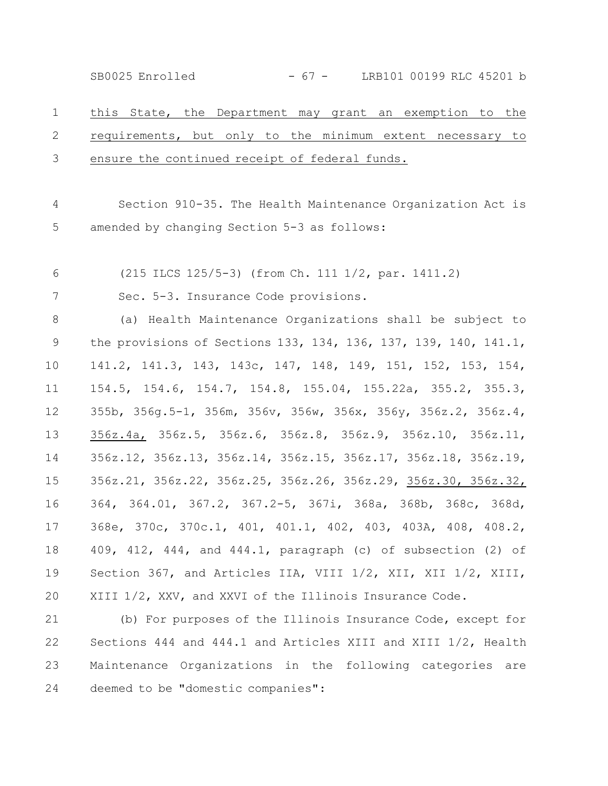SB0025 Enrolled - 67 - LRB101 00199 RLC 45201 b

this State, the Department may grant an exemption to the requirements, but only to the minimum extent necessary to ensure the continued receipt of federal funds. 1 2 3

Section 910-35. The Health Maintenance Organization Act is amended by changing Section 5-3 as follows: 4 5

(215 ILCS 125/5-3) (from Ch. 111 1/2, par. 1411.2) 6

Sec. 5-3. Insurance Code provisions. 7

(a) Health Maintenance Organizations shall be subject to the provisions of Sections 133, 134, 136, 137, 139, 140, 141.1, 141.2, 141.3, 143, 143c, 147, 148, 149, 151, 152, 153, 154, 154.5, 154.6, 154.7, 154.8, 155.04, 155.22a, 355.2, 355.3, 355b, 356g.5-1, 356m, 356v, 356w, 356x, 356y, 356z.2, 356z.4, 356z.4a, 356z.5, 356z.6, 356z.8, 356z.9, 356z.10, 356z.11, 356z.12, 356z.13, 356z.14, 356z.15, 356z.17, 356z.18, 356z.19, 356z.21, 356z.22, 356z.25, 356z.26, 356z.29, 356z.30, 356z.32, 364, 364.01, 367.2, 367.2-5, 367i, 368a, 368b, 368c, 368d, 368e, 370c, 370c.1, 401, 401.1, 402, 403, 403A, 408, 408.2, 409, 412, 444, and 444.1, paragraph (c) of subsection (2) of Section 367, and Articles IIA, VIII 1/2, XII, XII 1/2, XIII, XIII 1/2, XXV, and XXVI of the Illinois Insurance Code. 8 9 10 11 12 13 14 15 16 17 18 19 20

(b) For purposes of the Illinois Insurance Code, except for Sections 444 and 444.1 and Articles XIII and XIII 1/2, Health Maintenance Organizations in the following categories are deemed to be "domestic companies": 21 22 23 24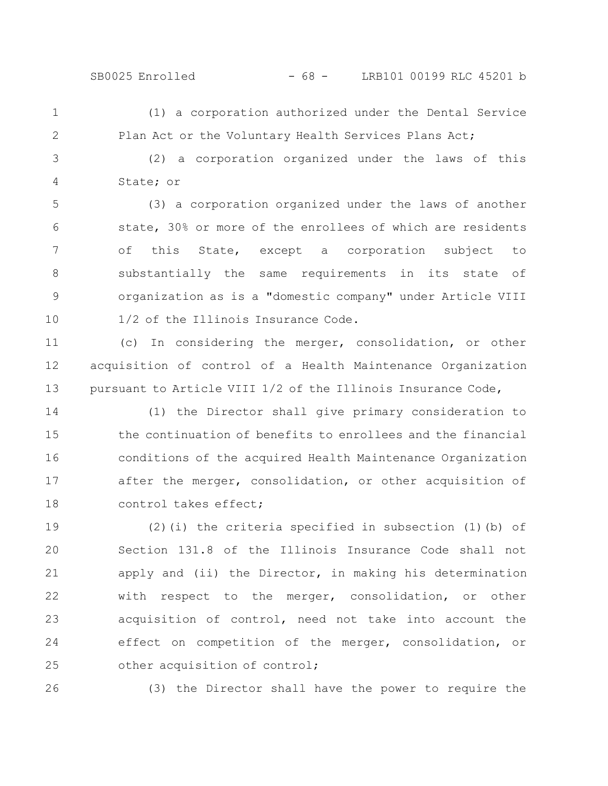## SB0025 Enrolled - 68 - LRB101 00199 RLC 45201 b

1 2

(1) a corporation authorized under the Dental Service Plan Act or the Voluntary Health Services Plans Act;

(2) a corporation organized under the laws of this State; or 3 4

(3) a corporation organized under the laws of another state, 30% or more of the enrollees of which are residents of this State, except a corporation subject to substantially the same requirements in its state of organization as is a "domestic company" under Article VIII 1/2 of the Illinois Insurance Code. 5 6 7 8 9 10

(c) In considering the merger, consolidation, or other acquisition of control of a Health Maintenance Organization pursuant to Article VIII 1/2 of the Illinois Insurance Code, 11 12 13

(1) the Director shall give primary consideration to the continuation of benefits to enrollees and the financial conditions of the acquired Health Maintenance Organization after the merger, consolidation, or other acquisition of control takes effect; 14 15 16 17 18

(2)(i) the criteria specified in subsection (1)(b) of Section 131.8 of the Illinois Insurance Code shall not apply and (ii) the Director, in making his determination with respect to the merger, consolidation, or other acquisition of control, need not take into account the effect on competition of the merger, consolidation, or other acquisition of control; 19 20 21 22 23 24 25

26

(3) the Director shall have the power to require the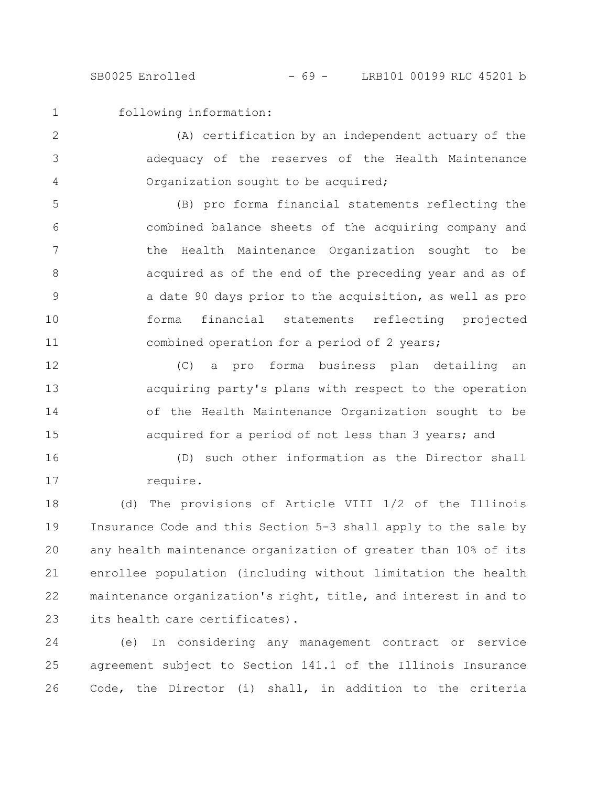SB0025 Enrolled - 69 - LRB101 00199 RLC 45201 b

following information: 1

(A) certification by an independent actuary of the adequacy of the reserves of the Health Maintenance Organization sought to be acquired; 2 3 4

(B) pro forma financial statements reflecting the combined balance sheets of the acquiring company and the Health Maintenance Organization sought to be acquired as of the end of the preceding year and as of a date 90 days prior to the acquisition, as well as pro forma financial statements reflecting projected combined operation for a period of 2 years; 5 6 7 8 9 10 11

(C) a pro forma business plan detailing an acquiring party's plans with respect to the operation of the Health Maintenance Organization sought to be acquired for a period of not less than 3 years; and 12 13 14 15

(D) such other information as the Director shall require. 16 17

(d) The provisions of Article VIII 1/2 of the Illinois Insurance Code and this Section 5-3 shall apply to the sale by any health maintenance organization of greater than 10% of its enrollee population (including without limitation the health maintenance organization's right, title, and interest in and to its health care certificates). 18 19 20 21 22 23

(e) In considering any management contract or service agreement subject to Section 141.1 of the Illinois Insurance Code, the Director (i) shall, in addition to the criteria 24 25 26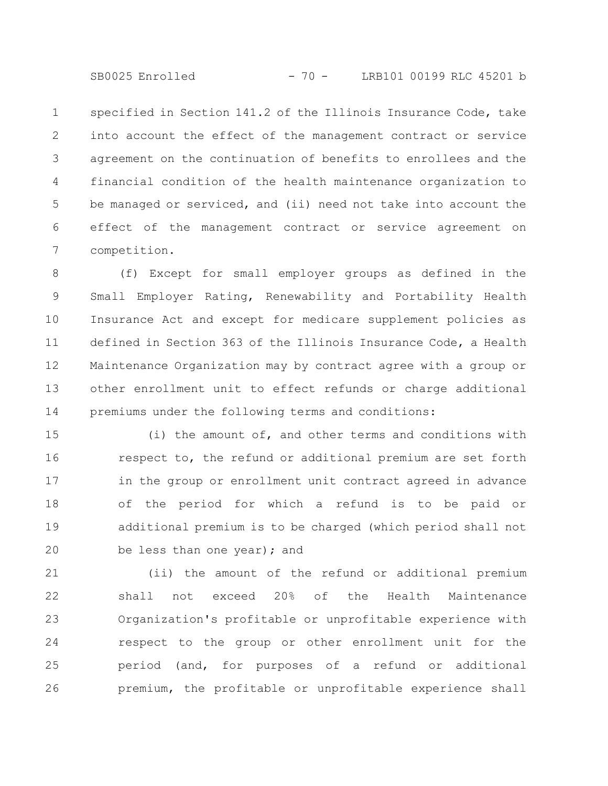SB0025 Enrolled - 70 - LRB101 00199 RLC 45201 b

specified in Section 141.2 of the Illinois Insurance Code, take into account the effect of the management contract or service agreement on the continuation of benefits to enrollees and the financial condition of the health maintenance organization to be managed or serviced, and (ii) need not take into account the effect of the management contract or service agreement on competition. 1 2 3 4 5 6 7

(f) Except for small employer groups as defined in the Small Employer Rating, Renewability and Portability Health Insurance Act and except for medicare supplement policies as defined in Section 363 of the Illinois Insurance Code, a Health Maintenance Organization may by contract agree with a group or other enrollment unit to effect refunds or charge additional premiums under the following terms and conditions: 8 9 10 11 12 13 14

(i) the amount of, and other terms and conditions with respect to, the refund or additional premium are set forth in the group or enrollment unit contract agreed in advance of the period for which a refund is to be paid or additional premium is to be charged (which period shall not be less than one year); and 15 16 17 18 19 20

(ii) the amount of the refund or additional premium shall not exceed 20% of the Health Maintenance Organization's profitable or unprofitable experience with respect to the group or other enrollment unit for the period (and, for purposes of a refund or additional premium, the profitable or unprofitable experience shall 21 22 23 24 25 26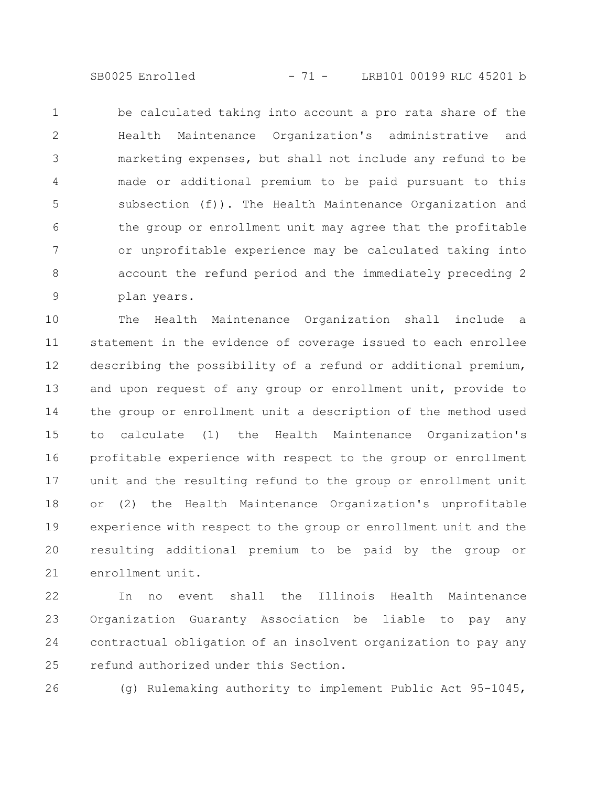SB0025 Enrolled - 71 - LRB101 00199 RLC 45201 b

be calculated taking into account a pro rata share of the Health Maintenance Organization's administrative and marketing expenses, but shall not include any refund to be made or additional premium to be paid pursuant to this subsection (f)). The Health Maintenance Organization and the group or enrollment unit may agree that the profitable or unprofitable experience may be calculated taking into account the refund period and the immediately preceding 2 plan years. 1 2 3 4 5 6 7 8 9

The Health Maintenance Organization shall include a statement in the evidence of coverage issued to each enrollee describing the possibility of a refund or additional premium, and upon request of any group or enrollment unit, provide to the group or enrollment unit a description of the method used to calculate (1) the Health Maintenance Organization's profitable experience with respect to the group or enrollment unit and the resulting refund to the group or enrollment unit or (2) the Health Maintenance Organization's unprofitable experience with respect to the group or enrollment unit and the resulting additional premium to be paid by the group or enrollment unit. 10 11 12 13 14 15 16 17 18 19 20 21

In no event shall the Illinois Health Maintenance Organization Guaranty Association be liable to pay any contractual obligation of an insolvent organization to pay any refund authorized under this Section. 22 23 24 25

26

(g) Rulemaking authority to implement Public Act 95-1045,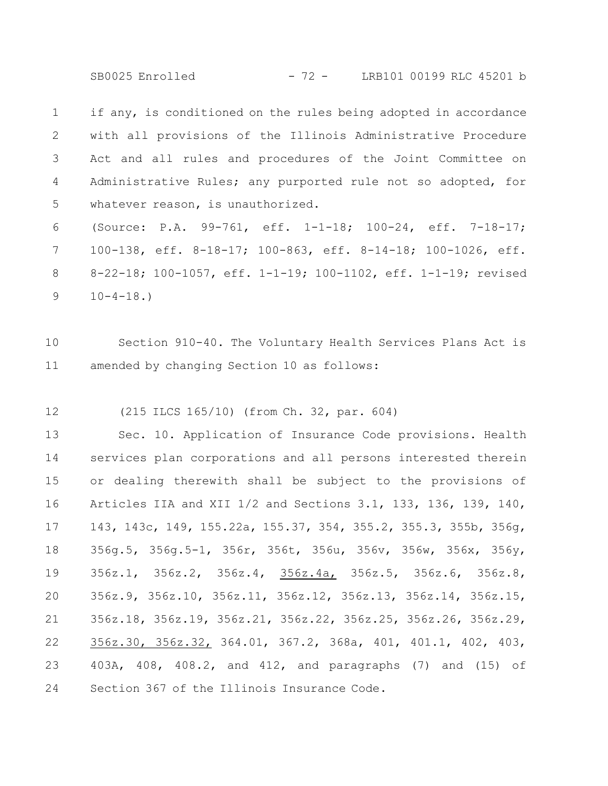SB0025 Enrolled - 72 - LRB101 00199 RLC 45201 b

if any, is conditioned on the rules being adopted in accordance with all provisions of the Illinois Administrative Procedure Act and all rules and procedures of the Joint Committee on Administrative Rules; any purported rule not so adopted, for whatever reason, is unauthorized. 1 2 3 4 5

(Source: P.A. 99-761, eff. 1-1-18; 100-24, eff. 7-18-17; 100-138, eff. 8-18-17; 100-863, eff. 8-14-18; 100-1026, eff. 8-22-18; 100-1057, eff. 1-1-19; 100-1102, eff. 1-1-19; revised  $10-4-18.$ 6 7 8 9

Section 910-40. The Voluntary Health Services Plans Act is amended by changing Section 10 as follows: 10 11

(215 ILCS 165/10) (from Ch. 32, par. 604) 12

Sec. 10. Application of Insurance Code provisions. Health services plan corporations and all persons interested therein or dealing therewith shall be subject to the provisions of Articles IIA and XII 1/2 and Sections 3.1, 133, 136, 139, 140, 143, 143c, 149, 155.22a, 155.37, 354, 355.2, 355.3, 355b, 356g, 356g.5, 356g.5-1, 356r, 356t, 356u, 356v, 356w, 356x, 356y, 356z.1, 356z.2, 356z.4, 356z.4a, 356z.5, 356z.6, 356z.8, 356z.9, 356z.10, 356z.11, 356z.12, 356z.13, 356z.14, 356z.15, 356z.18, 356z.19, 356z.21, 356z.22, 356z.25, 356z.26, 356z.29, 356z.30, 356z.32, 364.01, 367.2, 368a, 401, 401.1, 402, 403, 403A, 408, 408.2, and 412, and paragraphs (7) and (15) of Section 367 of the Illinois Insurance Code. 13 14 15 16 17 18 19 20 21 22 23 24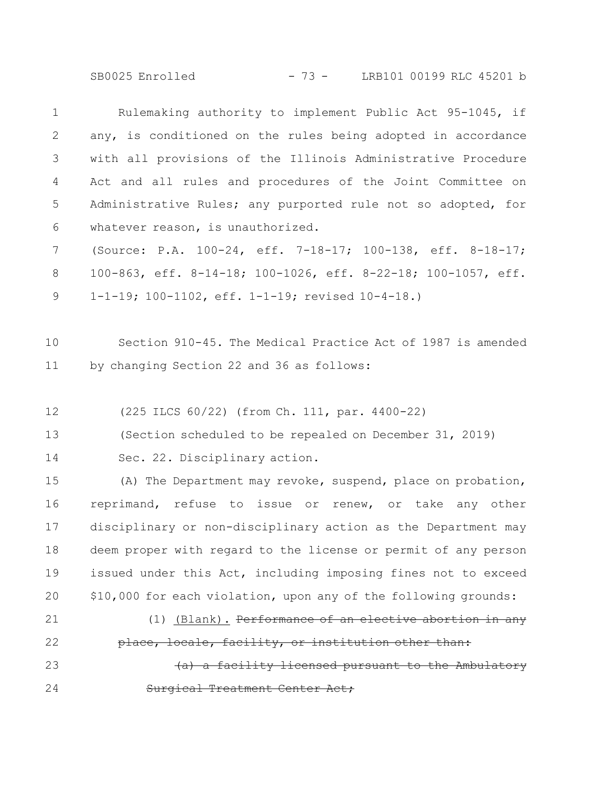SB0025 Enrolled - 73 - LRB101 00199 RLC 45201 b

Rulemaking authority to implement Public Act 95-1045, if any, is conditioned on the rules being adopted in accordance with all provisions of the Illinois Administrative Procedure Act and all rules and procedures of the Joint Committee on Administrative Rules; any purported rule not so adopted, for whatever reason, is unauthorized. (Source: P.A. 100-24, eff. 7-18-17; 100-138, eff. 8-18-17; 100-863, eff. 8-14-18; 100-1026, eff. 8-22-18; 100-1057, eff. 1-1-19; 100-1102, eff. 1-1-19; revised 10-4-18.) 1 2 3 4 5 6 7 8 9

Section 910-45. The Medical Practice Act of 1987 is amended by changing Section 22 and 36 as follows: 10 11

(225 ILCS 60/22) (from Ch. 111, par. 4400-22) 12

(Section scheduled to be repealed on December 31, 2019) 13

Sec. 22. Disciplinary action. 14

(A) The Department may revoke, suspend, place on probation, reprimand, refuse to issue or renew, or take any other disciplinary or non-disciplinary action as the Department may deem proper with regard to the license or permit of any person issued under this Act, including imposing fines not to exceed \$10,000 for each violation, upon any of the following grounds: 15 16 17 18 19 20

21

22

(1) (Blank). Performance of an elective abortion in any place, locale, facility, or institution other than:

facility licensed pursuant to the Ambulatory oal Treatment Center Act; 23 24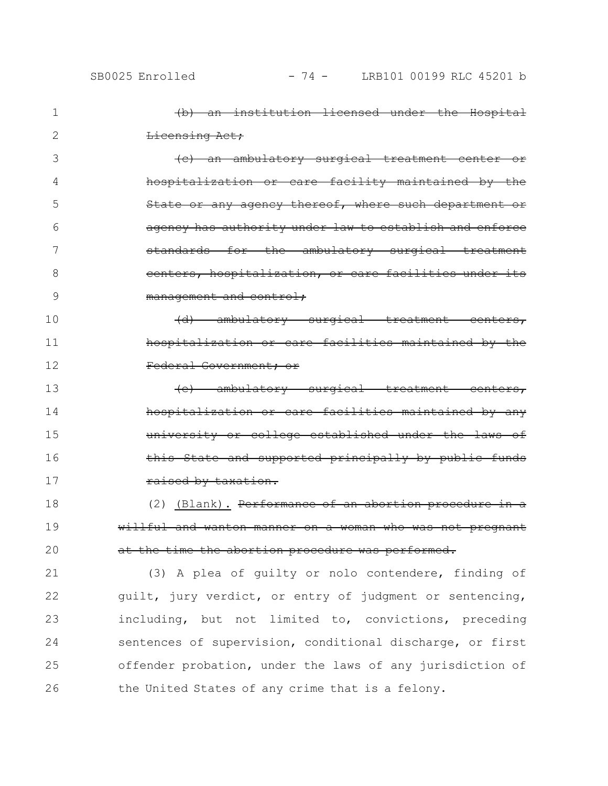| SB0025 Enrolled |  |
|-----------------|--|

| 1  | (b) an institution licensed under the Hospital            |
|----|-----------------------------------------------------------|
| 2  | Licensing Act;                                            |
| 3  | (c) an ambulatory surgical treatment center or            |
| 4  | hospitalization or care facility maintained by the        |
| 5  | State or any agency thereof, where such department or     |
| 6  | agency has authority under law to establish and enforce   |
| 7  | standards for the ambulatory surgical treatment           |
| 8  | centers, hospitalization, or care facilities under its    |
| 9  | management and control:                                   |
| 10 | ambulatory surgical treatment centers,                    |
| 11 | hospitalization or care facilities maintained by the      |
| 12 | Federal Government; or                                    |
| 13 | (e) ambulatory surgical treatment centers,                |
| 14 | hospitalization or care facilities maintained by any      |
| 15 | university or college established under the laws of       |
| 16 | State and supported principally by public funds           |
| 17 | raised by taxation.                                       |
| 18 | (2) (Blank). Performance of an abortion procedure in a    |
| 19 | willful and wanton manner on a woman who was not pregnant |
| 20 | the abortion procedure was performed.                     |
| 21 | (3) A plea of guilty or nolo contendere, finding of       |
| 22 | guilt, jury verdict, or entry of judgment or sentencing,  |
| 23 | including, but not limited to, convictions, preceding     |
| 24 | sentences of supervision, conditional discharge, or first |
| 25 | offender probation, under the laws of any jurisdiction of |
|    |                                                           |

the United States of any crime that is a felony. 26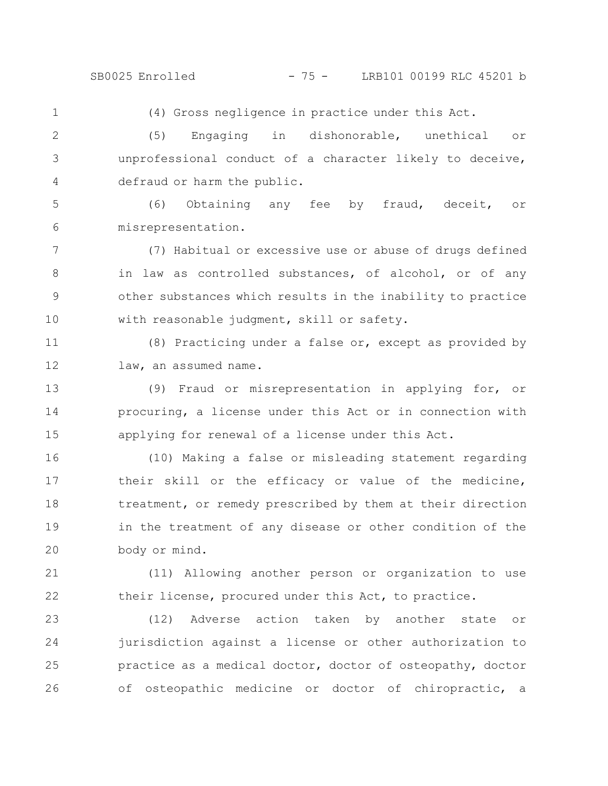1

(4) Gross negligence in practice under this Act.

(5) Engaging in dishonorable, unethical or unprofessional conduct of a character likely to deceive, defraud or harm the public. 2 3 4

(6) Obtaining any fee by fraud, deceit, or misrepresentation. 5 6

(7) Habitual or excessive use or abuse of drugs defined in law as controlled substances, of alcohol, or of any other substances which results in the inability to practice with reasonable judgment, skill or safety. 7 8 9 10

(8) Practicing under a false or, except as provided by law, an assumed name. 11 12

(9) Fraud or misrepresentation in applying for, or procuring, a license under this Act or in connection with applying for renewal of a license under this Act. 13 14 15

(10) Making a false or misleading statement regarding their skill or the efficacy or value of the medicine, treatment, or remedy prescribed by them at their direction in the treatment of any disease or other condition of the body or mind. 16 17 18 19 20

(11) Allowing another person or organization to use their license, procured under this Act, to practice. 21 22

(12) Adverse action taken by another state or jurisdiction against a license or other authorization to practice as a medical doctor, doctor of osteopathy, doctor of osteopathic medicine or doctor of chiropractic, a 23 24 25 26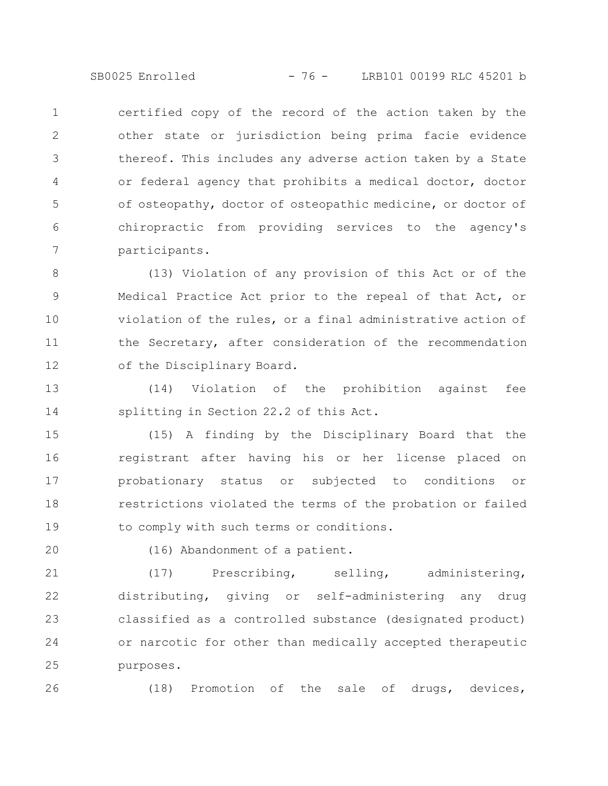SB0025 Enrolled - 76 - LRB101 00199 RLC 45201 b

certified copy of the record of the action taken by the other state or jurisdiction being prima facie evidence thereof. This includes any adverse action taken by a State or federal agency that prohibits a medical doctor, doctor of osteopathy, doctor of osteopathic medicine, or doctor of chiropractic from providing services to the agency's participants. 1 2 3 4 5 6 7

(13) Violation of any provision of this Act or of the Medical Practice Act prior to the repeal of that Act, or violation of the rules, or a final administrative action of the Secretary, after consideration of the recommendation of the Disciplinary Board. 8 9 10 11 12

(14) Violation of the prohibition against fee splitting in Section 22.2 of this Act. 13 14

(15) A finding by the Disciplinary Board that the registrant after having his or her license placed on probationary status or subjected to conditions or restrictions violated the terms of the probation or failed to comply with such terms or conditions. 15 16 17 18 19

20

(16) Abandonment of a patient.

(17) Prescribing, selling, administering, distributing, giving or self-administering any drug classified as a controlled substance (designated product) or narcotic for other than medically accepted therapeutic purposes. 21 22 23 24 25

26

(18) Promotion of the sale of drugs, devices,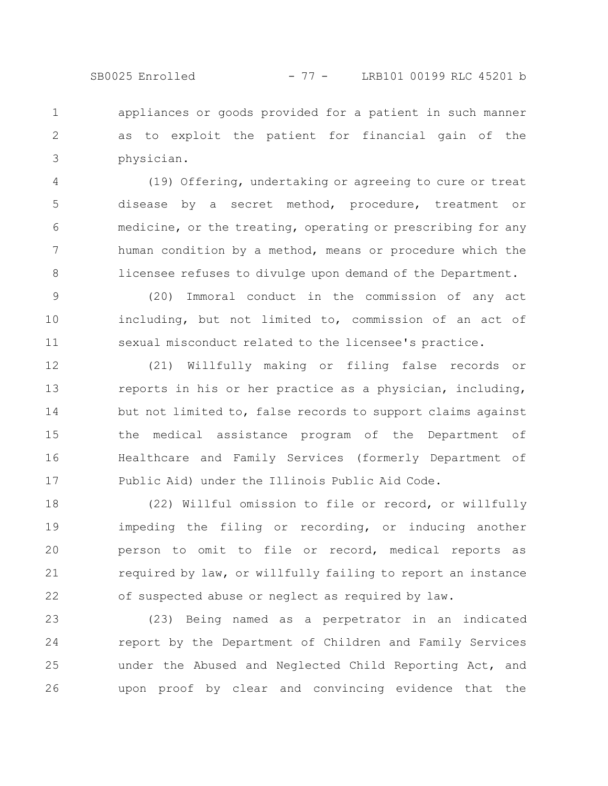SB0025 Enrolled - 77 - LRB101 00199 RLC 45201 b

appliances or goods provided for a patient in such manner as to exploit the patient for financial gain of the physician. 1 2 3

(19) Offering, undertaking or agreeing to cure or treat disease by a secret method, procedure, treatment or medicine, or the treating, operating or prescribing for any human condition by a method, means or procedure which the licensee refuses to divulge upon demand of the Department. 4 5 6 7 8

(20) Immoral conduct in the commission of any act including, but not limited to, commission of an act of sexual misconduct related to the licensee's practice. 9 10 11

(21) Willfully making or filing false records or reports in his or her practice as a physician, including, but not limited to, false records to support claims against the medical assistance program of the Department of Healthcare and Family Services (formerly Department of Public Aid) under the Illinois Public Aid Code. 12 13 14 15 16 17

(22) Willful omission to file or record, or willfully impeding the filing or recording, or inducing another person to omit to file or record, medical reports as required by law, or willfully failing to report an instance of suspected abuse or neglect as required by law. 18 19 20 21 22

(23) Being named as a perpetrator in an indicated report by the Department of Children and Family Services under the Abused and Neglected Child Reporting Act, and upon proof by clear and convincing evidence that the 23 24 25 26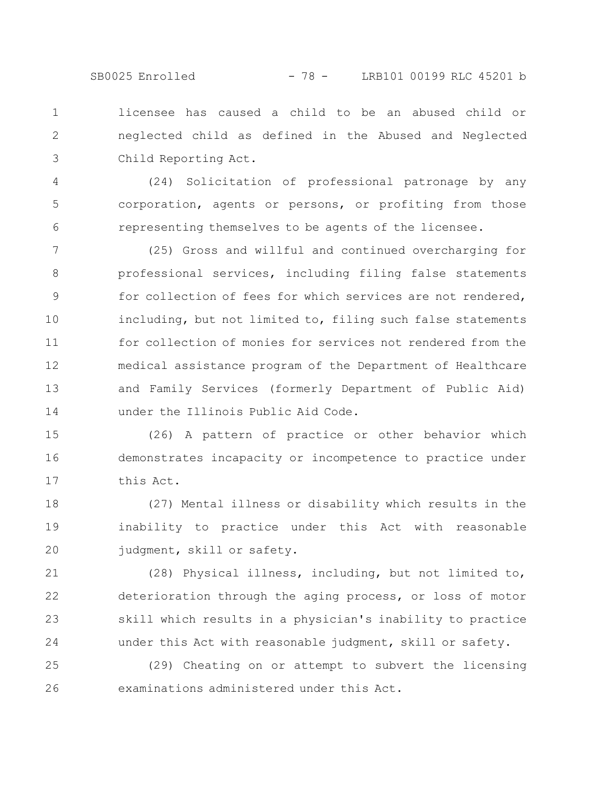SB0025 Enrolled - 78 - LRB101 00199 RLC 45201 b

licensee has caused a child to be an abused child or neglected child as defined in the Abused and Neglected Child Reporting Act. 1 2 3

(24) Solicitation of professional patronage by any corporation, agents or persons, or profiting from those representing themselves to be agents of the licensee. 4 5 6

(25) Gross and willful and continued overcharging for professional services, including filing false statements for collection of fees for which services are not rendered, including, but not limited to, filing such false statements for collection of monies for services not rendered from the medical assistance program of the Department of Healthcare and Family Services (formerly Department of Public Aid) under the Illinois Public Aid Code. 7 8 9 10 11 12 13 14

(26) A pattern of practice or other behavior which demonstrates incapacity or incompetence to practice under this Act. 15 16 17

(27) Mental illness or disability which results in the inability to practice under this Act with reasonable judgment, skill or safety. 18 19 20

(28) Physical illness, including, but not limited to, deterioration through the aging process, or loss of motor skill which results in a physician's inability to practice under this Act with reasonable judgment, skill or safety. 21 22 23 24

(29) Cheating on or attempt to subvert the licensing examinations administered under this Act. 25 26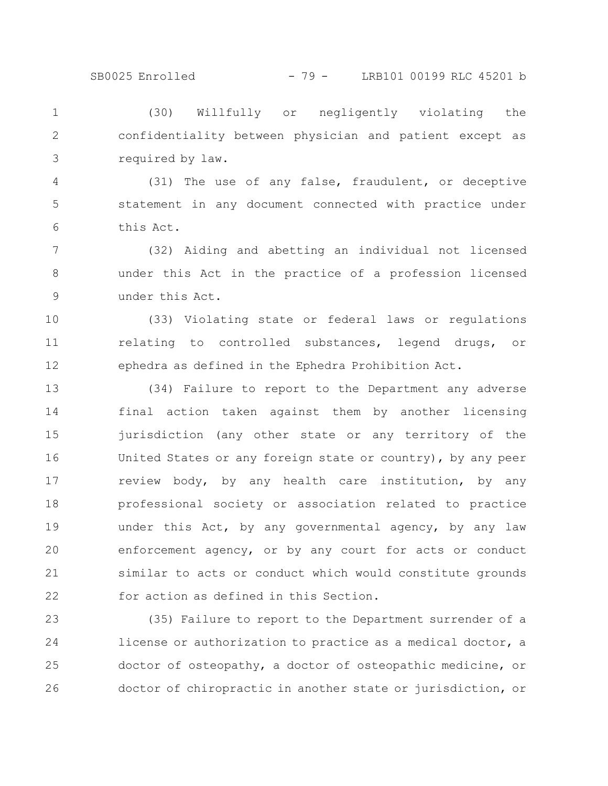## SB0025 Enrolled - 79 - LRB101 00199 RLC 45201 b

(30) Willfully or negligently violating the confidentiality between physician and patient except as required by law. 1 2 3

(31) The use of any false, fraudulent, or deceptive statement in any document connected with practice under this Act. 4 5 6

(32) Aiding and abetting an individual not licensed under this Act in the practice of a profession licensed under this Act. 7 8 9

(33) Violating state or federal laws or regulations relating to controlled substances, legend drugs, or ephedra as defined in the Ephedra Prohibition Act. 10 11 12

(34) Failure to report to the Department any adverse final action taken against them by another licensing jurisdiction (any other state or any territory of the United States or any foreign state or country), by any peer review body, by any health care institution, by any professional society or association related to practice under this Act, by any governmental agency, by any law enforcement agency, or by any court for acts or conduct similar to acts or conduct which would constitute grounds for action as defined in this Section. 13 14 15 16 17 18 19 20 21 22

(35) Failure to report to the Department surrender of a license or authorization to practice as a medical doctor, a doctor of osteopathy, a doctor of osteopathic medicine, or doctor of chiropractic in another state or jurisdiction, or 23 24 25 26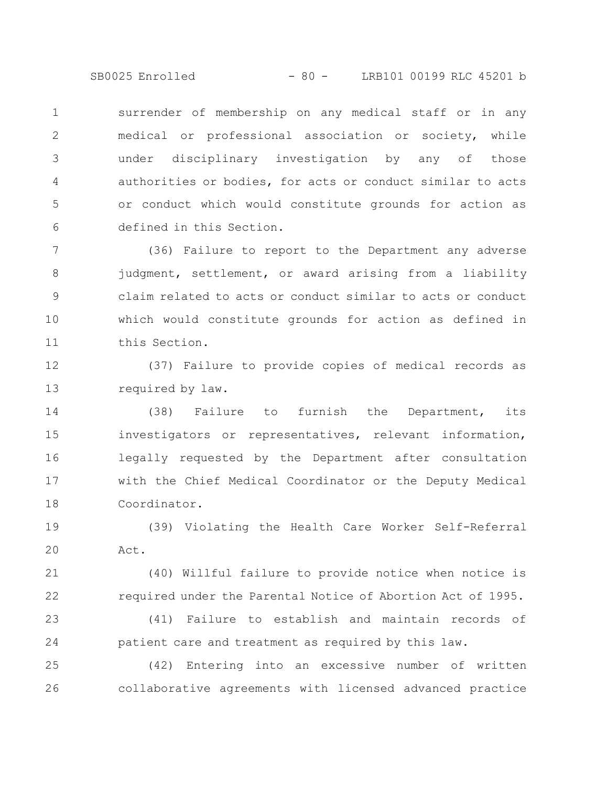SB0025 Enrolled - 80 - LRB101 00199 RLC 45201 b

surrender of membership on any medical staff or in any medical or professional association or society, while under disciplinary investigation by any of those authorities or bodies, for acts or conduct similar to acts or conduct which would constitute grounds for action as defined in this Section. 1 2 3 4 5 6

(36) Failure to report to the Department any adverse judgment, settlement, or award arising from a liability claim related to acts or conduct similar to acts or conduct which would constitute grounds for action as defined in this Section. 7 8 9 10 11

(37) Failure to provide copies of medical records as required by law. 12 13

(38) Failure to furnish the Department, its investigators or representatives, relevant information, legally requested by the Department after consultation with the Chief Medical Coordinator or the Deputy Medical Coordinator. 14 15 16 17 18

(39) Violating the Health Care Worker Self-Referral Act. 19 20

(40) Willful failure to provide notice when notice is required under the Parental Notice of Abortion Act of 1995. 21 22

(41) Failure to establish and maintain records of patient care and treatment as required by this law. 23 24

(42) Entering into an excessive number of written collaborative agreements with licensed advanced practice 25 26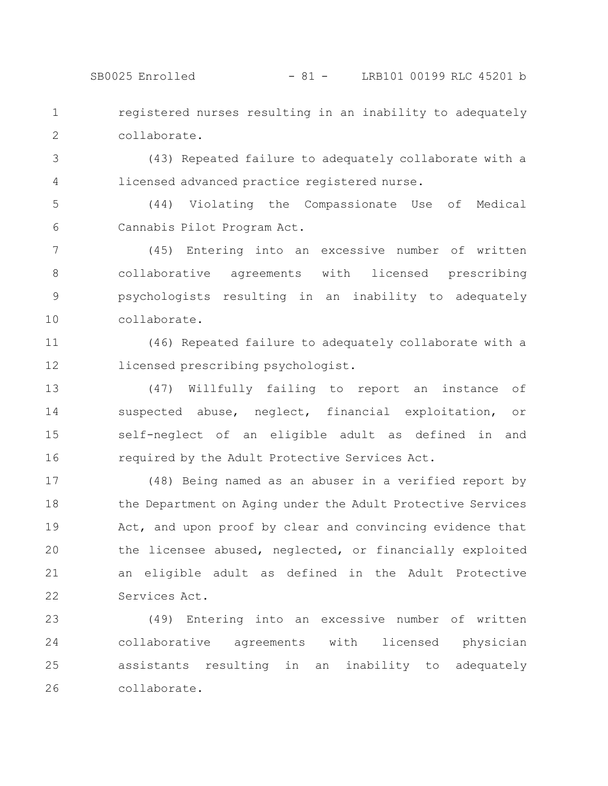## SB0025 Enrolled - 81 - LRB101 00199 RLC 45201 b

registered nurses resulting in an inability to adequately collaborate. 1 2

(43) Repeated failure to adequately collaborate with a licensed advanced practice registered nurse. 3 4

(44) Violating the Compassionate Use of Medical Cannabis Pilot Program Act. 5 6

(45) Entering into an excessive number of written collaborative agreements with licensed prescribing psychologists resulting in an inability to adequately collaborate. 7 8 9 10

(46) Repeated failure to adequately collaborate with a licensed prescribing psychologist. 11 12

(47) Willfully failing to report an instance of suspected abuse, neglect, financial exploitation, or self-neglect of an eligible adult as defined in and required by the Adult Protective Services Act. 13 14 15 16

(48) Being named as an abuser in a verified report by the Department on Aging under the Adult Protective Services Act, and upon proof by clear and convincing evidence that the licensee abused, neglected, or financially exploited an eligible adult as defined in the Adult Protective Services Act. 17 18 19 20 21 22

(49) Entering into an excessive number of written collaborative agreements with licensed physician assistants resulting in an inability to adequately collaborate. 23 24 25 26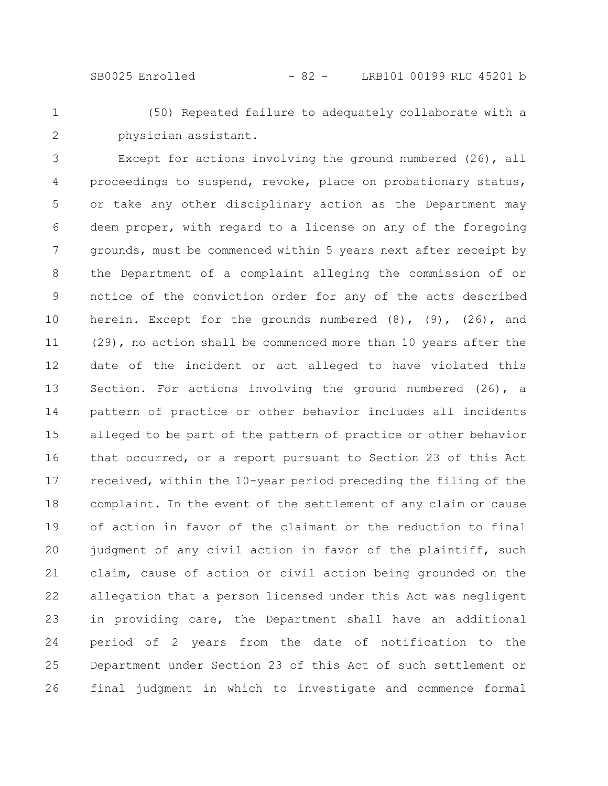1

2

(50) Repeated failure to adequately collaborate with a physician assistant.

Except for actions involving the ground numbered (26), all proceedings to suspend, revoke, place on probationary status, or take any other disciplinary action as the Department may deem proper, with regard to a license on any of the foregoing grounds, must be commenced within 5 years next after receipt by the Department of a complaint alleging the commission of or notice of the conviction order for any of the acts described herein. Except for the grounds numbered (8), (9), (26), and (29), no action shall be commenced more than 10 years after the date of the incident or act alleged to have violated this Section. For actions involving the ground numbered (26), a pattern of practice or other behavior includes all incidents alleged to be part of the pattern of practice or other behavior that occurred, or a report pursuant to Section 23 of this Act received, within the 10-year period preceding the filing of the complaint. In the event of the settlement of any claim or cause of action in favor of the claimant or the reduction to final judgment of any civil action in favor of the plaintiff, such claim, cause of action or civil action being grounded on the allegation that a person licensed under this Act was negligent in providing care, the Department shall have an additional period of 2 years from the date of notification to the Department under Section 23 of this Act of such settlement or final judgment in which to investigate and commence formal 3 4 5 6 7 8 9 10 11 12 13 14 15 16 17 18 19 20 21 22 23 24 25 26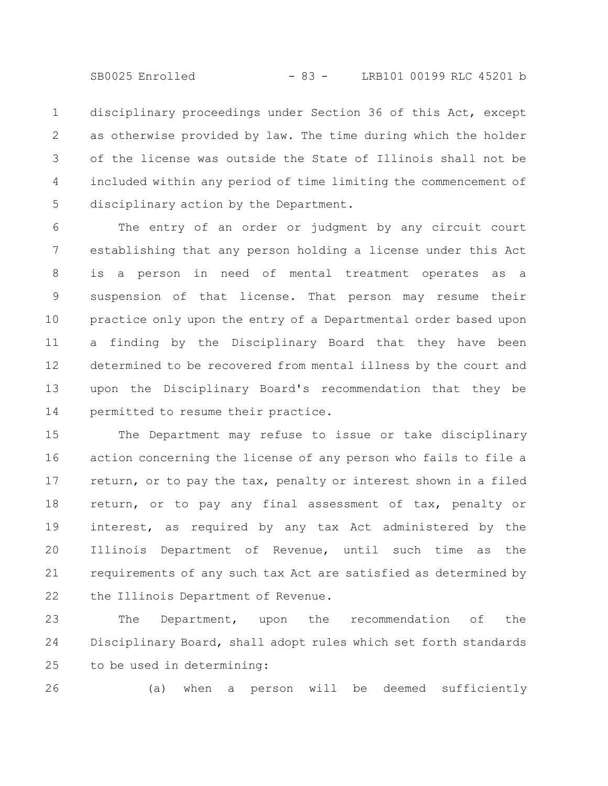SB0025 Enrolled - 83 - LRB101 00199 RLC 45201 b

disciplinary proceedings under Section 36 of this Act, except as otherwise provided by law. The time during which the holder of the license was outside the State of Illinois shall not be included within any period of time limiting the commencement of disciplinary action by the Department. 1 2 3 4 5

The entry of an order or judgment by any circuit court establishing that any person holding a license under this Act is a person in need of mental treatment operates as a suspension of that license. That person may resume their practice only upon the entry of a Departmental order based upon a finding by the Disciplinary Board that they have been determined to be recovered from mental illness by the court and upon the Disciplinary Board's recommendation that they be permitted to resume their practice. 6 7 8 9 10 11 12 13 14

The Department may refuse to issue or take disciplinary action concerning the license of any person who fails to file a return, or to pay the tax, penalty or interest shown in a filed return, or to pay any final assessment of tax, penalty or interest, as required by any tax Act administered by the Illinois Department of Revenue, until such time as the requirements of any such tax Act are satisfied as determined by the Illinois Department of Revenue. 15 16 17 18 19 20 21 22

The Department, upon the recommendation of the Disciplinary Board, shall adopt rules which set forth standards to be used in determining: 23 24 25

26

(a) when a person will be deemed sufficiently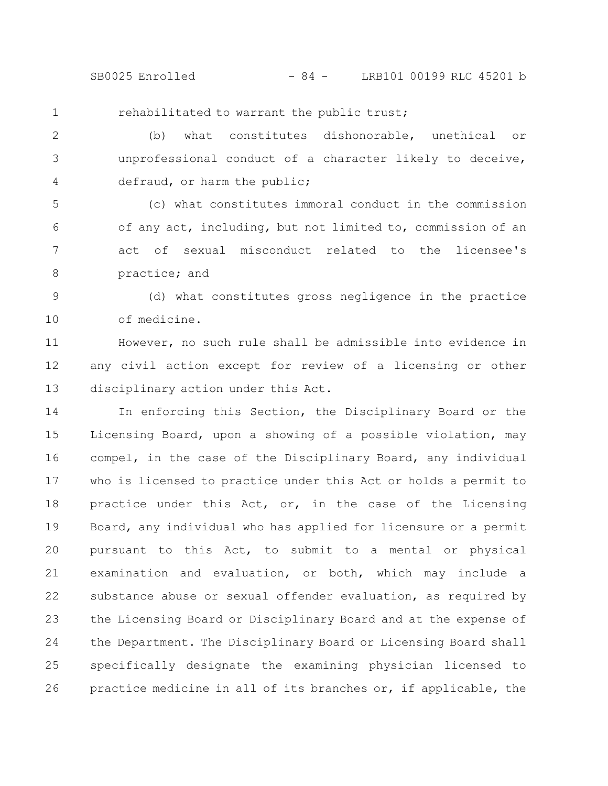SB0025 Enrolled - 84 - LRB101 00199 RLC 45201 b

rehabilitated to warrant the public trust; 1

(b) what constitutes dishonorable, unethical or unprofessional conduct of a character likely to deceive, defraud, or harm the public; 2 3 4

(c) what constitutes immoral conduct in the commission of any act, including, but not limited to, commission of an act of sexual misconduct related to the licensee's practice; and 5 6 7 8

(d) what constitutes gross negligence in the practice of medicine. 9 10

However, no such rule shall be admissible into evidence in any civil action except for review of a licensing or other disciplinary action under this Act. 11 12 13

In enforcing this Section, the Disciplinary Board or the Licensing Board, upon a showing of a possible violation, may compel, in the case of the Disciplinary Board, any individual who is licensed to practice under this Act or holds a permit to practice under this Act, or, in the case of the Licensing Board, any individual who has applied for licensure or a permit pursuant to this Act, to submit to a mental or physical examination and evaluation, or both, which may include a substance abuse or sexual offender evaluation, as required by the Licensing Board or Disciplinary Board and at the expense of the Department. The Disciplinary Board or Licensing Board shall specifically designate the examining physician licensed to practice medicine in all of its branches or, if applicable, the 14 15 16 17 18 19 20 21 22 23 24 25 26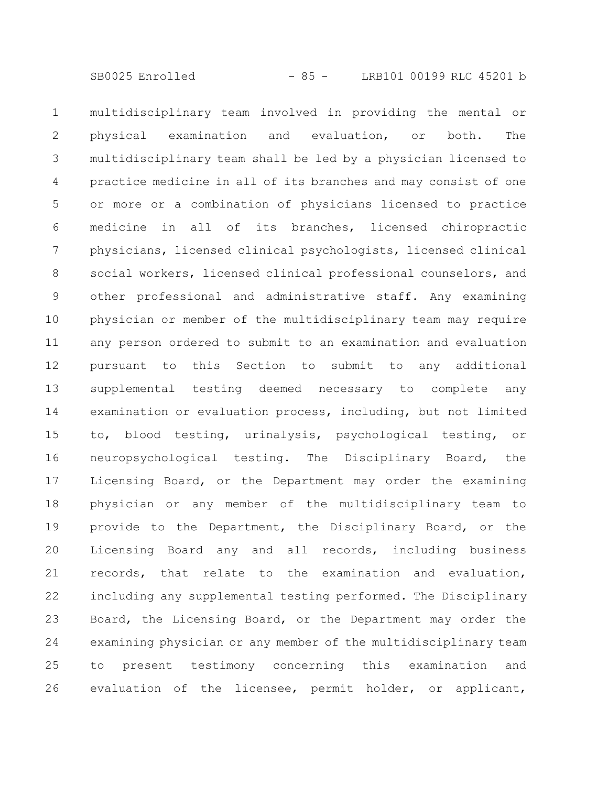multidisciplinary team involved in providing the mental or physical examination and evaluation, or both. The multidisciplinary team shall be led by a physician licensed to practice medicine in all of its branches and may consist of one or more or a combination of physicians licensed to practice medicine in all of its branches, licensed chiropractic physicians, licensed clinical psychologists, licensed clinical social workers, licensed clinical professional counselors, and other professional and administrative staff. Any examining physician or member of the multidisciplinary team may require any person ordered to submit to an examination and evaluation pursuant to this Section to submit to any additional supplemental testing deemed necessary to complete any examination or evaluation process, including, but not limited to, blood testing, urinalysis, psychological testing, or neuropsychological testing. The Disciplinary Board, the Licensing Board, or the Department may order the examining physician or any member of the multidisciplinary team to provide to the Department, the Disciplinary Board, or the Licensing Board any and all records, including business records, that relate to the examination and evaluation, including any supplemental testing performed. The Disciplinary Board, the Licensing Board, or the Department may order the examining physician or any member of the multidisciplinary team to present testimony concerning this examination and evaluation of the licensee, permit holder, or applicant, 1 2 3 4 5 6 7 8 9 10 11 12 13 14 15 16 17 18 19 20 21 22 23 24 25 26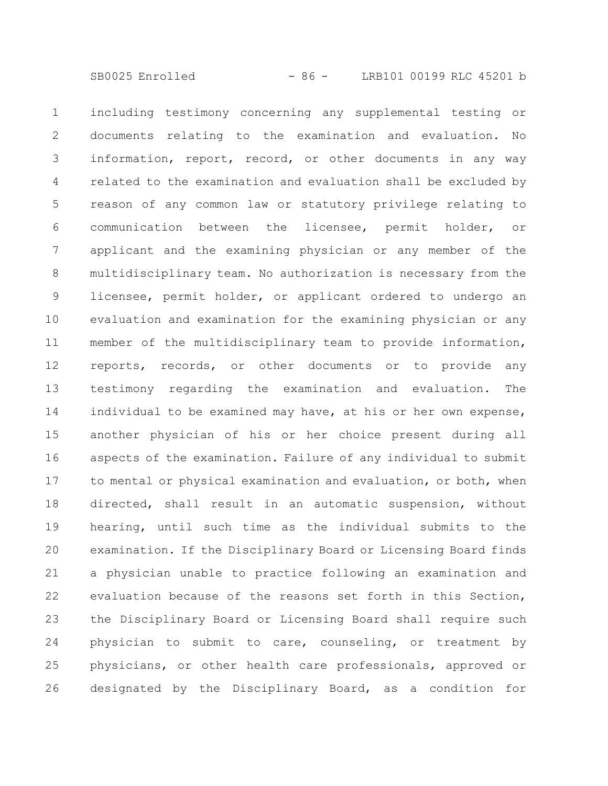including testimony concerning any supplemental testing or documents relating to the examination and evaluation. No information, report, record, or other documents in any way related to the examination and evaluation shall be excluded by reason of any common law or statutory privilege relating to communication between the licensee, permit holder, or applicant and the examining physician or any member of the multidisciplinary team. No authorization is necessary from the licensee, permit holder, or applicant ordered to undergo an evaluation and examination for the examining physician or any member of the multidisciplinary team to provide information, reports, records, or other documents or to provide any testimony regarding the examination and evaluation. The individual to be examined may have, at his or her own expense, another physician of his or her choice present during all aspects of the examination. Failure of any individual to submit to mental or physical examination and evaluation, or both, when directed, shall result in an automatic suspension, without hearing, until such time as the individual submits to the examination. If the Disciplinary Board or Licensing Board finds a physician unable to practice following an examination and evaluation because of the reasons set forth in this Section, the Disciplinary Board or Licensing Board shall require such physician to submit to care, counseling, or treatment by physicians, or other health care professionals, approved or designated by the Disciplinary Board, as a condition for 1 2 3 4 5 6 7 8 9 10 11 12 13 14 15 16 17 18 19 20 21 22 23 24 25 26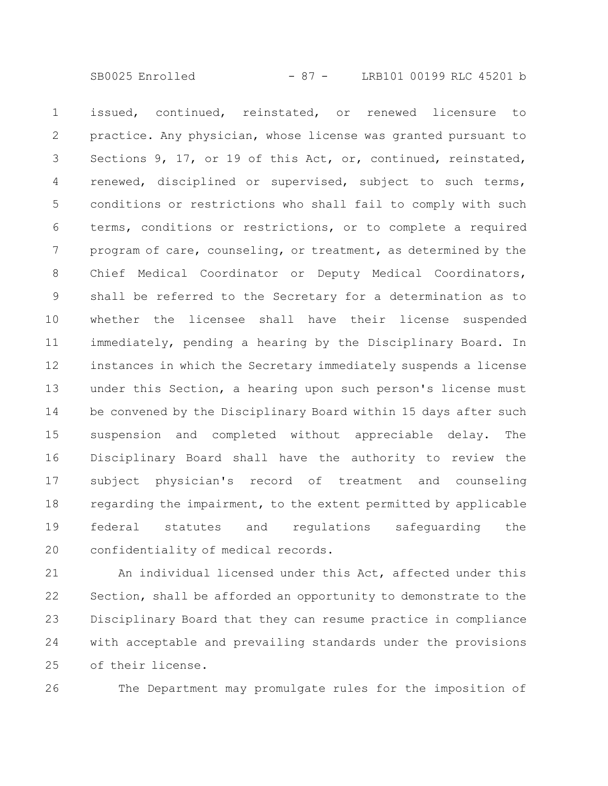issued, continued, reinstated, or renewed licensure to practice. Any physician, whose license was granted pursuant to Sections 9, 17, or 19 of this Act, or, continued, reinstated, renewed, disciplined or supervised, subject to such terms, conditions or restrictions who shall fail to comply with such terms, conditions or restrictions, or to complete a required program of care, counseling, or treatment, as determined by the Chief Medical Coordinator or Deputy Medical Coordinators, shall be referred to the Secretary for a determination as to whether the licensee shall have their license suspended immediately, pending a hearing by the Disciplinary Board. In instances in which the Secretary immediately suspends a license under this Section, a hearing upon such person's license must be convened by the Disciplinary Board within 15 days after such suspension and completed without appreciable delay. The Disciplinary Board shall have the authority to review the subject physician's record of treatment and counseling regarding the impairment, to the extent permitted by applicable federal statutes and regulations safeguarding the confidentiality of medical records. 1 2 3 4 5 6 7 8 9 10 11 12 13 14 15 16 17 18 19 20

An individual licensed under this Act, affected under this Section, shall be afforded an opportunity to demonstrate to the Disciplinary Board that they can resume practice in compliance with acceptable and prevailing standards under the provisions of their license. 21 22 23 24 25

26

The Department may promulgate rules for the imposition of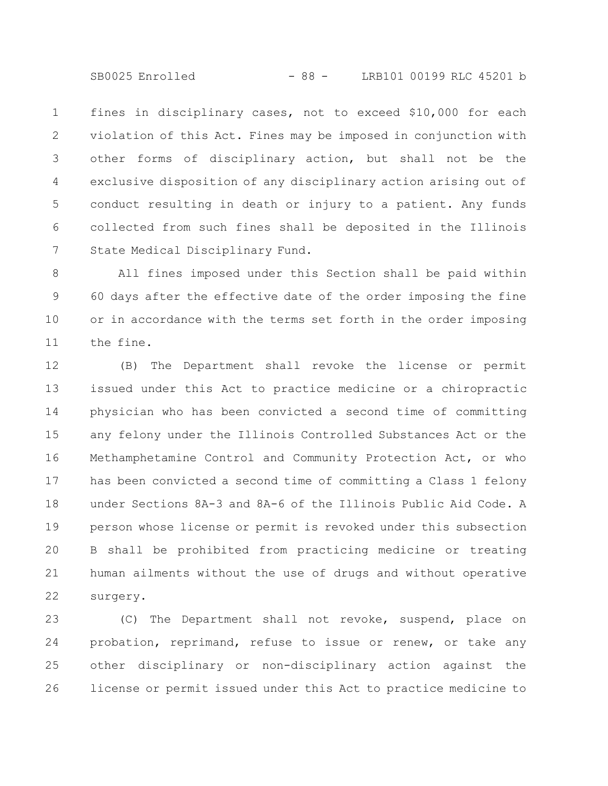SB0025 Enrolled - 88 - LRB101 00199 RLC 45201 b

fines in disciplinary cases, not to exceed \$10,000 for each violation of this Act. Fines may be imposed in conjunction with other forms of disciplinary action, but shall not be the exclusive disposition of any disciplinary action arising out of conduct resulting in death or injury to a patient. Any funds collected from such fines shall be deposited in the Illinois State Medical Disciplinary Fund. 1 2 3 4 5 6 7

All fines imposed under this Section shall be paid within 60 days after the effective date of the order imposing the fine or in accordance with the terms set forth in the order imposing the fine. 8 9 10 11

(B) The Department shall revoke the license or permit issued under this Act to practice medicine or a chiropractic physician who has been convicted a second time of committing any felony under the Illinois Controlled Substances Act or the Methamphetamine Control and Community Protection Act, or who has been convicted a second time of committing a Class 1 felony under Sections 8A-3 and 8A-6 of the Illinois Public Aid Code. A person whose license or permit is revoked under this subsection B shall be prohibited from practicing medicine or treating human ailments without the use of drugs and without operative surgery. 12 13 14 15 16 17 18 19 20 21 22

(C) The Department shall not revoke, suspend, place on probation, reprimand, refuse to issue or renew, or take any other disciplinary or non-disciplinary action against the license or permit issued under this Act to practice medicine to 23 24 25 26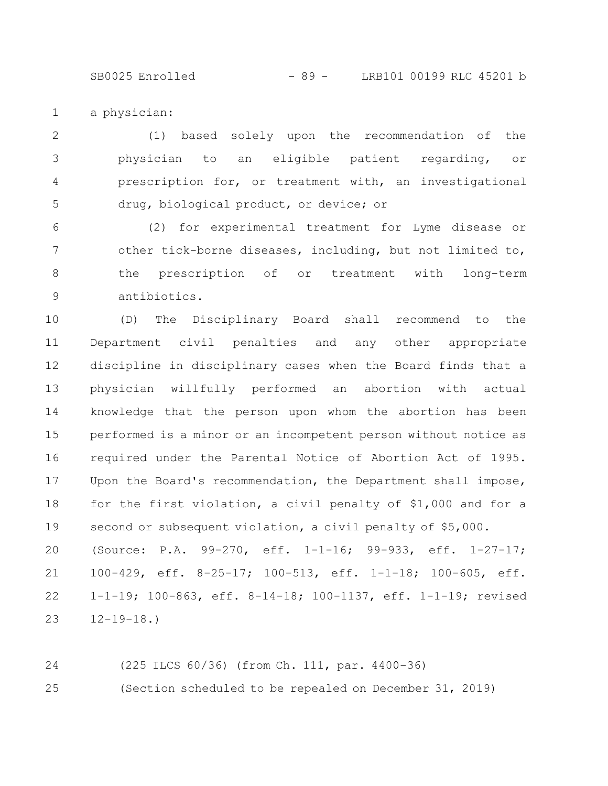SB0025 Enrolled - 89 - LRB101 00199 RLC 45201 b

a physician: 1

(1) based solely upon the recommendation of the physician to an eligible patient regarding, or prescription for, or treatment with, an investigational drug, biological product, or device; or 2 3 4 5

(2) for experimental treatment for Lyme disease or other tick-borne diseases, including, but not limited to, the prescription of or treatment with long-term antibiotics. 6 7 8 9

(D) The Disciplinary Board shall recommend to the Department civil penalties and any other appropriate discipline in disciplinary cases when the Board finds that a physician willfully performed an abortion with actual knowledge that the person upon whom the abortion has been performed is a minor or an incompetent person without notice as required under the Parental Notice of Abortion Act of 1995. Upon the Board's recommendation, the Department shall impose, for the first violation, a civil penalty of \$1,000 and for a second or subsequent violation, a civil penalty of \$5,000. 10 11 12 13 14 15 16 17 18 19

(Source: P.A. 99-270, eff. 1-1-16; 99-933, eff. 1-27-17; 100-429, eff. 8-25-17; 100-513, eff. 1-1-18; 100-605, eff. 1-1-19; 100-863, eff. 8-14-18; 100-1137, eff. 1-1-19; revised  $12 - 19 - 18.$ 20 21 22 23

(225 ILCS 60/36) (from Ch. 111, par. 4400-36) (Section scheduled to be repealed on December 31, 2019) 24 25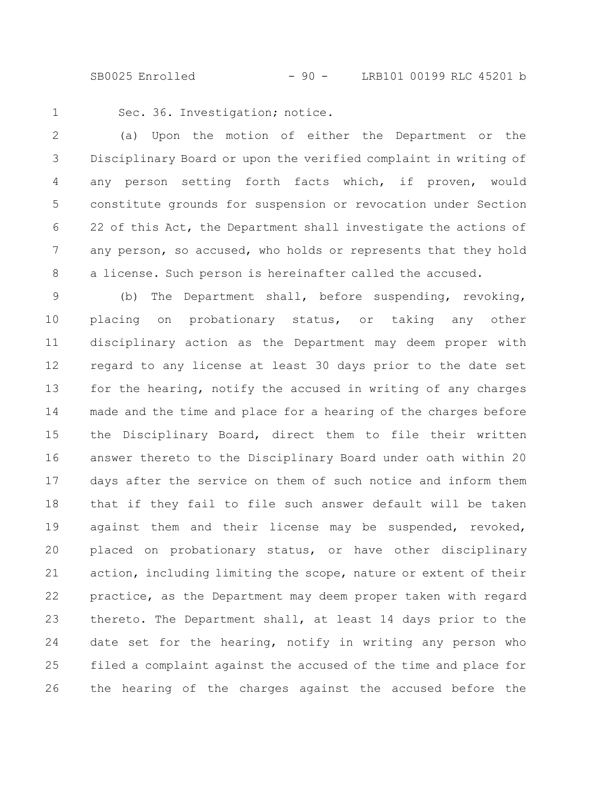SB0025 Enrolled - 90 - LRB101 00199 RLC 45201 b

1

Sec. 36. Investigation; notice.

(a) Upon the motion of either the Department or the Disciplinary Board or upon the verified complaint in writing of any person setting forth facts which, if proven, would constitute grounds for suspension or revocation under Section 22 of this Act, the Department shall investigate the actions of any person, so accused, who holds or represents that they hold a license. Such person is hereinafter called the accused. 2 3 4 5 6 7 8

(b) The Department shall, before suspending, revoking, placing on probationary status, or taking any other disciplinary action as the Department may deem proper with regard to any license at least 30 days prior to the date set for the hearing, notify the accused in writing of any charges made and the time and place for a hearing of the charges before the Disciplinary Board, direct them to file their written answer thereto to the Disciplinary Board under oath within 20 days after the service on them of such notice and inform them that if they fail to file such answer default will be taken against them and their license may be suspended, revoked, placed on probationary status, or have other disciplinary action, including limiting the scope, nature or extent of their practice, as the Department may deem proper taken with regard thereto. The Department shall, at least 14 days prior to the date set for the hearing, notify in writing any person who filed a complaint against the accused of the time and place for the hearing of the charges against the accused before the 9 10 11 12 13 14 15 16 17 18 19 20 21 22 23 24 25 26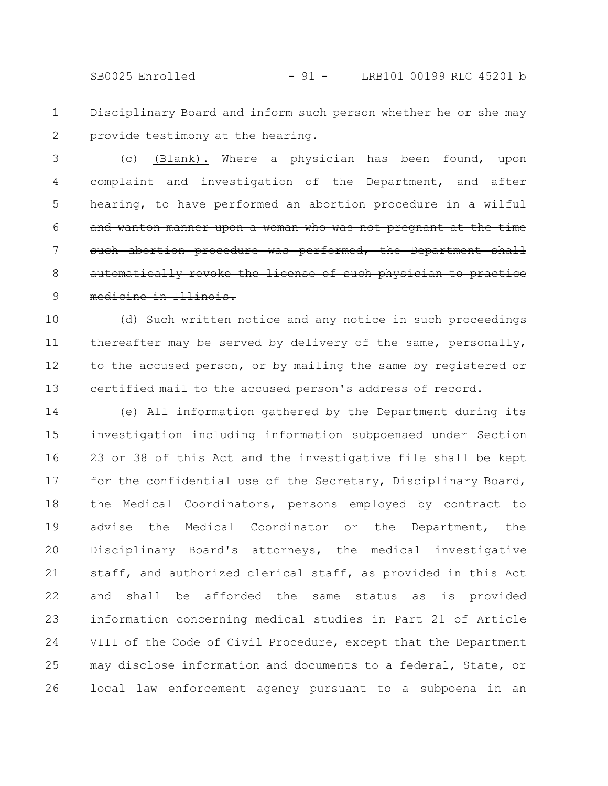Disciplinary Board and inform such person whether he or she may provide testimony at the hearing. 1 2

(c) (Blank). Where a physician has been found, and investigation of the Department, hearing, to have performed an abortion procedure in a wilful and wanton manner upon a woman who was not pregnant at the time such abortion procedure was performed, the automatically revoke the license of such physici medicine in Illinois. 3 4 5 6 7 8 9

(d) Such written notice and any notice in such proceedings thereafter may be served by delivery of the same, personally, to the accused person, or by mailing the same by registered or certified mail to the accused person's address of record. 10 11 12 13

(e) All information gathered by the Department during its investigation including information subpoenaed under Section 23 or 38 of this Act and the investigative file shall be kept for the confidential use of the Secretary, Disciplinary Board, the Medical Coordinators, persons employed by contract to advise the Medical Coordinator or the Department, the Disciplinary Board's attorneys, the medical investigative staff, and authorized clerical staff, as provided in this Act and shall be afforded the same status as is provided information concerning medical studies in Part 21 of Article VIII of the Code of Civil Procedure, except that the Department may disclose information and documents to a federal, State, or local law enforcement agency pursuant to a subpoena in an 14 15 16 17 18 19 20 21 22 23 24 25 26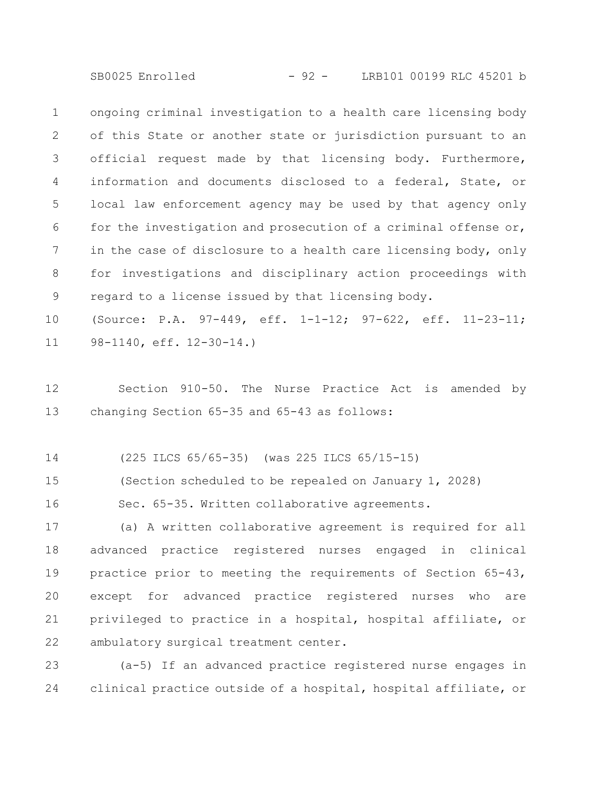SB0025 Enrolled - 92 - LRB101 00199 RLC 45201 b

ongoing criminal investigation to a health care licensing body of this State or another state or jurisdiction pursuant to an official request made by that licensing body. Furthermore, information and documents disclosed to a federal, State, or local law enforcement agency may be used by that agency only for the investigation and prosecution of a criminal offense or, in the case of disclosure to a health care licensing body, only for investigations and disciplinary action proceedings with regard to a license issued by that licensing body. 1 2 3 4 5 6 7 8 9

(Source: P.A. 97-449, eff. 1-1-12; 97-622, eff. 11-23-11; 98-1140, eff. 12-30-14.) 10 11

Section 910-50. The Nurse Practice Act is amended by changing Section 65-35 and 65-43 as follows: 12 13

(225 ILCS 65/65-35) (was 225 ILCS 65/15-15) 14

(Section scheduled to be repealed on January 1, 2028) 15

Sec. 65-35. Written collaborative agreements. 16

(a) A written collaborative agreement is required for all advanced practice registered nurses engaged in clinical practice prior to meeting the requirements of Section 65-43, except for advanced practice registered nurses who are privileged to practice in a hospital, hospital affiliate, or ambulatory surgical treatment center. 17 18 19 20 21 22

(a-5) If an advanced practice registered nurse engages in clinical practice outside of a hospital, hospital affiliate, or 23 24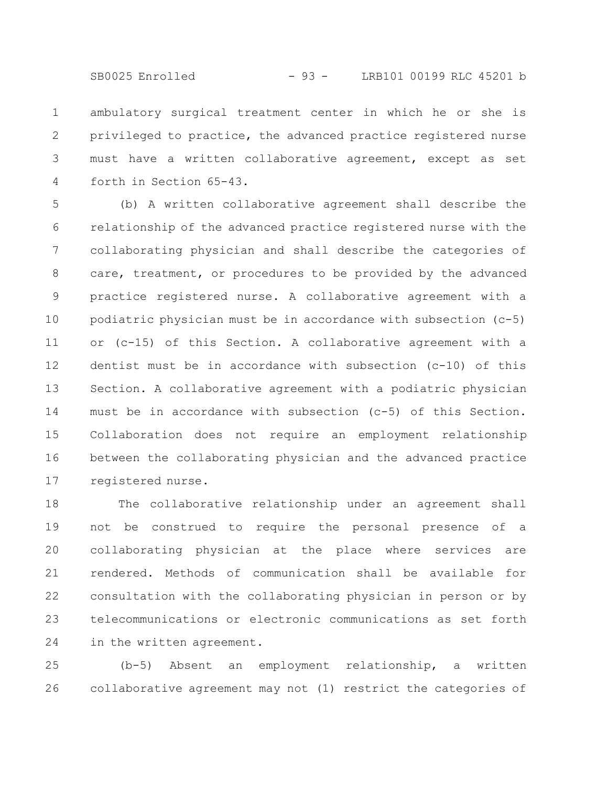ambulatory surgical treatment center in which he or she is privileged to practice, the advanced practice registered nurse must have a written collaborative agreement, except as set forth in Section 65-43. 1 2 3 4

(b) A written collaborative agreement shall describe the relationship of the advanced practice registered nurse with the collaborating physician and shall describe the categories of care, treatment, or procedures to be provided by the advanced practice registered nurse. A collaborative agreement with a podiatric physician must be in accordance with subsection (c-5) or (c-15) of this Section. A collaborative agreement with a dentist must be in accordance with subsection (c-10) of this Section. A collaborative agreement with a podiatric physician must be in accordance with subsection (c-5) of this Section. Collaboration does not require an employment relationship between the collaborating physician and the advanced practice registered nurse. 5 6 7 8 9 10 11 12 13 14 15 16 17

The collaborative relationship under an agreement shall not be construed to require the personal presence of a collaborating physician at the place where services are rendered. Methods of communication shall be available for consultation with the collaborating physician in person or by telecommunications or electronic communications as set forth in the written agreement. 18 19 20 21 22 23 24

(b-5) Absent an employment relationship, a written collaborative agreement may not (1) restrict the categories of 25 26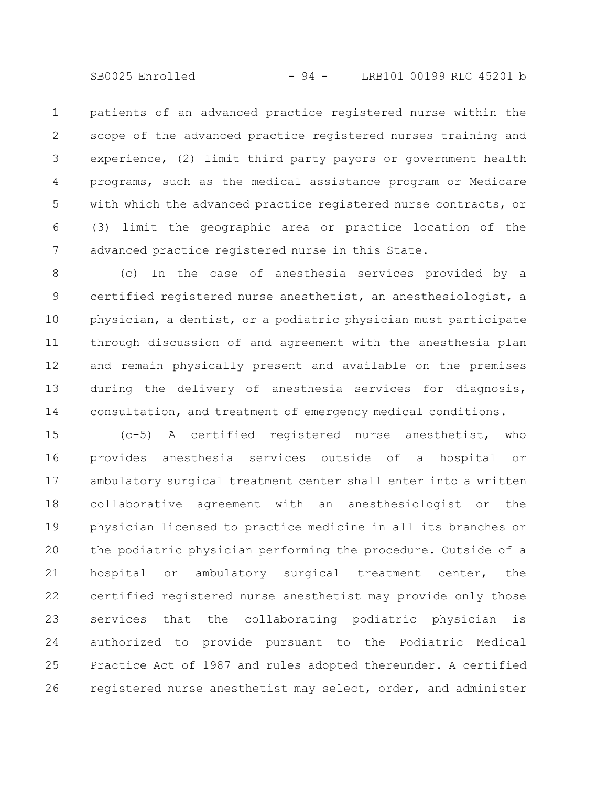SB0025 Enrolled - 94 - LRB101 00199 RLC 45201 b

patients of an advanced practice registered nurse within the scope of the advanced practice registered nurses training and experience, (2) limit third party payors or government health programs, such as the medical assistance program or Medicare with which the advanced practice registered nurse contracts, or (3) limit the geographic area or practice location of the advanced practice registered nurse in this State. 1 2 3 4 5 6 7

(c) In the case of anesthesia services provided by a certified registered nurse anesthetist, an anesthesiologist, a physician, a dentist, or a podiatric physician must participate through discussion of and agreement with the anesthesia plan and remain physically present and available on the premises during the delivery of anesthesia services for diagnosis, consultation, and treatment of emergency medical conditions. 8 9 10 11 12 13 14

(c-5) A certified registered nurse anesthetist, who provides anesthesia services outside of a hospital or ambulatory surgical treatment center shall enter into a written collaborative agreement with an anesthesiologist or the physician licensed to practice medicine in all its branches or the podiatric physician performing the procedure. Outside of a hospital or ambulatory surgical treatment center, the certified registered nurse anesthetist may provide only those services that the collaborating podiatric physician is authorized to provide pursuant to the Podiatric Medical Practice Act of 1987 and rules adopted thereunder. A certified registered nurse anesthetist may select, order, and administer 15 16 17 18 19 20 21 22 23 24 25 26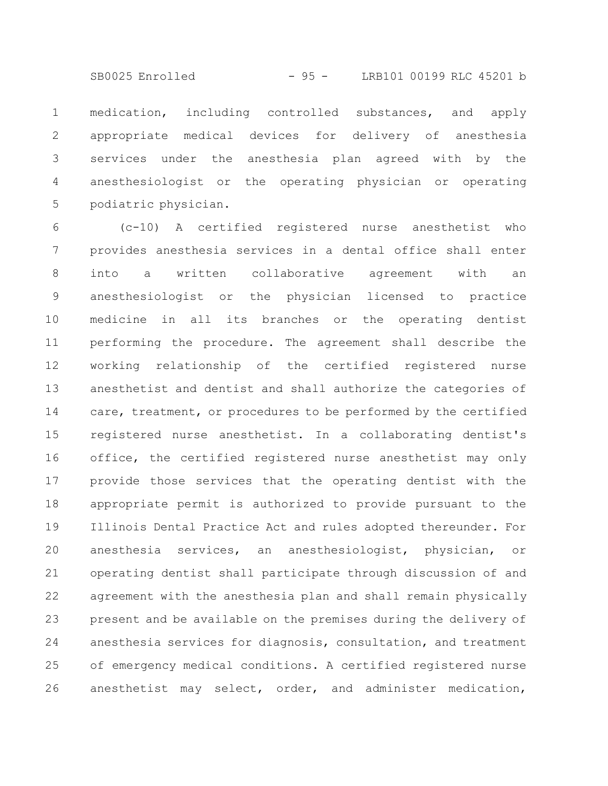SB0025 Enrolled - 95 - LRB101 00199 RLC 45201 b

medication, including controlled substances, and apply appropriate medical devices for delivery of anesthesia services under the anesthesia plan agreed with by the anesthesiologist or the operating physician or operating podiatric physician. 1 2 3 4 5

(c-10) A certified registered nurse anesthetist who provides anesthesia services in a dental office shall enter into a written collaborative agreement with an anesthesiologist or the physician licensed to practice medicine in all its branches or the operating dentist performing the procedure. The agreement shall describe the working relationship of the certified registered nurse anesthetist and dentist and shall authorize the categories of care, treatment, or procedures to be performed by the certified registered nurse anesthetist. In a collaborating dentist's office, the certified registered nurse anesthetist may only provide those services that the operating dentist with the appropriate permit is authorized to provide pursuant to the Illinois Dental Practice Act and rules adopted thereunder. For anesthesia services, an anesthesiologist, physician, or operating dentist shall participate through discussion of and agreement with the anesthesia plan and shall remain physically present and be available on the premises during the delivery of anesthesia services for diagnosis, consultation, and treatment of emergency medical conditions. A certified registered nurse anesthetist may select, order, and administer medication, 6 7 8 9 10 11 12 13 14 15 16 17 18 19 20 21 22 23 24 25 26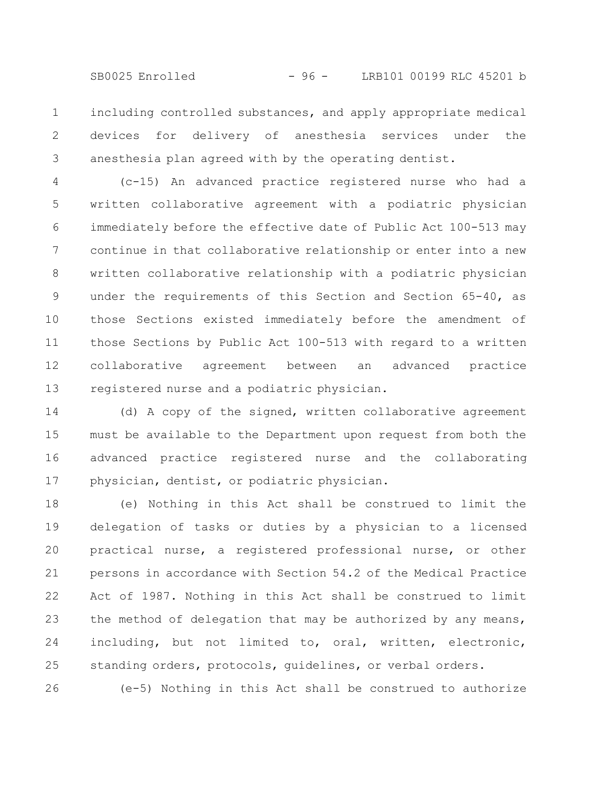SB0025 Enrolled - 96 - LRB101 00199 RLC 45201 b

including controlled substances, and apply appropriate medical devices for delivery of anesthesia services under the anesthesia plan agreed with by the operating dentist. 1 2 3

(c-15) An advanced practice registered nurse who had a written collaborative agreement with a podiatric physician immediately before the effective date of Public Act 100-513 may continue in that collaborative relationship or enter into a new written collaborative relationship with a podiatric physician under the requirements of this Section and Section 65-40, as those Sections existed immediately before the amendment of those Sections by Public Act 100-513 with regard to a written collaborative agreement between an advanced practice registered nurse and a podiatric physician. 4 5 6 7 8 9 10 11 12 13

(d) A copy of the signed, written collaborative agreement must be available to the Department upon request from both the advanced practice registered nurse and the collaborating physician, dentist, or podiatric physician. 14 15 16 17

(e) Nothing in this Act shall be construed to limit the delegation of tasks or duties by a physician to a licensed practical nurse, a registered professional nurse, or other persons in accordance with Section 54.2 of the Medical Practice Act of 1987. Nothing in this Act shall be construed to limit the method of delegation that may be authorized by any means, including, but not limited to, oral, written, electronic, standing orders, protocols, guidelines, or verbal orders. 18 19 20 21 22 23 24 25

(e-5) Nothing in this Act shall be construed to authorize

26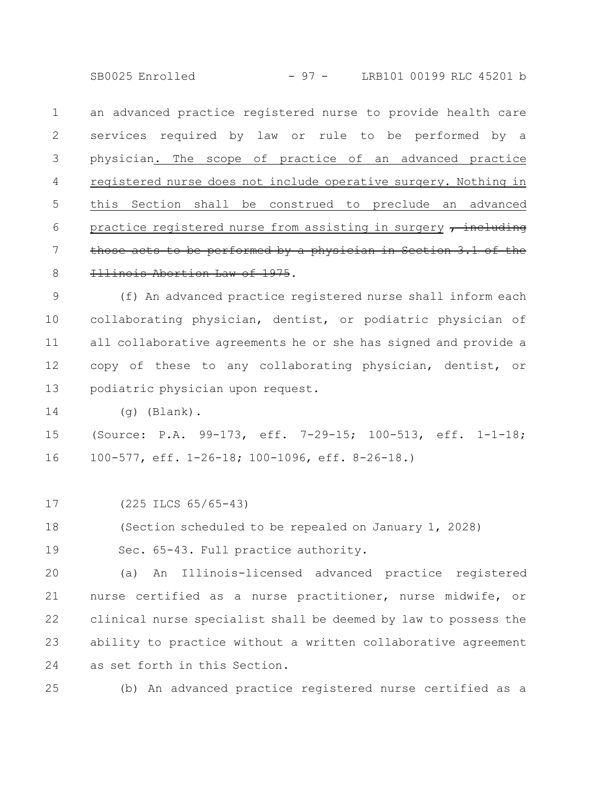SB0025 Enrolled - 97 - LRB101 00199 RLC 45201 b

an advanced practice registered nurse to provide health care services required by law or rule to be performed by a physician. The scope of practice of an advanced practice registered nurse does not include operative surgery. Nothing in this Section shall be construed to preclude an advanced practice registered nurse from assisting in surgery  $\tau$  including those acts to be performed by a physician in Section  $3.1$  of Illinois Abortion Law of 1975. 1 2 3 4 5 6 7 8

(f) An advanced practice registered nurse shall inform each collaborating physician, dentist, or podiatric physician of all collaborative agreements he or she has signed and provide a copy of these to any collaborating physician, dentist, or podiatric physician upon request. 9 10 11 12 13

(g) (Blank). 14

(Source: P.A. 99-173, eff. 7-29-15; 100-513, eff. 1-1-18; 100-577, eff. 1-26-18; 100-1096, eff. 8-26-18.) 15 16

(225 ILCS 65/65-43) 17

(Section scheduled to be repealed on January 1, 2028) 18

Sec. 65-43. Full practice authority. 19

(a) An Illinois-licensed advanced practice registered nurse certified as a nurse practitioner, nurse midwife, or clinical nurse specialist shall be deemed by law to possess the ability to practice without a written collaborative agreement as set forth in this Section. 20 21 22 23 24

(b) An advanced practice registered nurse certified as a 25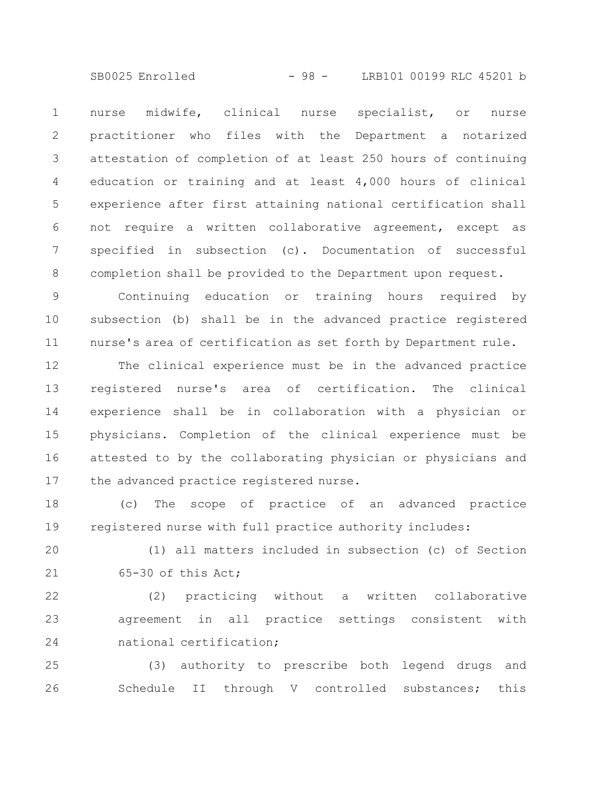SB0025 Enrolled - 98 - LRB101 00199 RLC 45201 b

nurse midwife, clinical nurse specialist, or nurse practitioner who files with the Department a notarized attestation of completion of at least 250 hours of continuing education or training and at least 4,000 hours of clinical experience after first attaining national certification shall not require a written collaborative agreement, except as specified in subsection (c). Documentation of successful completion shall be provided to the Department upon request. 1 2 3 4 5 6 7 8

Continuing education or training hours required by subsection (b) shall be in the advanced practice registered nurse's area of certification as set forth by Department rule. 9 10 11

The clinical experience must be in the advanced practice registered nurse's area of certification. The clinical experience shall be in collaboration with a physician or physicians. Completion of the clinical experience must be attested to by the collaborating physician or physicians and the advanced practice registered nurse. 12 13 14 15 16 17

(c) The scope of practice of an advanced practice registered nurse with full practice authority includes: 18 19

(1) all matters included in subsection (c) of Section 65-30 of this Act; 20 21

(2) practicing without a written collaborative agreement in all practice settings consistent with national certification; 22 23 24

(3) authority to prescribe both legend drugs and Schedule II through V controlled substances; this 25 26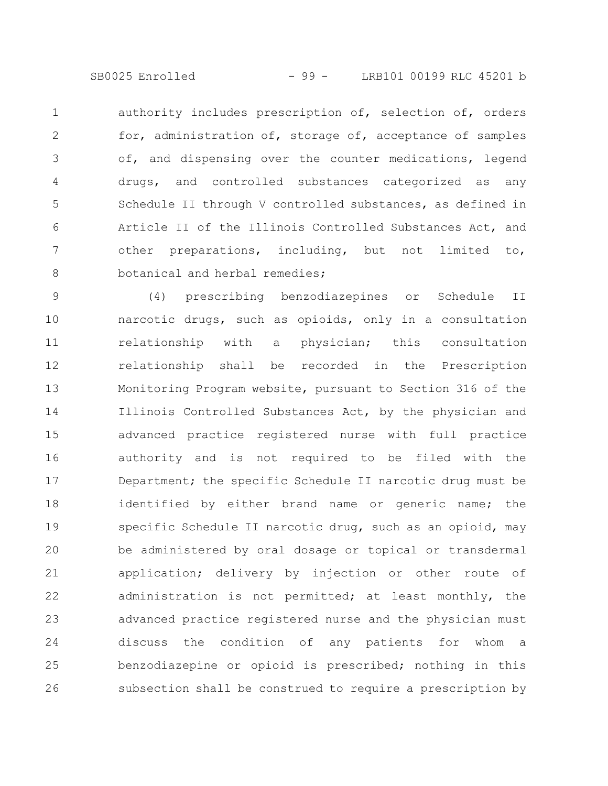SB0025 Enrolled - 99 - LRB101 00199 RLC 45201 b

authority includes prescription of, selection of, orders for, administration of, storage of, acceptance of samples of, and dispensing over the counter medications, legend drugs, and controlled substances categorized as any Schedule II through V controlled substances, as defined in Article II of the Illinois Controlled Substances Act, and other preparations, including, but not limited to, botanical and herbal remedies; 1 2 3 4 5 6 7 8

(4) prescribing benzodiazepines or Schedule II narcotic drugs, such as opioids, only in a consultation relationship with a physician; this consultation relationship shall be recorded in the Prescription Monitoring Program website, pursuant to Section 316 of the Illinois Controlled Substances Act, by the physician and advanced practice registered nurse with full practice authority and is not required to be filed with the Department; the specific Schedule II narcotic drug must be identified by either brand name or generic name; the specific Schedule II narcotic drug, such as an opioid, may be administered by oral dosage or topical or transdermal application; delivery by injection or other route of administration is not permitted; at least monthly, the advanced practice registered nurse and the physician must discuss the condition of any patients for whom a benzodiazepine or opioid is prescribed; nothing in this subsection shall be construed to require a prescription by 9 10 11 12 13 14 15 16 17 18 19 20 21 22 23 24 25 26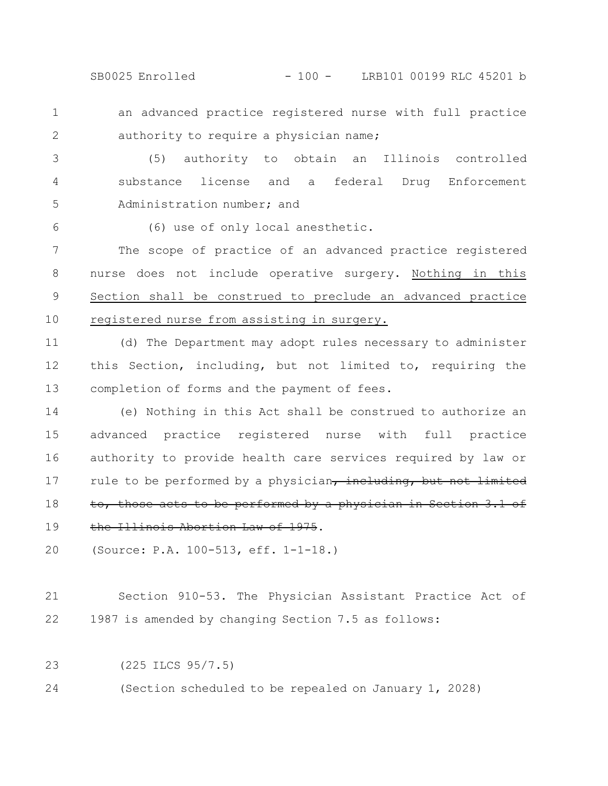SB0025 Enrolled - 100 - LRB101 00199 RLC 45201 b

an advanced practice registered nurse with full practice authority to require a physician name; 1 2

(5) authority to obtain an Illinois controlled substance license and a federal Drug Enforcement Administration number; and 3 4 5

(6) use of only local anesthetic.

The scope of practice of an advanced practice registered nurse does not include operative surgery. Nothing in this Section shall be construed to preclude an advanced practice registered nurse from assisting in surgery. 7 8 9 10

(d) The Department may adopt rules necessary to administer this Section, including, but not limited to, requiring the completion of forms and the payment of fees. 11 12 13

(e) Nothing in this Act shall be construed to authorize an advanced practice registered nurse with full practice authority to provide health care services required by law or rule to be performed by a physician, including, but not limited to, those acts to be performed by a physician in Section 3.1 of the Illinois Abortion Law of 1975. 14 15 16 17 18 19

(Source: P.A. 100-513, eff. 1-1-18.) 20

Section 910-53. The Physician Assistant Practice Act of 1987 is amended by changing Section 7.5 as follows: 21 22

(225 ILCS 95/7.5) 23

6

(Section scheduled to be repealed on January 1, 2028) 24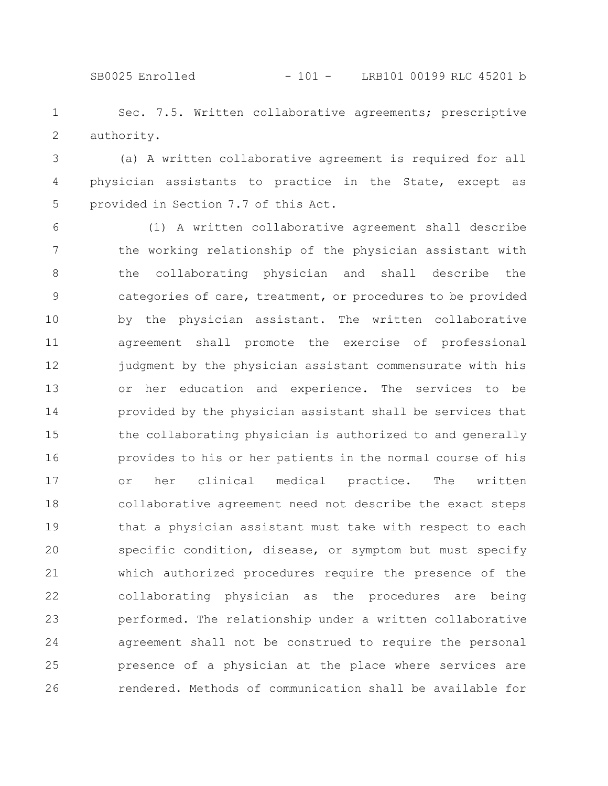SB0025 Enrolled - 101 - LRB101 00199 RLC 45201 b

Sec. 7.5. Written collaborative agreements; prescriptive authority. 1 2

(a) A written collaborative agreement is required for all physician assistants to practice in the State, except as provided in Section 7.7 of this Act. 3 4 5

(1) A written collaborative agreement shall describe the working relationship of the physician assistant with the collaborating physician and shall describe the categories of care, treatment, or procedures to be provided by the physician assistant. The written collaborative agreement shall promote the exercise of professional judgment by the physician assistant commensurate with his or her education and experience. The services to be provided by the physician assistant shall be services that the collaborating physician is authorized to and generally provides to his or her patients in the normal course of his or her clinical medical practice. The written collaborative agreement need not describe the exact steps that a physician assistant must take with respect to each specific condition, disease, or symptom but must specify which authorized procedures require the presence of the collaborating physician as the procedures are being performed. The relationship under a written collaborative agreement shall not be construed to require the personal presence of a physician at the place where services are rendered. Methods of communication shall be available for 6 7 8 9 10 11 12 13 14 15 16 17 18 19 20 21 22 23 24 25 26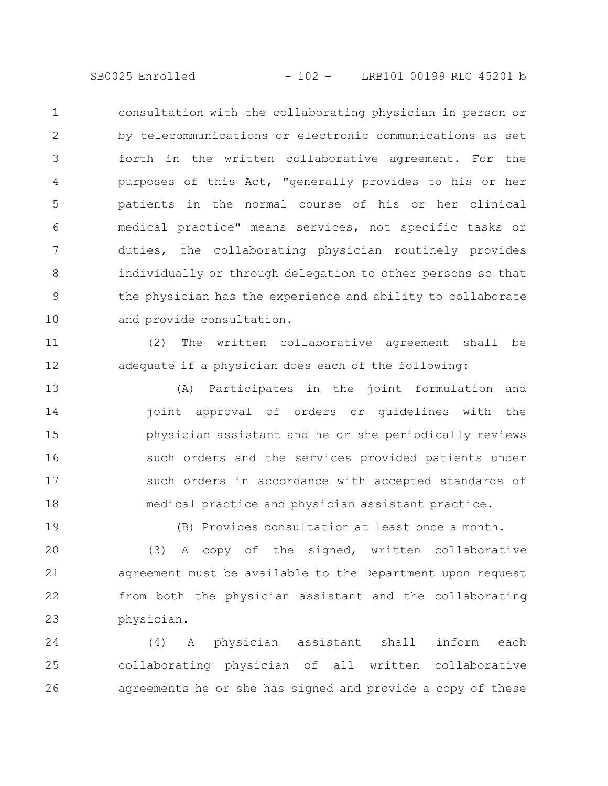consultation with the collaborating physician in person or by telecommunications or electronic communications as set forth in the written collaborative agreement. For the purposes of this Act, "generally provides to his or her patients in the normal course of his or her clinical medical practice" means services, not specific tasks or duties, the collaborating physician routinely provides individually or through delegation to other persons so that the physician has the experience and ability to collaborate and provide consultation. 1 2 3 4 5 6 7 8 9 10

(2) The written collaborative agreement shall be adequate if a physician does each of the following: 11 12

(A) Participates in the joint formulation and joint approval of orders or guidelines with the physician assistant and he or she periodically reviews such orders and the services provided patients under such orders in accordance with accepted standards of medical practice and physician assistant practice. 13 14 15 16 17 18

19

(B) Provides consultation at least once a month.

(3) A copy of the signed, written collaborative agreement must be available to the Department upon request from both the physician assistant and the collaborating physician. 20 21 22 23

(4) A physician assistant shall inform each collaborating physician of all written collaborative agreements he or she has signed and provide a copy of these 24 25 26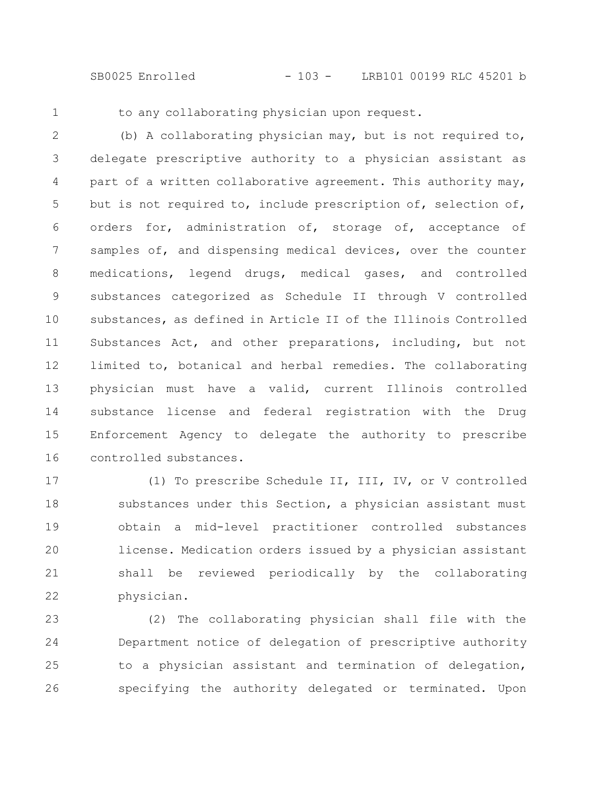SB0025 Enrolled - 103 - LRB101 00199 RLC 45201 b

1

to any collaborating physician upon request.

(b) A collaborating physician may, but is not required to, delegate prescriptive authority to a physician assistant as part of a written collaborative agreement. This authority may, but is not required to, include prescription of, selection of, orders for, administration of, storage of, acceptance of samples of, and dispensing medical devices, over the counter medications, legend drugs, medical gases, and controlled substances categorized as Schedule II through V controlled substances, as defined in Article II of the Illinois Controlled Substances Act, and other preparations, including, but not limited to, botanical and herbal remedies. The collaborating physician must have a valid, current Illinois controlled substance license and federal registration with the Drug Enforcement Agency to delegate the authority to prescribe controlled substances. 2 3 4 5 6 7 8 9 10 11 12 13 14 15 16

(1) To prescribe Schedule II, III, IV, or V controlled substances under this Section, a physician assistant must obtain a mid-level practitioner controlled substances license. Medication orders issued by a physician assistant shall be reviewed periodically by the collaborating physician. 17 18 19 20 21 22

(2) The collaborating physician shall file with the Department notice of delegation of prescriptive authority to a physician assistant and termination of delegation, specifying the authority delegated or terminated. Upon 23 24 25 26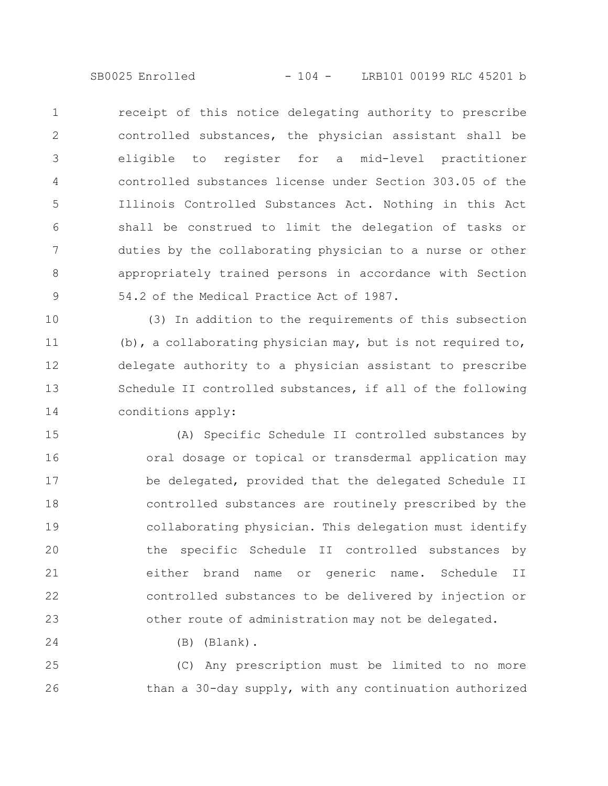receipt of this notice delegating authority to prescribe controlled substances, the physician assistant shall be eligible to register for a mid-level practitioner controlled substances license under Section 303.05 of the Illinois Controlled Substances Act. Nothing in this Act shall be construed to limit the delegation of tasks or duties by the collaborating physician to a nurse or other appropriately trained persons in accordance with Section 54.2 of the Medical Practice Act of 1987. 1 2 3 4 5 6 7 8 9

(3) In addition to the requirements of this subsection (b), a collaborating physician may, but is not required to, delegate authority to a physician assistant to prescribe Schedule II controlled substances, if all of the following conditions apply: 10 11 12 13 14

(A) Specific Schedule II controlled substances by oral dosage or topical or transdermal application may be delegated, provided that the delegated Schedule II controlled substances are routinely prescribed by the collaborating physician. This delegation must identify the specific Schedule II controlled substances by either brand name or generic name. Schedule II controlled substances to be delivered by injection or other route of administration may not be delegated. 15 16 17 18 19 20 21 22 23

(B) (Blank).

24

(C) Any prescription must be limited to no more than a 30-day supply, with any continuation authorized 25 26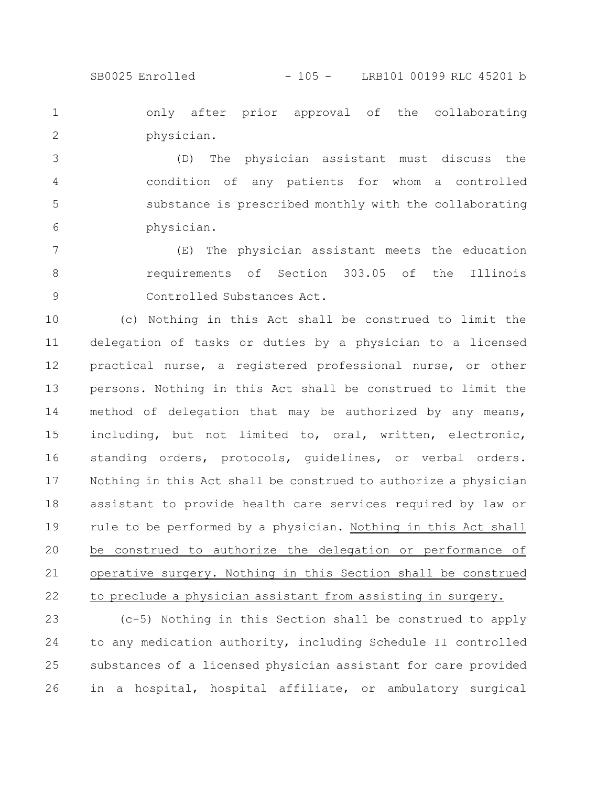SB0025 Enrolled - 105 - LRB101 00199 RLC 45201 b

only after prior approval of the collaborating physician. 1 2

(D) The physician assistant must discuss the condition of any patients for whom a controlled substance is prescribed monthly with the collaborating physician. 3 4 5 6

(E) The physician assistant meets the education requirements of Section 303.05 of the Illinois Controlled Substances Act. 7 8 9

(c) Nothing in this Act shall be construed to limit the delegation of tasks or duties by a physician to a licensed practical nurse, a registered professional nurse, or other persons. Nothing in this Act shall be construed to limit the method of delegation that may be authorized by any means, including, but not limited to, oral, written, electronic, standing orders, protocols, guidelines, or verbal orders. Nothing in this Act shall be construed to authorize a physician assistant to provide health care services required by law or rule to be performed by a physician. Nothing in this Act shall be construed to authorize the delegation or performance of operative surgery. Nothing in this Section shall be construed to preclude a physician assistant from assisting in surgery. 10 11 12 13 14 15 16 17 18 19 20 21 22

(c-5) Nothing in this Section shall be construed to apply to any medication authority, including Schedule II controlled substances of a licensed physician assistant for care provided in a hospital, hospital affiliate, or ambulatory surgical 23 24 25 26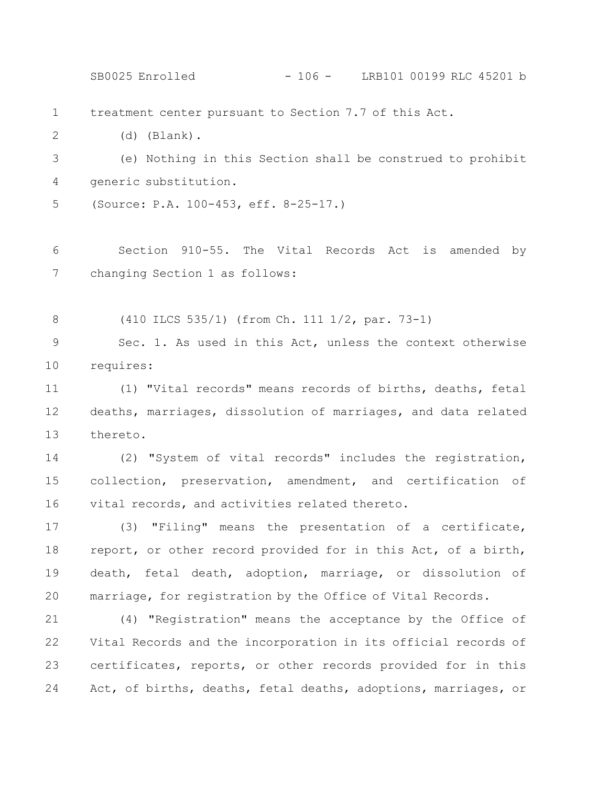treatment center pursuant to Section 7.7 of this Act. (d) (Blank). (e) Nothing in this Section shall be construed to prohibit generic substitution. (Source: P.A. 100-453, eff. 8-25-17.) Section 910-55. The Vital Records Act is amended by changing Section 1 as follows: (410 ILCS 535/1) (from Ch. 111 1/2, par. 73-1) Sec. 1. As used in this Act, unless the context otherwise requires: (1) "Vital records" means records of births, deaths, fetal deaths, marriages, dissolution of marriages, and data related thereto. (2) "System of vital records" includes the registration, collection, preservation, amendment, and certification of vital records, and activities related thereto. (3) "Filing" means the presentation of a certificate, report, or other record provided for in this Act, of a birth, death, fetal death, adoption, marriage, or dissolution of marriage, for registration by the Office of Vital Records. (4) "Registration" means the acceptance by the Office of Vital Records and the incorporation in its official records of certificates, reports, or other records provided for in this Act, of births, deaths, fetal deaths, adoptions, marriages, or 1 2 3 4 5 6 7 8 9 10 11 12 13 14 15 16 17 18 19 20 21 22 23 24 SB0025 Enrolled - 106 - LRB101 00199 RLC 45201 b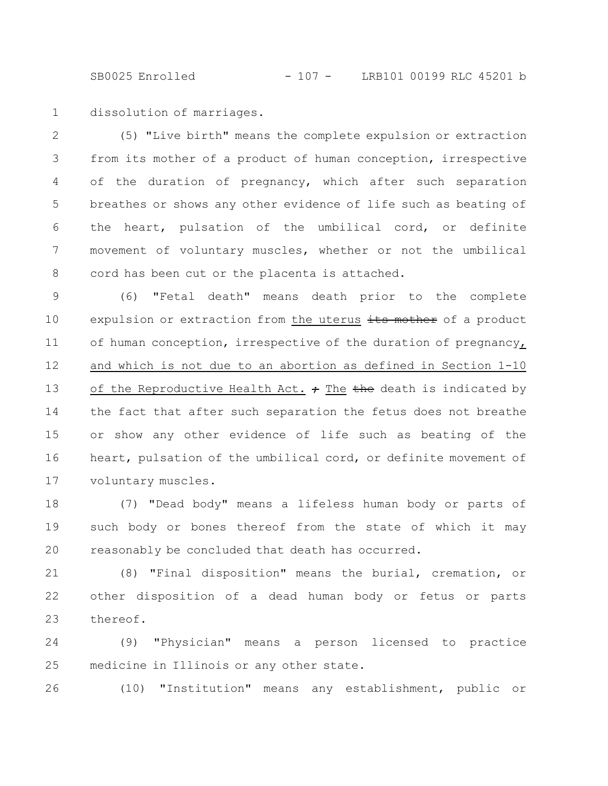SB0025 Enrolled - 107 - LRB101 00199 RLC 45201 b

dissolution of marriages. 1

(5) "Live birth" means the complete expulsion or extraction from its mother of a product of human conception, irrespective of the duration of pregnancy, which after such separation breathes or shows any other evidence of life such as beating of the heart, pulsation of the umbilical cord, or definite movement of voluntary muscles, whether or not the umbilical cord has been cut or the placenta is attached. 2 3 4 5 6 7 8

(6) "Fetal death" means death prior to the complete expulsion or extraction from the uterus its mother of a product of human conception, irrespective of the duration of pregnancy, and which is not due to an abortion as defined in Section 1-10 of the Reproductive Health Act.  $\div$  The the death is indicated by the fact that after such separation the fetus does not breathe or show any other evidence of life such as beating of the heart, pulsation of the umbilical cord, or definite movement of voluntary muscles. 9 10 11 12 13 14 15 16 17

(7) "Dead body" means a lifeless human body or parts of such body or bones thereof from the state of which it may reasonably be concluded that death has occurred. 18 19 20

(8) "Final disposition" means the burial, cremation, or other disposition of a dead human body or fetus or parts thereof. 21 22 23

(9) "Physician" means a person licensed to practice medicine in Illinois or any other state. 24 25

(10) "Institution" means any establishment, public or 26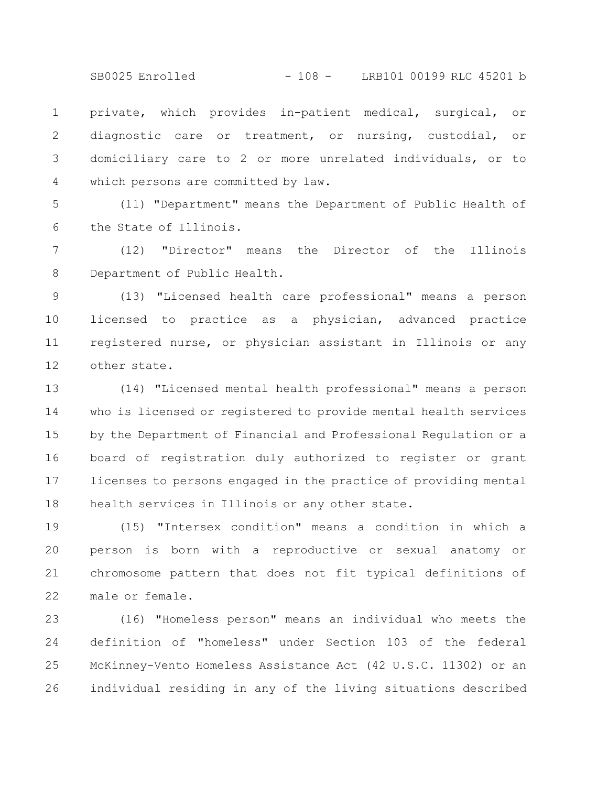SB0025 Enrolled - 108 - LRB101 00199 RLC 45201 b

private, which provides in-patient medical, surgical, or diagnostic care or treatment, or nursing, custodial, or domiciliary care to 2 or more unrelated individuals, or to which persons are committed by law. 1 2 3 4

(11) "Department" means the Department of Public Health of the State of Illinois. 5 6

(12) "Director" means the Director of the Illinois Department of Public Health. 7 8

(13) "Licensed health care professional" means a person licensed to practice as a physician, advanced practice registered nurse, or physician assistant in Illinois or any other state. 9 10 11 12

(14) "Licensed mental health professional" means a person who is licensed or registered to provide mental health services by the Department of Financial and Professional Regulation or a board of registration duly authorized to register or grant licenses to persons engaged in the practice of providing mental health services in Illinois or any other state. 13 14 15 16 17 18

(15) "Intersex condition" means a condition in which a person is born with a reproductive or sexual anatomy or chromosome pattern that does not fit typical definitions of male or female. 19 20 21 22

(16) "Homeless person" means an individual who meets the definition of "homeless" under Section 103 of the federal McKinney-Vento Homeless Assistance Act (42 U.S.C. 11302) or an individual residing in any of the living situations described 23 24 25 26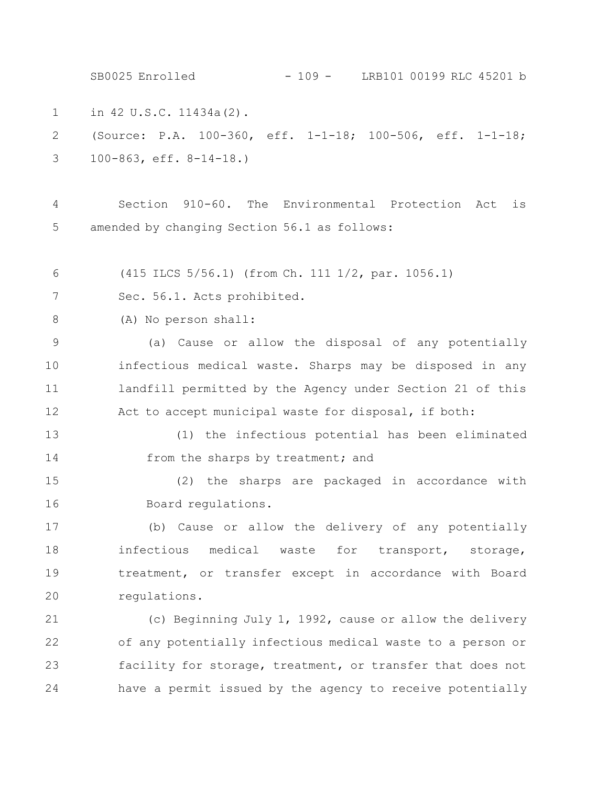in 42 U.S.C. 11434a(2). (Source: P.A. 100-360, eff. 1-1-18; 100-506, eff. 1-1-18; 100-863, eff. 8-14-18.) Section 910-60. The Environmental Protection Act is amended by changing Section 56.1 as follows: (415 ILCS 5/56.1) (from Ch. 111 1/2, par. 1056.1) Sec. 56.1. Acts prohibited. (A) No person shall: (a) Cause or allow the disposal of any potentially infectious medical waste. Sharps may be disposed in any landfill permitted by the Agency under Section 21 of this Act to accept municipal waste for disposal, if both: (1) the infectious potential has been eliminated from the sharps by treatment; and (2) the sharps are packaged in accordance with Board regulations. (b) Cause or allow the delivery of any potentially infectious medical waste for transport, storage, treatment, or transfer except in accordance with Board regulations. (c) Beginning July 1, 1992, cause or allow the delivery of any potentially infectious medical waste to a person or facility for storage, treatment, or transfer that does not have a permit issued by the agency to receive potentially 1 2 3 4 5 6 7 8 9 10 11 12 13 14 15 16 17 18 19 20 21 22 23 24 SB0025 Enrolled - 109 - LRB101 00199 RLC 45201 b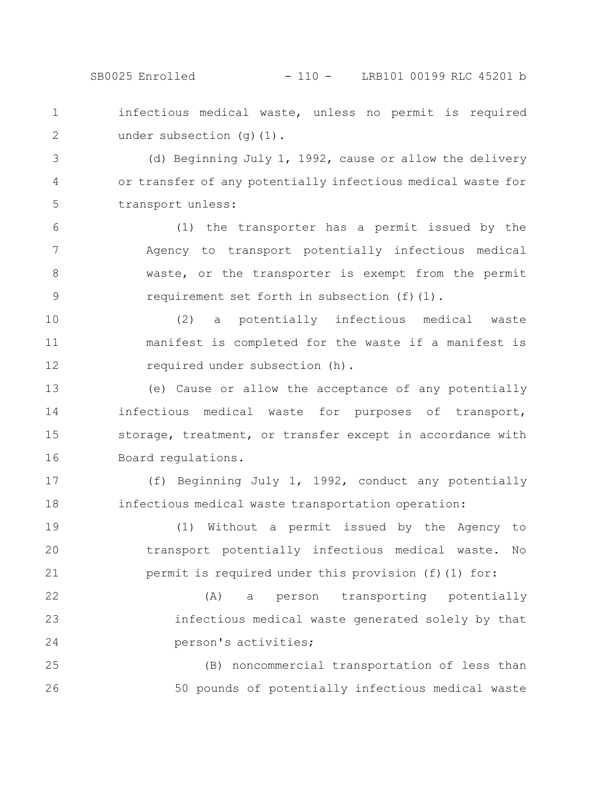SB0025 Enrolled - 110 - LRB101 00199 RLC 45201 b

infectious medical waste, unless no permit is required under subsection (q)(1). 1 2

(d) Beginning July 1, 1992, cause or allow the delivery or transfer of any potentially infectious medical waste for transport unless: 3 4 5

(1) the transporter has a permit issued by the Agency to transport potentially infectious medical waste, or the transporter is exempt from the permit requirement set forth in subsection (f)(l). 6 7 8 9

(2) a potentially infectious medical waste manifest is completed for the waste if a manifest is required under subsection (h). 10 11 12

(e) Cause or allow the acceptance of any potentially infectious medical waste for purposes of transport, storage, treatment, or transfer except in accordance with Board regulations. 13 14 15 16

(f) Beginning July 1, 1992, conduct any potentially infectious medical waste transportation operation: 17 18

(1) Without a permit issued by the Agency to transport potentially infectious medical waste. No permit is required under this provision (f)(1) for: 19 20 21

(A) a person transporting potentially infectious medical waste generated solely by that person's activities; 22 23 24

(B) noncommercial transportation of less than 50 pounds of potentially infectious medical waste 25 26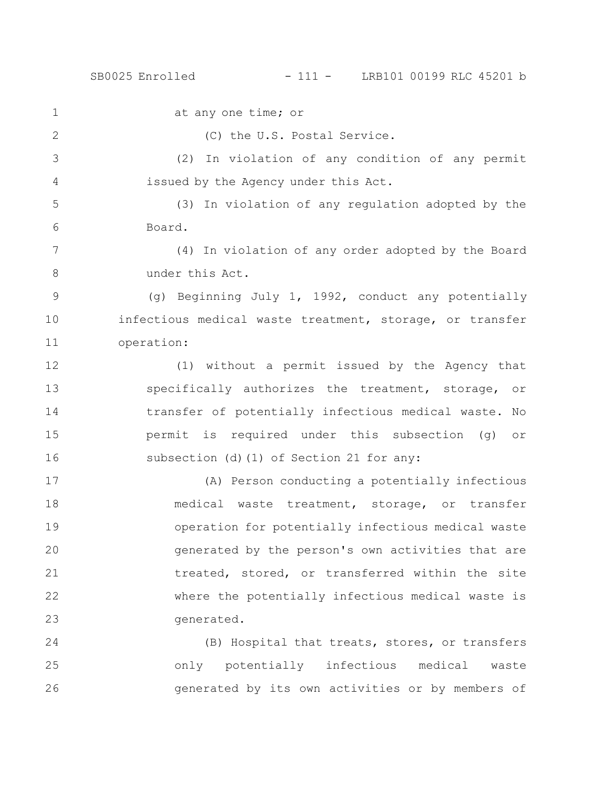## SB0025 Enrolled - 111 - LRB101 00199 RLC 45201 b

at any one time; or (C) the U.S. Postal Service. (2) In violation of any condition of any permit issued by the Agency under this Act. (3) In violation of any regulation adopted by the Board. (4) In violation of any order adopted by the Board under this Act. (g) Beginning July 1, 1992, conduct any potentially infectious medical waste treatment, storage, or transfer operation: (1) without a permit issued by the Agency that specifically authorizes the treatment, storage, or transfer of potentially infectious medical waste. No permit is required under this subsection (g) or subsection (d)(1) of Section 21 for any: (A) Person conducting a potentially infectious medical waste treatment, storage, or transfer operation for potentially infectious medical waste generated by the person's own activities that are treated, stored, or transferred within the site where the potentially infectious medical waste is generated. 1 2 3 4 5 6 7 8 9 10 11 12 13 14 15 16 17 18 19 20 21 22 23

(B) Hospital that treats, stores, or transfers only potentially infectious medical waste generated by its own activities or by members of 24 25 26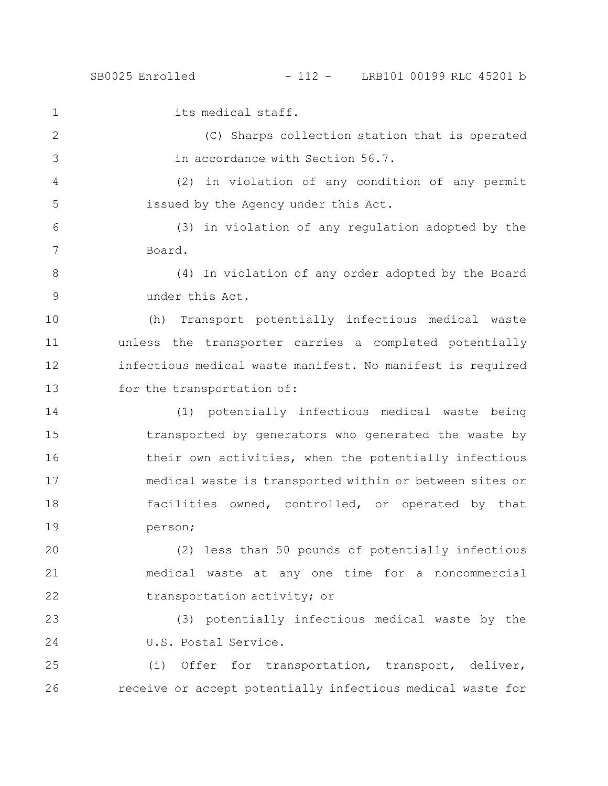1

its medical staff.

(C) Sharps collection station that is operated in accordance with Section 56.7. 2 3

(2) in violation of any condition of any permit issued by the Agency under this Act. 4 5

(3) in violation of any regulation adopted by the Board. 6 7

(4) In violation of any order adopted by the Board under this Act. 8 9

(h) Transport potentially infectious medical waste unless the transporter carries a completed potentially infectious medical waste manifest. No manifest is required for the transportation of: 10 11 12 13

(1) potentially infectious medical waste being transported by generators who generated the waste by their own activities, when the potentially infectious medical waste is transported within or between sites or facilities owned, controlled, or operated by that person; 14 15 16 17 18 19

(2) less than 50 pounds of potentially infectious medical waste at any one time for a noncommercial transportation activity; or 20 21 22

(3) potentially infectious medical waste by the U.S. Postal Service. 23 24

(i) Offer for transportation, transport, deliver, receive or accept potentially infectious medical waste for 25 26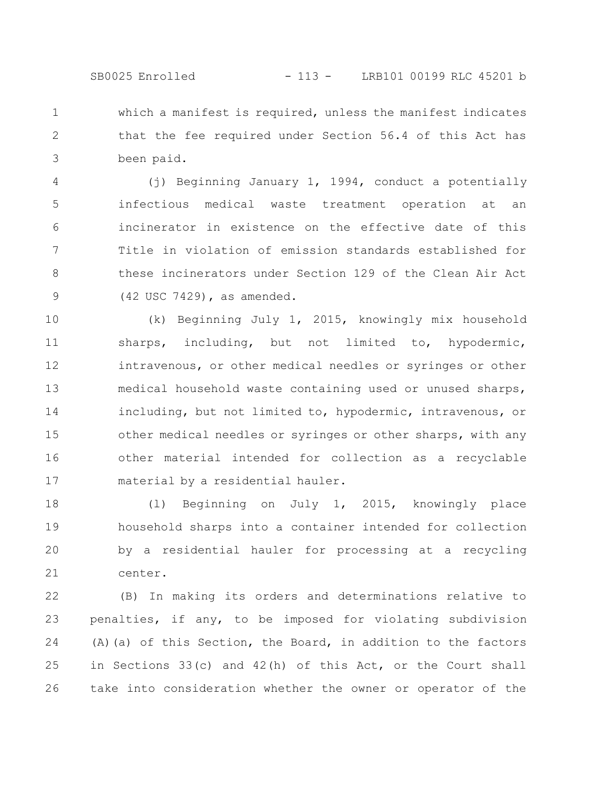## SB0025 Enrolled - 113 - LRB101 00199 RLC 45201 b

which a manifest is required, unless the manifest indicates that the fee required under Section 56.4 of this Act has been paid. 1 2 3

(j) Beginning January 1, 1994, conduct a potentially infectious medical waste treatment operation at an incinerator in existence on the effective date of this Title in violation of emission standards established for these incinerators under Section 129 of the Clean Air Act (42 USC 7429), as amended. 4 5 6 7 8 9

(k) Beginning July 1, 2015, knowingly mix household sharps, including, but not limited to, hypodermic, intravenous, or other medical needles or syringes or other medical household waste containing used or unused sharps, including, but not limited to, hypodermic, intravenous, or other medical needles or syringes or other sharps, with any other material intended for collection as a recyclable material by a residential hauler. 10 11 12 13 14 15 16 17

(l) Beginning on July 1, 2015, knowingly place household sharps into a container intended for collection by a residential hauler for processing at a recycling center. 18 19 20 21

(B) In making its orders and determinations relative to penalties, if any, to be imposed for violating subdivision (A)(a) of this Section, the Board, in addition to the factors in Sections 33(c) and 42(h) of this Act, or the Court shall take into consideration whether the owner or operator of the 22 23 24 25 26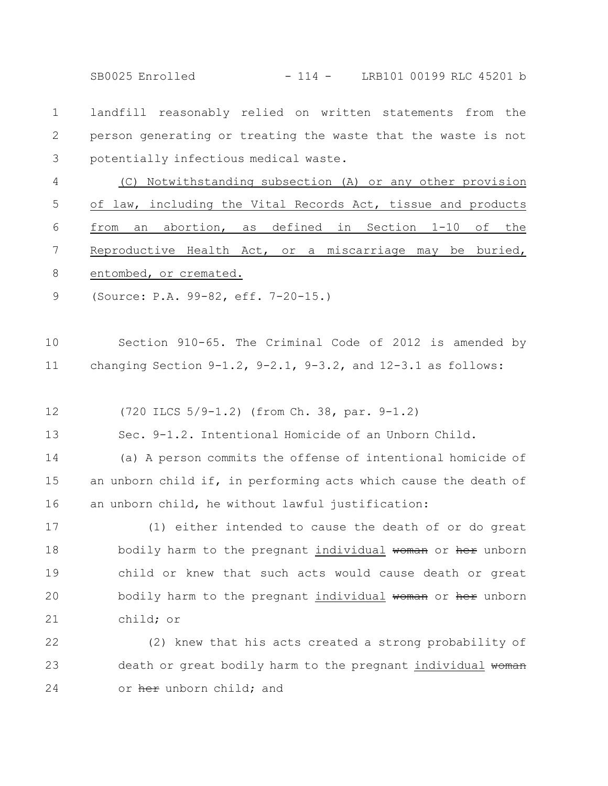SB0025 Enrolled - 114 - LRB101 00199 RLC 45201 b

landfill reasonably relied on written statements from the person generating or treating the waste that the waste is not potentially infectious medical waste. 1 2 3

(C) Notwithstanding subsection (A) or any other provision of law, including the Vital Records Act, tissue and products from an abortion, as defined in Section 1-10 of the Reproductive Health Act, or a miscarriage may be buried, entombed, or cremated. 4 5 6 7 8

(Source: P.A. 99-82, eff. 7-20-15.) 9

Section 910-65. The Criminal Code of 2012 is amended by changing Section  $9-1.2$ ,  $9-2.1$ ,  $9-3.2$ , and  $12-3.1$  as follows: 10 11

(720 ILCS 5/9-1.2) (from Ch. 38, par. 9-1.2) 12

Sec. 9-1.2. Intentional Homicide of an Unborn Child. 13

(a) A person commits the offense of intentional homicide of an unborn child if, in performing acts which cause the death of an unborn child, he without lawful justification: 14 15 16

(1) either intended to cause the death of or do great bodily harm to the pregnant individual woman or her unborn child or knew that such acts would cause death or great bodily harm to the pregnant individual woman or her unborn child; or 17 18 19 20 21

(2) knew that his acts created a strong probability of death or great bodily harm to the pregnant individual woman or her unborn child; and 22 23 24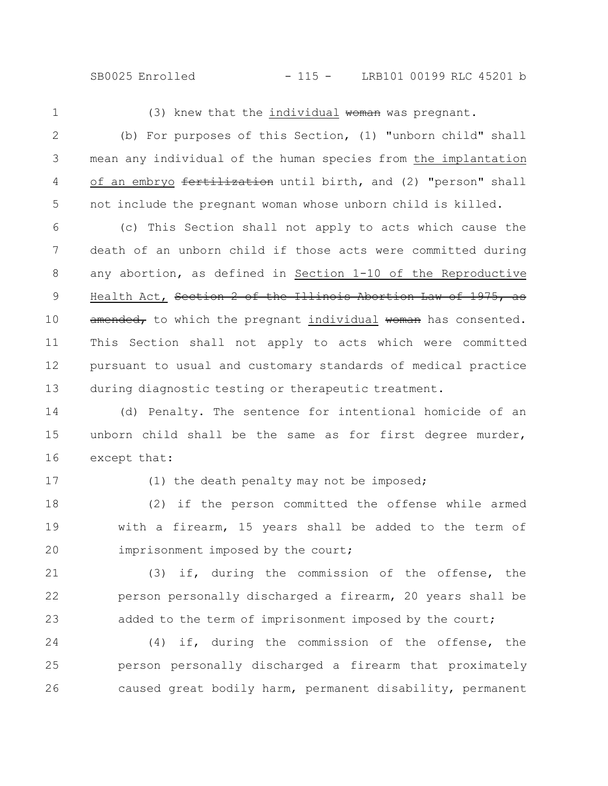SB0025 Enrolled - 115 - LRB101 00199 RLC 45201 b

1

(3) knew that the individual woman was pregnant.

(b) For purposes of this Section, (1) "unborn child" shall mean any individual of the human species from the implantation of an embryo fertilization until birth, and (2) "person" shall not include the pregnant woman whose unborn child is killed. 2 3 4 5

(c) This Section shall not apply to acts which cause the death of an unborn child if those acts were committed during any abortion, as defined in Section 1-10 of the Reproductive Health Act, Section 2 of the Illinois Abortion Law of 1975, as amended, to which the pregnant individual woman has consented. This Section shall not apply to acts which were committed pursuant to usual and customary standards of medical practice during diagnostic testing or therapeutic treatment. 6 7 8 9 10 11 12 13

(d) Penalty. The sentence for intentional homicide of an unborn child shall be the same as for first degree murder, except that: 14 15 16

17

(1) the death penalty may not be imposed;

(2) if the person committed the offense while armed with a firearm, 15 years shall be added to the term of imprisonment imposed by the court; 18 19 20

(3) if, during the commission of the offense, the person personally discharged a firearm, 20 years shall be added to the term of imprisonment imposed by the court; 21 22 23

(4) if, during the commission of the offense, the person personally discharged a firearm that proximately caused great bodily harm, permanent disability, permanent 24 25 26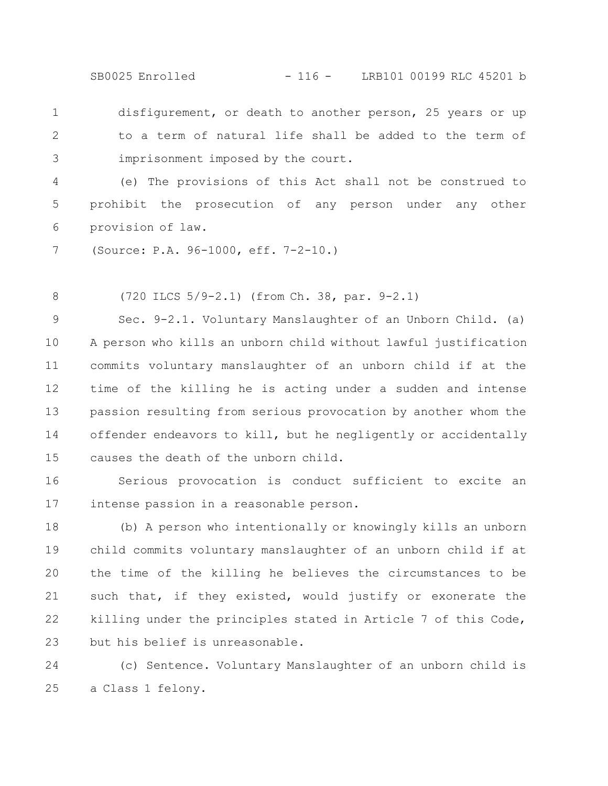SB0025 Enrolled - 116 - LRB101 00199 RLC 45201 b

disfigurement, or death to another person, 25 years or up to a term of natural life shall be added to the term of imprisonment imposed by the court. 1 2 3

(e) The provisions of this Act shall not be construed to prohibit the prosecution of any person under any other provision of law. 4 5 6

(Source: P.A. 96-1000, eff. 7-2-10.) 7

(720 ILCS 5/9-2.1) (from Ch. 38, par. 9-2.1) 8

Sec. 9-2.1. Voluntary Manslaughter of an Unborn Child. (a) A person who kills an unborn child without lawful justification commits voluntary manslaughter of an unborn child if at the time of the killing he is acting under a sudden and intense passion resulting from serious provocation by another whom the offender endeavors to kill, but he negligently or accidentally causes the death of the unborn child. 9 10 11 12 13 14 15

Serious provocation is conduct sufficient to excite an intense passion in a reasonable person. 16 17

(b) A person who intentionally or knowingly kills an unborn child commits voluntary manslaughter of an unborn child if at the time of the killing he believes the circumstances to be such that, if they existed, would justify or exonerate the killing under the principles stated in Article 7 of this Code, but his belief is unreasonable. 18 19 20 21 22 23

(c) Sentence. Voluntary Manslaughter of an unborn child is a Class 1 felony. 24 25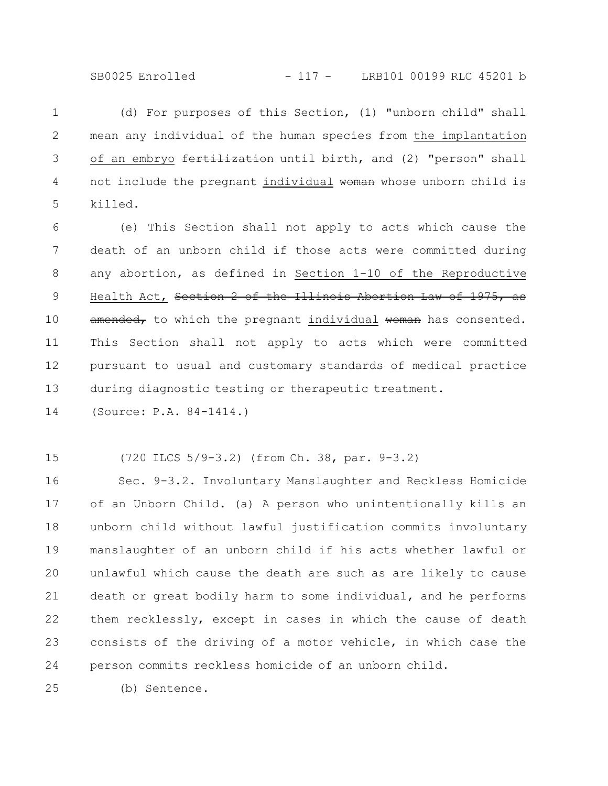(d) For purposes of this Section, (1) "unborn child" shall mean any individual of the human species from the implantation of an embryo fertilization until birth, and (2) "person" shall not include the pregnant individual woman whose unborn child is killed. 1 2 3 4 5

(e) This Section shall not apply to acts which cause the death of an unborn child if those acts were committed during any abortion, as defined in Section 1-10 of the Reproductive Health Act, Section 2 of the Illinois Abortion Law of 1975, as amended, to which the pregnant individual woman has consented. This Section shall not apply to acts which were committed pursuant to usual and customary standards of medical practice during diagnostic testing or therapeutic treatment. 6 7 8 9 10 11 12 13

(Source: P.A. 84-1414.) 14

(720 ILCS 5/9-3.2) (from Ch. 38, par. 9-3.2) 15

Sec. 9-3.2. Involuntary Manslaughter and Reckless Homicide of an Unborn Child. (a) A person who unintentionally kills an unborn child without lawful justification commits involuntary manslaughter of an unborn child if his acts whether lawful or unlawful which cause the death are such as are likely to cause death or great bodily harm to some individual, and he performs them recklessly, except in cases in which the cause of death consists of the driving of a motor vehicle, in which case the person commits reckless homicide of an unborn child. 16 17 18 19 20 21 22 23 24

(b) Sentence. 25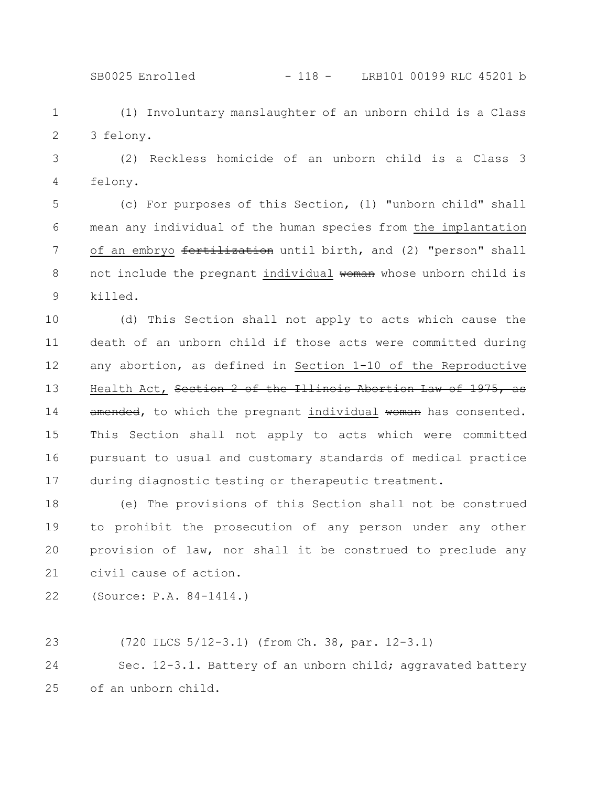SB0025 Enrolled - 118 - LRB101 00199 RLC 45201 b

(1) Involuntary manslaughter of an unborn child is a Class 3 felony. 1 2

(2) Reckless homicide of an unborn child is a Class 3 felony. 3 4

(c) For purposes of this Section, (1) "unborn child" shall mean any individual of the human species from the implantation of an embryo fertilization until birth, and (2) "person" shall not include the pregnant individual woman whose unborn child is killed. 5 6 7 8 9

(d) This Section shall not apply to acts which cause the death of an unborn child if those acts were committed during any abortion, as defined in Section 1-10 of the Reproductive Health Act, Section 2 of the Illinois Abortion Law of 1975, as amended, to which the pregnant individual woman has consented. This Section shall not apply to acts which were committed pursuant to usual and customary standards of medical practice during diagnostic testing or therapeutic treatment. 10 11 12 13 14 15 16 17

(e) The provisions of this Section shall not be construed to prohibit the prosecution of any person under any other provision of law, nor shall it be construed to preclude any civil cause of action. 18 19 20 21

(Source: P.A. 84-1414.) 22

23

(720 ILCS 5/12-3.1) (from Ch. 38, par. 12-3.1)

Sec. 12-3.1. Battery of an unborn child; aggravated battery of an unborn child. 24 25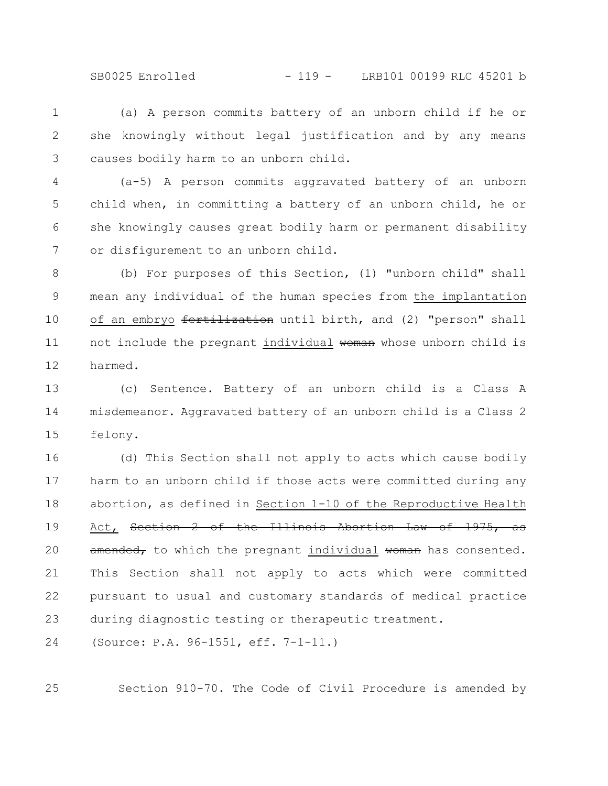SB0025 Enrolled - 119 - LRB101 00199 RLC 45201 b

(a) A person commits battery of an unborn child if he or she knowingly without legal justification and by any means causes bodily harm to an unborn child. 1 2 3

(a-5) A person commits aggravated battery of an unborn child when, in committing a battery of an unborn child, he or she knowingly causes great bodily harm or permanent disability or disfigurement to an unborn child. 4 5 6 7

(b) For purposes of this Section, (1) "unborn child" shall mean any individual of the human species from the implantation of an embryo fertilization until birth, and (2) "person" shall not include the pregnant individual woman whose unborn child is harmed. 8 9 10 11 12

(c) Sentence. Battery of an unborn child is a Class A misdemeanor. Aggravated battery of an unborn child is a Class 2 felony. 13 14 15

(d) This Section shall not apply to acts which cause bodily harm to an unborn child if those acts were committed during any abortion, as defined in Section 1-10 of the Reproductive Health Act, Section 2 of the Illinois Abortion Law of 1975, as amended, to which the pregnant individual woman has consented. This Section shall not apply to acts which were committed pursuant to usual and customary standards of medical practice during diagnostic testing or therapeutic treatment. 16 17 18 19 20 21 22 23

(Source: P.A. 96-1551, eff. 7-1-11.) 24

25

Section 910-70. The Code of Civil Procedure is amended by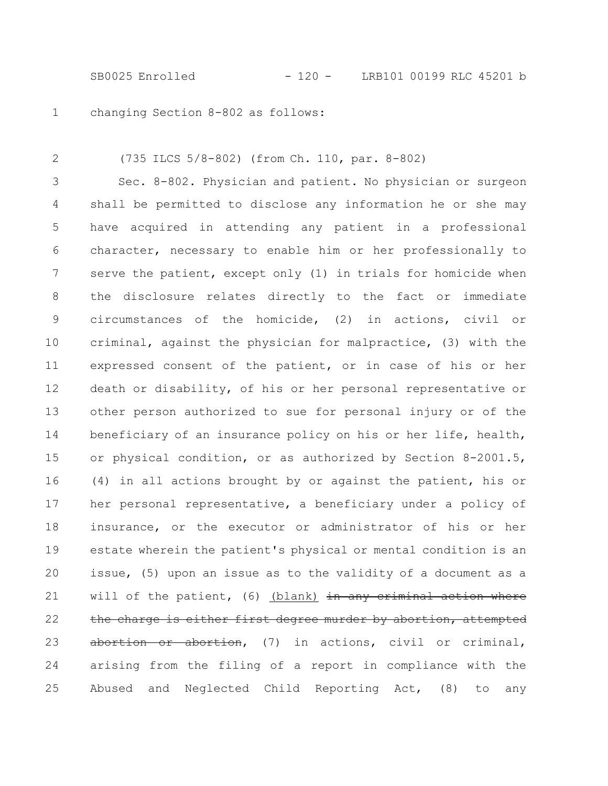SB0025 Enrolled - 120 - LRB101 00199 RLC 45201 b

changing Section 8-802 as follows: 1

2

(735 ILCS 5/8-802) (from Ch. 110, par. 8-802)

Sec. 8-802. Physician and patient. No physician or surgeon shall be permitted to disclose any information he or she may have acquired in attending any patient in a professional character, necessary to enable him or her professionally to serve the patient, except only (1) in trials for homicide when the disclosure relates directly to the fact or immediate circumstances of the homicide, (2) in actions, civil or criminal, against the physician for malpractice, (3) with the expressed consent of the patient, or in case of his or her death or disability, of his or her personal representative or other person authorized to sue for personal injury or of the beneficiary of an insurance policy on his or her life, health, or physical condition, or as authorized by Section 8-2001.5, (4) in all actions brought by or against the patient, his or her personal representative, a beneficiary under a policy of insurance, or the executor or administrator of his or her estate wherein the patient's physical or mental condition is an issue, (5) upon an issue as to the validity of a document as a will of the patient, (6) (blank) in any criminal action where the charge is either first degree murder by abortion, attempted abortion or abortion, (7) in actions, civil or criminal, arising from the filing of a report in compliance with the Abused and Neglected Child Reporting Act, (8) to any 3 4 5 6 7 8 9 10 11 12 13 14 15 16 17 18 19 20 21 22 23 24 25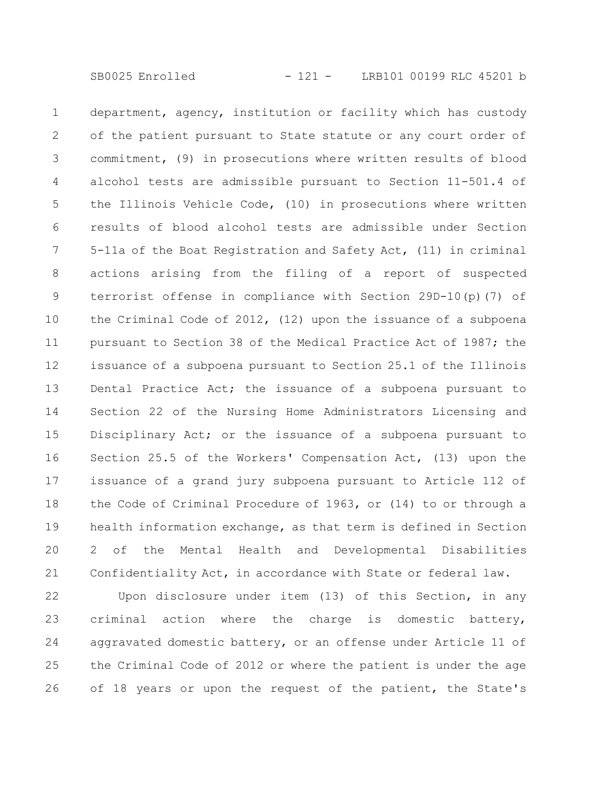department, agency, institution or facility which has custody of the patient pursuant to State statute or any court order of commitment, (9) in prosecutions where written results of blood alcohol tests are admissible pursuant to Section 11-501.4 of the Illinois Vehicle Code, (10) in prosecutions where written results of blood alcohol tests are admissible under Section 5-11a of the Boat Registration and Safety Act, (11) in criminal actions arising from the filing of a report of suspected terrorist offense in compliance with Section 29D-10(p)(7) of the Criminal Code of 2012, (12) upon the issuance of a subpoena pursuant to Section 38 of the Medical Practice Act of 1987; the issuance of a subpoena pursuant to Section 25.1 of the Illinois Dental Practice Act; the issuance of a subpoena pursuant to Section 22 of the Nursing Home Administrators Licensing and Disciplinary Act; or the issuance of a subpoena pursuant to Section 25.5 of the Workers' Compensation Act, (13) upon the issuance of a grand jury subpoena pursuant to Article 112 of the Code of Criminal Procedure of 1963, or (14) to or through a health information exchange, as that term is defined in Section 2 of the Mental Health and Developmental Disabilities Confidentiality Act, in accordance with State or federal law. 1 2 3 4 5 6 7 8 9 10 11 12 13 14 15 16 17 18 19 20 21

Upon disclosure under item (13) of this Section, in any criminal action where the charge is domestic battery, aggravated domestic battery, or an offense under Article 11 of the Criminal Code of 2012 or where the patient is under the age of 18 years or upon the request of the patient, the State's 22 23 24 25 26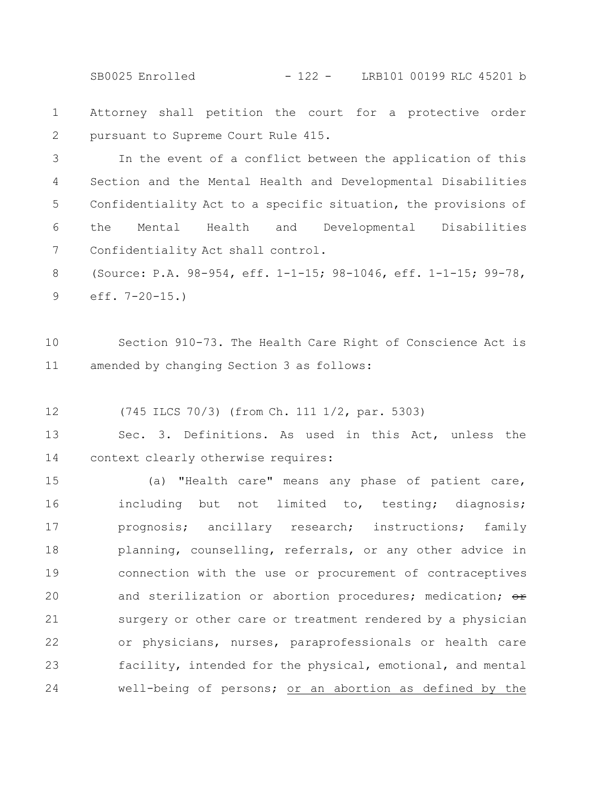SB0025 Enrolled - 122 - LRB101 00199 RLC 45201 b

Attorney shall petition the court for a protective order pursuant to Supreme Court Rule 415. 1 2

In the event of a conflict between the application of this Section and the Mental Health and Developmental Disabilities Confidentiality Act to a specific situation, the provisions of the Mental Health and Developmental Disabilities Confidentiality Act shall control. 3 4 5 6 7

(Source: P.A. 98-954, eff. 1-1-15; 98-1046, eff. 1-1-15; 99-78, eff. 7-20-15.) 8 9

Section 910-73. The Health Care Right of Conscience Act is amended by changing Section 3 as follows: 10 11

(745 ILCS 70/3) (from Ch. 111 1/2, par. 5303) 12

Sec. 3. Definitions. As used in this Act, unless the context clearly otherwise requires: 13 14

(a) "Health care" means any phase of patient care, including but not limited to, testing; diagnosis; prognosis; ancillary research; instructions; family planning, counselling, referrals, or any other advice in connection with the use or procurement of contraceptives and sterilization or abortion procedures; medication;  $\Theta$ r surgery or other care or treatment rendered by a physician or physicians, nurses, paraprofessionals or health care facility, intended for the physical, emotional, and mental well-being of persons; or an abortion as defined by the 15 16 17 18 19 20 21 22 23 24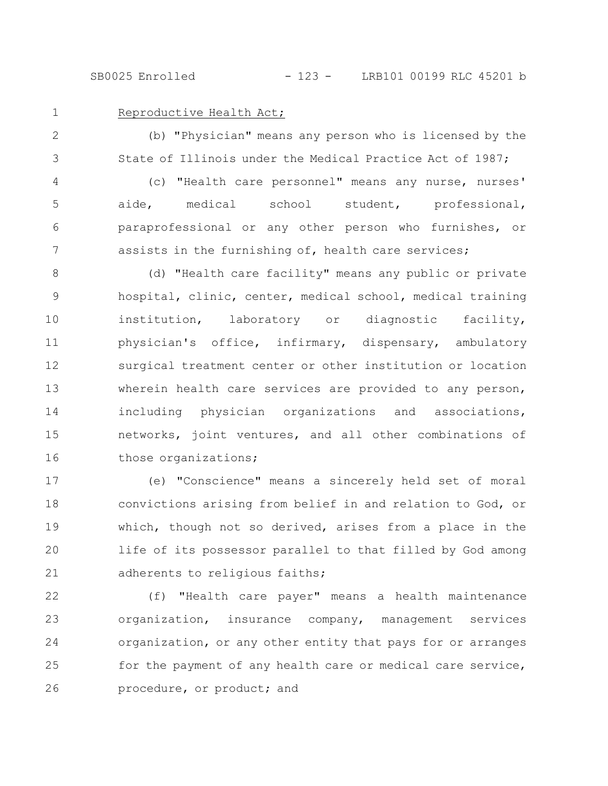SB0025 Enrolled - 123 - LRB101 00199 RLC 45201 b

1

## Reproductive Health Act;

(b) "Physician" means any person who is licensed by the State of Illinois under the Medical Practice Act of 1987; 2 3

(c) "Health care personnel" means any nurse, nurses' aide, medical school student, professional, paraprofessional or any other person who furnishes, or assists in the furnishing of, health care services; 4 5 6 7

(d) "Health care facility" means any public or private hospital, clinic, center, medical school, medical training institution, laboratory or diagnostic facility, physician's office, infirmary, dispensary, ambulatory surgical treatment center or other institution or location wherein health care services are provided to any person, including physician organizations and associations, networks, joint ventures, and all other combinations of those organizations; 8 9 10 11 12 13 14 15 16

(e) "Conscience" means a sincerely held set of moral convictions arising from belief in and relation to God, or which, though not so derived, arises from a place in the life of its possessor parallel to that filled by God among adherents to religious faiths; 17 18 19 20 21

(f) "Health care payer" means a health maintenance organization, insurance company, management services organization, or any other entity that pays for or arranges for the payment of any health care or medical care service, procedure, or product; and 22 23 24 25 26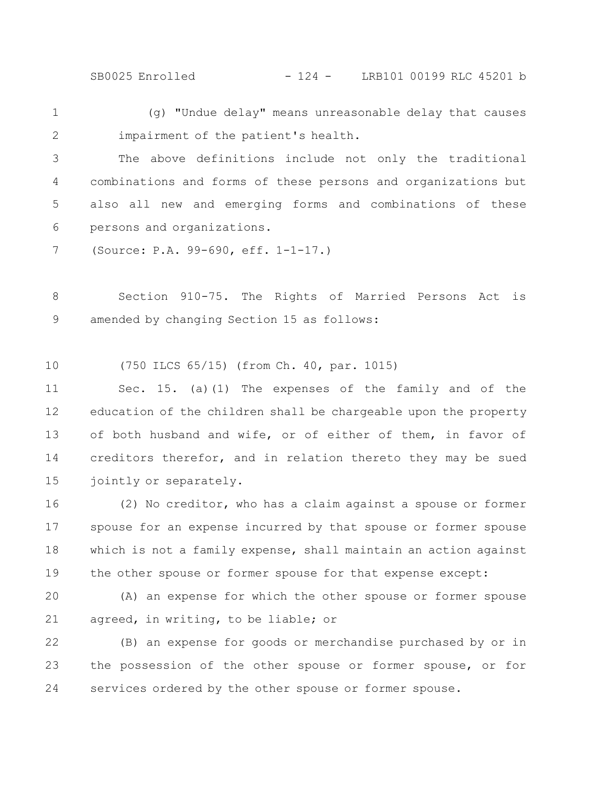SB0025 Enrolled - 124 - LRB101 00199 RLC 45201 b

(g) "Undue delay" means unreasonable delay that causes impairment of the patient's health. 1 2

The above definitions include not only the traditional combinations and forms of these persons and organizations but also all new and emerging forms and combinations of these persons and organizations. 3 4 5 6

(Source: P.A. 99-690, eff. 1-1-17.) 7

Section 910-75. The Rights of Married Persons Act is amended by changing Section 15 as follows: 8 9

(750 ILCS 65/15) (from Ch. 40, par. 1015) 10

Sec. 15. (a)(1) The expenses of the family and of the education of the children shall be chargeable upon the property of both husband and wife, or of either of them, in favor of creditors therefor, and in relation thereto they may be sued jointly or separately. 11 12 13 14 15

(2) No creditor, who has a claim against a spouse or former spouse for an expense incurred by that spouse or former spouse which is not a family expense, shall maintain an action against the other spouse or former spouse for that expense except: 16 17 18 19

(A) an expense for which the other spouse or former spouse agreed, in writing, to be liable; or 20 21

(B) an expense for goods or merchandise purchased by or in the possession of the other spouse or former spouse, or for services ordered by the other spouse or former spouse. 22 23 24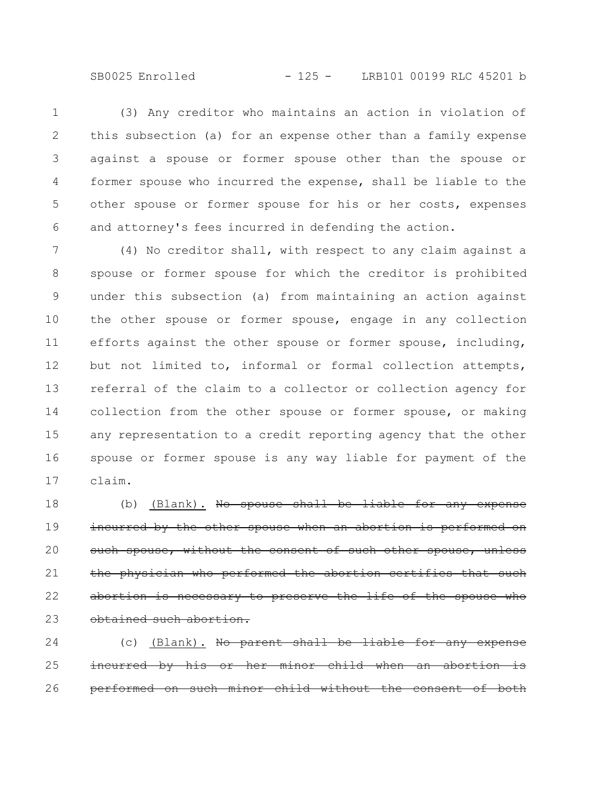SB0025 Enrolled - 125 - LRB101 00199 RLC 45201 b

(3) Any creditor who maintains an action in violation of this subsection (a) for an expense other than a family expense against a spouse or former spouse other than the spouse or former spouse who incurred the expense, shall be liable to the other spouse or former spouse for his or her costs, expenses and attorney's fees incurred in defending the action. 1 2 3 4 5 6

(4) No creditor shall, with respect to any claim against a spouse or former spouse for which the creditor is prohibited under this subsection (a) from maintaining an action against the other spouse or former spouse, engage in any collection efforts against the other spouse or former spouse, including, but not limited to, informal or formal collection attempts, referral of the claim to a collector or collection agency for collection from the other spouse or former spouse, or making any representation to a credit reporting agency that the other spouse or former spouse is any way liable for payment of the claim. 7 8 9 10 11 12 13 14 15 16 17

(b) (Blank). No spouse shall be liable for any incurred by the other spouse when an abortion is performed on such spouse, without the consent of such other spouse, physician who performed the abortion certifies abortion is necessary to preserve the life of the spouse who obtained such abortion. 18 19 20 21 22 23

(c) (Blank). No parent shall be liable for any incurred by his or her minor child when an aborti performed on such minor child without the consent 24 25 26